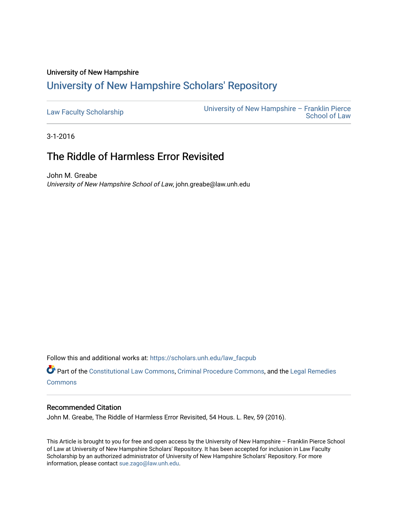## University of New Hampshire [University of New Hampshire Scholars' Repository](https://scholars.unh.edu/)

| <b>Law Faculty Scholarship</b> | University of New Hampshire - Franklin Pierce<br><b>School of Law</b> |  |
|--------------------------------|-----------------------------------------------------------------------|--|
|--------------------------------|-----------------------------------------------------------------------|--|

3-1-2016

# The Riddle of Harmless Error Revisited

John M. Greabe University of New Hampshire School of Law, john.greabe@law.unh.edu

Follow this and additional works at: [https://scholars.unh.edu/law\\_facpub](https://scholars.unh.edu/law_facpub?utm_source=scholars.unh.edu%2Flaw_facpub%2F206&utm_medium=PDF&utm_campaign=PDFCoverPages)

Part of the [Constitutional Law Commons,](http://network.bepress.com/hgg/discipline/589?utm_source=scholars.unh.edu%2Flaw_facpub%2F206&utm_medium=PDF&utm_campaign=PDFCoverPages) [Criminal Procedure Commons,](http://network.bepress.com/hgg/discipline/1073?utm_source=scholars.unh.edu%2Flaw_facpub%2F206&utm_medium=PDF&utm_campaign=PDFCoverPages) and the [Legal Remedies](http://network.bepress.com/hgg/discipline/618?utm_source=scholars.unh.edu%2Flaw_facpub%2F206&utm_medium=PDF&utm_campaign=PDFCoverPages) **[Commons](http://network.bepress.com/hgg/discipline/618?utm_source=scholars.unh.edu%2Flaw_facpub%2F206&utm_medium=PDF&utm_campaign=PDFCoverPages)** 

### Recommended Citation

John M. Greabe, The Riddle of Harmless Error Revisited, 54 Hous. L. Rev, 59 (2016).

This Article is brought to you for free and open access by the University of New Hampshire – Franklin Pierce School of Law at University of New Hampshire Scholars' Repository. It has been accepted for inclusion in Law Faculty Scholarship by an authorized administrator of University of New Hampshire Scholars' Repository. For more information, please contact [sue.zago@law.unh.edu.](mailto:sue.zago@law.unh.edu)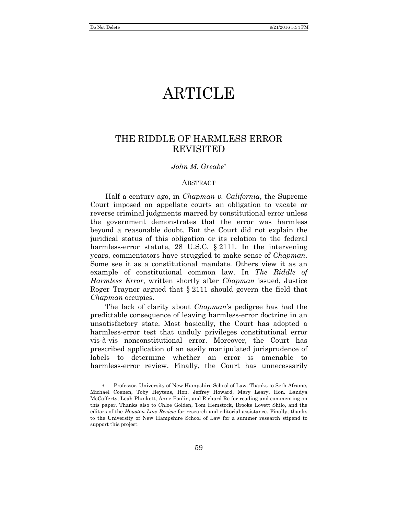-

# ARTICLE

### THE RIDDLE OF HARMLESS ERROR REVISITED

#### *John M. Greabe*[∗](#page-1-0)

#### ABSTRACT

Half a century ago, in *Chapman v. California*, the Supreme Court imposed on appellate courts an obligation to vacate or reverse criminal judgments marred by constitutional error unless the government demonstrates that the error was harmless beyond a reasonable doubt. But the Court did not explain the juridical status of this obligation or its relation to the federal harmless-error statute, 28 U.S.C. § 2111. In the intervening years, commentators have struggled to make sense of *Chapman*. Some see it as a constitutional mandate. Others view it as an example of constitutional common law. In *The Riddle of Harmless Error*, written shortly after *Chapman* issued, Justice Roger Traynor argued that § 2111 should govern the field that *Chapman* occupies.

The lack of clarity about *Chapman*'s pedigree has had the predictable consequence of leaving harmless-error doctrine in an unsatisfactory state. Most basically, the Court has adopted a harmless-error test that unduly privileges constitutional error vis-à-vis nonconstitutional error. Moreover, the Court has prescribed application of an easily manipulated jurisprudence of labels to determine whether an error is amenable to harmless-error review. Finally, the Court has unnecessarily

<span id="page-1-0"></span>Professor, University of New Hampshire School of Law. Thanks to Seth Aframe, Michael Coenen, Toby Heytens, Hon. Jeffrey Howard, Mary Leary, Hon. Landya McCafferty, Leah Plunkett, Anne Poulin, and Richard Re for reading and commenting on this paper. Thanks also to Chloe Golden, Tom Hemstock, Brooke Lovett Shilo, and the editors of the *Houston Law Review* for research and editorial assistance. Finally, thanks to the University of New Hampshire School of Law for a summer research stipend to support this project.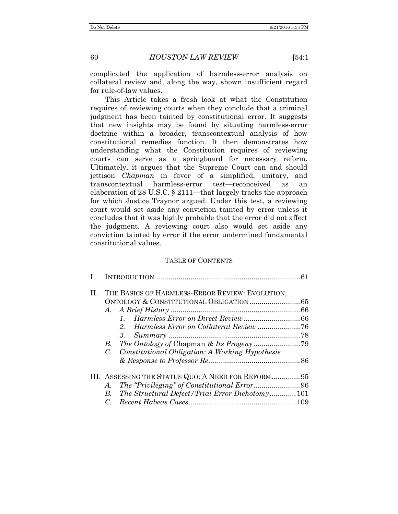complicated the application of harmless-error analysis on collateral review and, along the way, shown insufficient regard for rule-of-law values.

This Article takes a fresh look at what the Constitution requires of reviewing courts when they conclude that a criminal judgment has been tainted by constitutional error. It suggests that new insights may be found by situating harmless-error doctrine within a broader, transcontextual analysis of how constitutional remedies function. It then demonstrates how understanding what the Constitution requires of reviewing courts can serve as a springboard for necessary reform. Ultimately, it argues that the Supreme Court can and should jettison *Chapman* in favor of a simplified, unitary, and transcontextual harmless-error test—reconceived as an elaboration of 28 U.S.C. § 2111—that largely tracks the approach for which Justice Traynor argued. Under this test, a reviewing court would set aside any conviction tainted by error unless it concludes that it was highly probable that the error did not affect the judgment. A reviewing court also would set aside any conviction tainted by error if the error undermined fundamental constitutional values.

#### TABLE OF CONTENTS

| Н. | THE BASICS OF HARMLESS-ERROR REVIEW: EVOLUTION,                |  |  |  |
|----|----------------------------------------------------------------|--|--|--|
|    |                                                                |  |  |  |
|    |                                                                |  |  |  |
|    | $\mathcal{I}$ .                                                |  |  |  |
|    | <i>Harmless Error on Collateral Review </i> 76<br>$2_{\cdot}$  |  |  |  |
|    | 3.<br>$Summary \dots 78$                                       |  |  |  |
|    | B.                                                             |  |  |  |
|    | Constitutional Obligation: A Working Hypothesis<br>$C_{\cdot}$ |  |  |  |
|    |                                                                |  |  |  |
|    | III. ASSESSING THE STATUS QUO: A NEED FOR REFORM95             |  |  |  |
|    | A.                                                             |  |  |  |
|    | The Structural Defect/Trial Error Dichotomy101<br>В.           |  |  |  |
|    |                                                                |  |  |  |
|    |                                                                |  |  |  |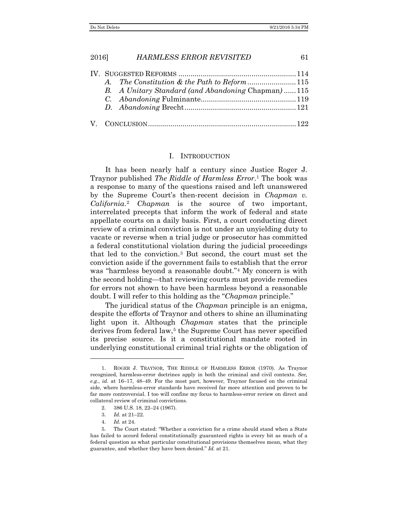|  | B. A Unitary Standard (and Abandoning Chapman) 115 |  |
|--|----------------------------------------------------|--|
|  |                                                    |  |
|  |                                                    |  |
|  |                                                    |  |
|  |                                                    |  |

#### <span id="page-3-5"></span>I. INTRODUCTION

<span id="page-3-6"></span>It has been nearly half a century since Justice Roger J. Traynor published *The Riddle of Harmless Error*.[1](#page-3-0) The book was a response to many of the questions raised and left unanswered by the Supreme Court's then-recent decision in *Chapman v. California*.[2](#page-3-1) *Chapman* is the source of two important, interrelated precepts that inform the work of federal and state appellate courts on a daily basis. First, a court conducting direct review of a criminal conviction is not under an unyielding duty to vacate or reverse when a trial judge or prosecutor has committed a federal constitutional violation during the judicial proceedings that led to the conviction.[3](#page-3-2) But second, the court must set the conviction aside if the government fails to establish that the error was "harmless beyond a reasonable doubt."[4](#page-3-3) My concern is with the second holding—that reviewing courts must provide remedies for errors not shown to have been harmless beyond a reasonable doubt. I will refer to this holding as the "*Chapman* principle."

The juridical status of the *Chapman* principle is an enigma, despite the efforts of Traynor and others to shine an illuminating light upon it. Although *Chapman* states that the principle derives from federal law,<sup>[5](#page-3-4)</sup> the Supreme Court has never specified its precise source. Is it a constitutional mandate rooted in underlying constitutional criminal trial rights or the obligation of

<span id="page-3-0"></span><sup>1.</sup> ROGER J. TRAYNOR, THE RIDDLE OF HARMLESS ERROR (1970). As Traynor recognized, harmless-error doctrines apply in both the criminal and civil contexts. *See, e.g.*, *id.* at 16–17, 48–49. For the most part, however, Traynor focused on the criminal side, where harmless-error standards have received far more attention and proven to be far more controversial. I too will confine my focus to harmless-error review on direct and collateral review of criminal convictions.

<sup>2.</sup> 386 U.S. 18, 22–24 (1967).

<sup>3.</sup> *Id.* at 21–22.

<sup>4.</sup> *Id.* at 24.

<span id="page-3-4"></span><span id="page-3-3"></span><span id="page-3-2"></span><span id="page-3-1"></span><sup>5.</sup> The Court stated: "Whether a conviction for a crime should stand when a State has failed to accord federal constitutionally guaranteed rights is every bit as much of a federal question as what particular constitutional provisions themselves mean, what they guarantee, and whether they have been denied." *Id.* at 21.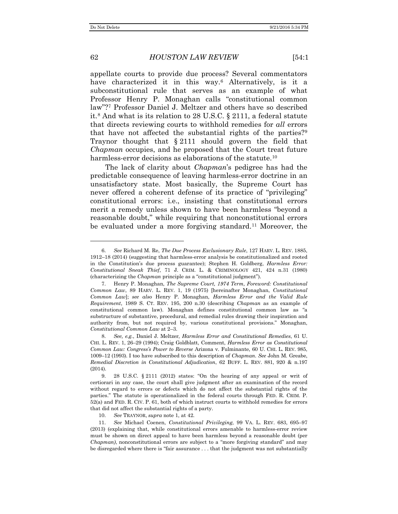<span id="page-4-8"></span>-

62 *HOUSTON LAW REVIEW* [54:1

<span id="page-4-9"></span><span id="page-4-7"></span>

<span id="page-4-6"></span>appellate courts to provide due process? Several commentators have characterized it in this way.<sup>6</sup> Alternatively, is it a subconstitutional rule that serves as an example of what Professor Henry P. Monaghan calls "constitutional common law"?[7](#page-4-1) Professor Daniel J. Meltzer and others have so described it.[8](#page-4-2) And what is its relation to 28 U.S.C. § 2111, a federal statute that directs reviewing courts to withhold remedies for *all* errors that have not affected the substantial rights of the parties?[9](#page-4-3) Traynor thought that § 2111 should govern the field that *Chapman* occupies, and he proposed that the Court treat future harmless-error decisions as elaborations of the statute.<sup>[10](#page-4-4)</sup>

The lack of clarity about *Chapman*'s pedigree has had the predictable consequence of leaving harmless-error doctrine in an unsatisfactory state. Most basically, the Supreme Court has never offered a coherent defense of its practice of "privileging" constitutional errors: i.e., insisting that constitutional errors merit a remedy unless shown to have been harmless "beyond a reasonable doubt," while requiring that nonconstitutional errors be evaluated under a more forgiving standard.<sup>11</sup> Moreover, the

<span id="page-4-0"></span><sup>6.</sup> *See* Richard M. Re, *The Due Process Exclusionary Rule*, 127 HARV. L. REV. 1885, 1912–18 (2014) (suggesting that harmless-error analysis be constitutionalized and rooted in the Constitution's due process guarantee); Stephen H. Goldberg, *Harmless Error: Constitutional Sneak Thief*, 71 J. CRIM. L. & CRIMINOLOGY 421, 424 n.31 (1980) (characterizing the *Chapman* principle as a "constitutional judgment").

<span id="page-4-1"></span><sup>7.</sup> Henry P. Monaghan, *The Supreme Court, 1974 Term, Foreword: Constitutional Common Law*, 89 HARV. L. REV. 1, 19 (1975) [hereinafter Monaghan, *Constitutional Common Law*]; *see also* Henry P. Monaghan, *Harmless Error and the Valid Rule Requirement*, 1989 S. CT. REV. 195, 200 n.30 (describing *Chapman* as an example of constitutional common law). Monaghan defines constitutional common law as "a substructure of substantive, procedural, and remedial rules drawing their inspiration and authority from, but not required by, various constitutional provisions." Monaghan, *Constitutional Common Law* at 2–3.

<span id="page-4-2"></span><sup>8.</sup> *See, e.g.*, Daniel J. Meltzer, *Harmless Error and Constitutional Remedies*, 61 U. CHI. L. REV. 1, 26–29 (1994); Craig Goldblatt, Comment, *Harmless Error as Constitutional Common Law: Congress's Power to Reverse* Arizona v. Fulminante, 60 U. CHI. L. REV. 985, 1009–12 (1993). I too have subscribed to this description of *Chapman*. *See* John M. Greabe, *Remedial Discretion in Constitutional Adjudication*, 62 BUFF. L. REV. 881, 920 & n.197 (2014).

<span id="page-4-3"></span><sup>9.</sup> 28 U.S.C. § 2111 (2012) states: "On the hearing of any appeal or writ of certiorari in any case, the court shall give judgment after an examination of the record without regard to errors or defects which do not affect the substantial rights of the parties." The statute is operationalized in the federal courts through FED. R. CRIM. P. 52(a) and FED. R. CIV. P. 61, both of which instruct courts to withhold remedies for errors that did not affect the substantial rights of a party.

<sup>10.</sup> *See* TRAYNOR, *supra* not[e 1,](#page-3-5) at 42.

<span id="page-4-5"></span><span id="page-4-4"></span><sup>11.</sup> *See* Michael Coenen, *Constitutional Privileging*, 99 VA. L. REV. 683, 695–97 (2013) (explaining that, while constitutional errors amenable to harmless-error review must be shown on direct appeal to have been harmless beyond a reasonable doubt (per *Chapman)*, nonconstitutional errors are subject to a "more forgiving standard" and may be disregarded where there is "fair assurance . . . that the judgment was not substantially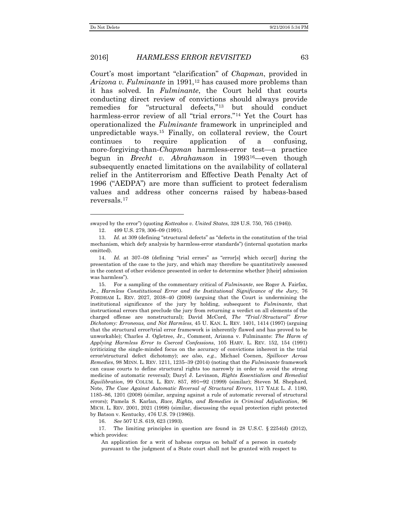#### 2016] *HARMLESS ERROR REVISITED* 63

<span id="page-5-6"></span>Court's most important "clarification" of *Chapman*, provided in Arizona v. Fulminante in 1991,<sup>[12](#page-5-0)</sup> has caused more problems than it has solved. In *Fulminante*, the Court held that courts conducting direct review of convictions should always provide remedies for "structural defects,"[13](#page-5-1) but should conduct harmless-error review of all "trial errors."<sup>[14](#page-5-2)</sup> Yet the Court has operationalized the *Fulminante* framework in unprincipled and unpredictable ways.[15](#page-5-3) Finally, on collateral review, the Court continues to require application of a confusing, more-forgiving-than-*Chapman* harmless-error test—a practice begun in *Brecht v. Abrahamson* in 1993[16—](#page-5-4)even though subsequently enacted limitations on the availability of collateral relief in the Antiterrorism and Effective Death Penalty Act of 1996 ("AEDPA") are more than sufficient to protect federalism values and address other concerns raised by habeas-based reversals.[17](#page-5-5)

16. *See* 507 U.S. 619, 623 (1993).

<span id="page-5-5"></span><span id="page-5-4"></span>17. The limiting principles in question are found in 28 U.S.C. § 2254(d) (2012), which provides:

An application for a writ of habeas corpus on behalf of a person in custody pursuant to the judgment of a State court shall not be granted with respect to

<span id="page-5-7"></span><span id="page-5-0"></span>swayed by the error") (quoting *Kotteakos v. United States*, 328 U.S. 750, 765 (1946)). 12. 499 U.S. 279, 306–09 (1991).

<span id="page-5-1"></span><sup>13.</sup> *Id.* at 309 (defining "structural defects" as "defects in the constitution of the trial mechanism, which defy analysis by harmless-error standards") (internal quotation marks omitted).

<span id="page-5-2"></span><sup>14.</sup> *Id.* at 307–08 (defining "trial errors" as "error[s] which occur[] during the presentation of the case to the jury, and which may therefore be quantitatively assessed in the context of other evidence presented in order to determine whether [their] admission was harmless").

<span id="page-5-3"></span><sup>15.</sup> For a sampling of the commentary critical of *Fulminante*, see Roger A. Fairfax, Jr., *Harmless Constitutional Error and the Institutional Significance of the Jury*, 76 FORDHAM L. REV. 2027, 2038–40 (2008) (arguing that the Court is undermining the institutional significance of the jury by holding, subsequent to *Fulminante*, that instructional errors that preclude the jury from returning a verdict on all elements of the charged offense are nonstructural); David McCord, *The "Trial/Structural" Error Dichotomy: Erroneous, and Not Harmless*, 45 U. KAN. L. REV. 1401, 1414 (1997) (arguing that the structural error/trial error framework is inherently flawed and has proved to be unworkable); Charles J. Ogletree, Jr., Comment, Arizona v. Fulminante: *The Harm of Applying Harmless Error to Coerced Confessions*, 105 HARV. L. REV. 152, 154 (1991) (criticizing the single-minded focus on the accuracy of convictions inherent in the trial error/structural defect dichotomy); *see also*, *e.g.*, Michael Coenen, *Spillover Across Remedies*, 98 MINN. L. REV. 1211, 1235–39 (2014) (noting that the *Fulminante* framework can cause courts to define structural rights too narrowly in order to avoid the strong medicine of automatic reversal); Daryl J. Levinson, *Rights Essentialism and Remedial Equilibration*, 99 COLUM. L. REV. 857, 891─92 (1999) (similar); Steven M. Shephard, Note, *The Case Against Automatic Reversal of Structural Errors*, 117 YALE L. J. 1180, 1185–86, 1201 (2008) (similar, arguing against a rule of automatic reversal of structural errors); Pamela S. Karlan, *Race, Rights, and Remedies in Criminal Adjudication*, 96 MICH. L. REV. 2001, 2021 (1998) (similar, discussing the equal protection right protected by Batson v. Kentucky, 476 U.S. 79 (1986)).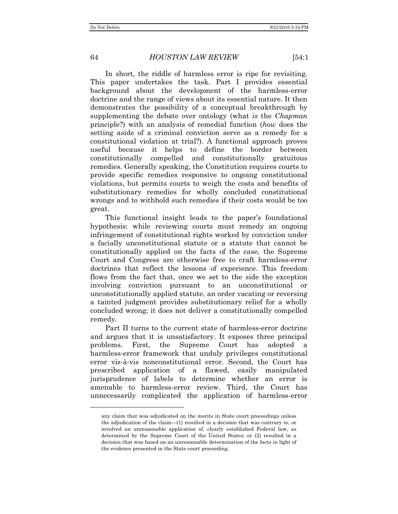#### 64 *HOUSTON LAW REVIEW* [54:1

In short, the riddle of harmless error is ripe for revisiting. This paper undertakes the task. Part I provides essential background about the development of the harmless-error doctrine and the range of views about its essential nature. It then demonstrates the possibility of a conceptual breakthrough by supplementing the debate over ontology (what *is* the *Chapman* principle?) with an analysis of remedial function (*how* does the setting aside of a criminal conviction serve as a remedy for a constitutional violation at trial?). A functional approach proves useful because it helps to define the border between constitutionally compelled and constitutionally gratuitous remedies. Generally speaking, the Constitution requires courts to provide specific remedies responsive to ongoing constitutional violations, but permits courts to weigh the costs and benefits of substitutionary remedies for wholly concluded constitutional wrongs and to withhold such remedies if their costs would be too great.

This functional insight leads to the paper's foundational hypothesis: while reviewing courts must remedy an ongoing infringement of constitutional rights worked by conviction under a facially unconstitutional statute or a statute that cannot be constitutionally applied on the facts of the case, the Supreme Court and Congress are otherwise free to craft harmless-error doctrines that reflect the lessons of experience. This freedom flows from the fact that, once we set to the side the exception involving conviction pursuant to an unconstitutional or unconstitutionally applied statute, an order vacating or reversing a tainted judgment provides substitutionary relief for a wholly concluded wrong; it does not deliver a constitutionally compelled remedy.

Part II turns to the current state of harmless-error doctrine and argues that it is unsatisfactory. It exposes three principal problems. First, the Supreme Court has adopted a harmless-error framework that unduly privileges constitutional error vis-à-vis nonconstitutional error. Second, the Court has prescribed application of a flawed, easily manipulated jurisprudence of labels to determine whether an error is amenable to harmless-error review. Third, the Court has unnecessarily complicated the application of harmless-error

any claim that was adjudicated on the merits in State court proceedings unless the adjudication of the claim—(1) resulted in a decision that was contrary to, or involved an unreasonable application of, clearly established Federal law, as determined by the Supreme Court of the United States; or (2) resulted in a decision that was based on an unreasonable determination of the facts in light of the evidence presented in the State court proceeding.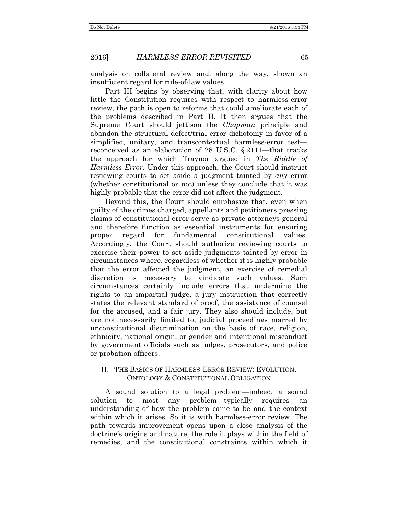analysis on collateral review and, along the way, shown an insufficient regard for rule-of-law values.

Part III begins by observing that, with clarity about how little the Constitution requires with respect to harmless-error review, the path is open to reforms that could ameliorate each of the problems described in Part II. It then argues that the Supreme Court should jettison the *Chapman* principle and abandon the structural defect/trial error dichotomy in favor of a simplified, unitary, and transcontextual harmless-error test reconceived as an elaboration of 28 U.S.C. § 2111—that tracks the approach for which Traynor argued in *The Riddle of Harmless Error*. Under this approach, the Court should instruct reviewing courts to set aside a judgment tainted by *any* error (whether constitutional or not) unless they conclude that it was highly probable that the error did not affect the judgment.

Beyond this, the Court should emphasize that, even when guilty of the crimes charged, appellants and petitioners pressing claims of constitutional error serve as private attorneys general and therefore function as essential instruments for ensuring proper regard for fundamental constitutional values. Accordingly, the Court should authorize reviewing courts to exercise their power to set aside judgments tainted by error in circumstances where, regardless of whether it is highly probable that the error affected the judgment, an exercise of remedial discretion is necessary to vindicate such values. Such circumstances certainly include errors that undermine the rights to an impartial judge, a jury instruction that correctly states the relevant standard of proof, the assistance of counsel for the accused, and a fair jury. They also should include, but are not necessarily limited to, judicial proceedings marred by unconstitutional discrimination on the basis of race, religion, ethnicity, national origin, or gender and intentional misconduct by government officials such as judges, prosecutors, and police or probation officers.

#### II. THE BASICS OF HARMLESS-ERROR REVIEW: EVOLUTION, ONTOLOGY & CONSTITUTIONAL OBLIGATION

A sound solution to a legal problem—indeed, a sound solution to most any problem—typically requires an understanding of how the problem came to be and the context within which it arises. So it is with harmless-error review. The path towards improvement opens upon a close analysis of the doctrine's origins and nature, the role it plays within the field of remedies, and the constitutional constraints within which it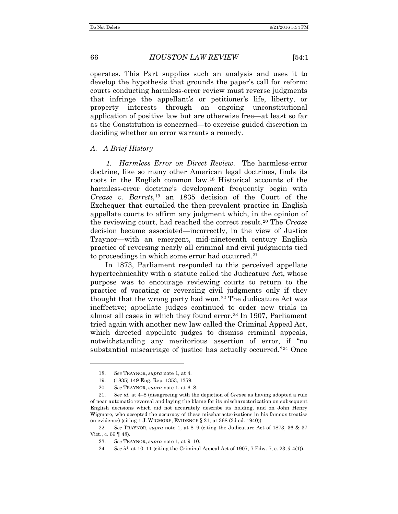operates. This Part supplies such an analysis and uses it to develop the hypothesis that grounds the paper's call for reform: courts conducting harmless-error review must reverse judgments that infringe the appellant's or petitioner's life, liberty, or property interests through an ongoing unconstitutional application of positive law but are otherwise free—at least so far as the Constitution is concerned—to exercise guided discretion in deciding whether an error warrants a remedy.

#### *A. A Brief History*

*1. Harmless Error on Direct Review.* The harmless-error doctrine, like so many other American legal doctrines, finds its roots in the English common law.[18](#page-8-0) Historical accounts of the harmless-error doctrine's development frequently begin with *Crease v. Barrett*,[19](#page-8-1) an 1835 decision of the Court of the Exchequer that curtailed the then-prevalent practice in English appellate courts to affirm any judgment which, in the opinion of the reviewing court, had reached the correct result.[20](#page-8-2) The *Crease* decision became associated—incorrectly, in the view of Justice Traynor—with an emergent, mid-nineteenth century English practice of reversing nearly all criminal and civil judgments tied to proceedings in which some error had occurred.[21](#page-8-3)

In 1873, Parliament responded to this perceived appellate hypertechnicality with a statute called the Judicature Act, whose purpose was to encourage reviewing courts to return to the practice of vacating or reversing civil judgments only if they thought that the wrong party had won.<sup>[22](#page-8-4)</sup> The Judicature Act was ineffective; appellate judges continued to order new trials in almost all cases in which they found error.[23](#page-8-5) In 1907, Parliament tried again with another new law called the Criminal Appeal Act, which directed appellate judges to dismiss criminal appeals, notwithstanding any meritorious assertion of error, if "no substantial miscarriage of justice has actually occurred."<sup>[24](#page-8-6)</sup> Once

<sup>18.</sup> *See* TRAYNOR, *supra* not[e 1,](#page-3-5) at 4.

<sup>19.</sup> (1835) 149 Eng. Rep. 1353, 1359.

<sup>20.</sup> *See* TRAYNOR, *supra* not[e 1,](#page-3-5) at 6–8.

<span id="page-8-3"></span><span id="page-8-2"></span><span id="page-8-1"></span><span id="page-8-0"></span><sup>21.</sup> *See id.* at 4–8 (disagreeing with the depiction of *Crease* as having adopted a rule of near automatic reversal and laying the blame for its mischaracterization on subsequent English decisions which did not accurately describe its holding, and on John Henry Wigmore, who accepted the accuracy of these mischaracterizations in his famous treatise on evidence) (citing 1 J. WIGMORE, EVIDENCE § 21, at 368 (3d ed. 1940))

<span id="page-8-6"></span><span id="page-8-5"></span><span id="page-8-4"></span><sup>22.</sup> *See* TRAYNOR, *supra* note [1,](#page-3-5) at 8–9 (citing the Judicature Act of 1873, 36 & 37 Vict., c. 66 ¶ 48).

<sup>23.</sup> *See* TRAYNOR, *supra* not[e 1,](#page-3-5) at 9–10.

<sup>24.</sup> *See id.* at 10–11 (citing the Criminal Appeal Act of 1907, 7 Edw. 7, c. 23, § 4(1)).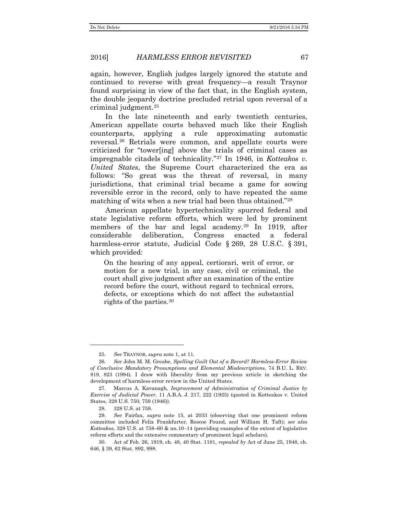again, however, English judges largely ignored the statute and continued to reverse with great frequency—a result Traynor found surprising in view of the fact that, in the English system, the double jeopardy doctrine precluded retrial upon reversal of a criminal judgment.[25](#page-9-0)

<span id="page-9-6"></span>In the late nineteenth and early twentieth centuries, American appellate courts behaved much like their English counterparts, applying a rule approximating automatic reversal.[26](#page-9-1) Retrials were common, and appellate courts were criticized for "tower[ing] above the trials of criminal cases as impregnable citadels of technicality.["27](#page-9-2) In 1946, in *Kotteakos v. United States*, the Supreme Court characterized the era as follows: "So great was the threat of reversal, in many jurisdictions, that criminal trial became a game for sowing reversible error in the record, only to have repeated the same matching of wits when a new trial had been thus obtained."[28](#page-9-3)

American appellate hypertechnicality spurred federal and state legislative reform efforts, which were led by prominent members of the bar and legal academy.<sup>[29](#page-9-4)</sup> In 1919, after considerable deliberation, Congress enacted a federal harmless-error statute, Judicial Code § 269, 28 U.S.C. § 391, which provided:

<span id="page-9-7"></span>On the hearing of any appeal, certiorari, writ of error, or motion for a new trial, in any case, civil or criminal, the court shall give judgment after an examination of the entire record before the court, without regard to technical errors, defects, or exceptions which do not affect the substantial rights of the parties.[30](#page-9-5)

<sup>25.</sup> *See* TRAYNOR, *supra* not[e 1,](#page-3-5) at 11.

<span id="page-9-1"></span><span id="page-9-0"></span><sup>26.</sup> *See* John M. M. Greabe, *Spelling Guilt Out of a Record? Harmless-Error Review of Conclusive Mandatory Presumptions and Elemental Misdescriptions*, 74 B.U. L. REV. 819, 823 (1994). I draw with liberality from my previous article in sketching the development of harmless-error review in the United States.

<span id="page-9-2"></span><sup>27.</sup> Marcus A. Kavanagh, *Improvement of Administration of Criminal Justice by Exercise of Judicial Power*, 11 A.B.A. J. 217, 222 (1925) (quoted in Kotteakos v. United States, 328 U.S. 750, 759 (1946)).

<sup>28.</sup> 328 U.S. at 759.

<span id="page-9-4"></span><span id="page-9-3"></span><sup>29.</sup> *See* Fairfax, *supra* note [15,](#page-5-6) at 2033 (observing that one prominent reform committee included Felix Frankfurter, Roscoe Pound, and William H. Taft); *see also Kotteakos*, 328 U.S. at 758–60 & nn.10–14 (providing examples of the extent of legislative reform efforts and the extensive commentary of prominent legal scholars).

<span id="page-9-5"></span><sup>30.</sup> Act of Feb. 26, 1919, ch. 48, 40 Stat. 1181, *repealed by* Act of June 25, 1948, ch. 646, § 39, 62 Stat. 892, 998.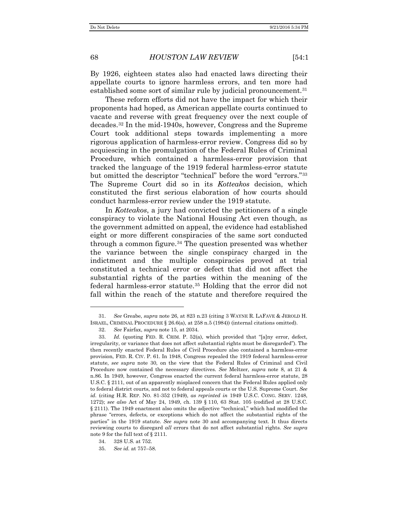#### 68 *HOUSTON LAW REVIEW* [54:1

<span id="page-10-6"></span><span id="page-10-5"></span>

By 1926, eighteen states also had enacted laws directing their appellate courts to ignore harmless errors, and ten more had established some sort of similar rule by judicial pronouncement.<sup>[31](#page-10-0)</sup>

These reform efforts did not have the impact for which their proponents had hoped, as American appellate courts continued to vacate and reverse with great frequency over the next couple of decades.[32](#page-10-1) In the mid-1940s, however, Congress and the Supreme Court took additional steps towards implementing a more rigorous application of harmless-error review. Congress did so by acquiescing in the promulgation of the Federal Rules of Criminal Procedure, which contained a harmless-error provision that tracked the language of the 1919 federal harmless-error statute but omitted the descriptor "technical" before the word "errors."[33](#page-10-2) The Supreme Court did so in its *Kotteakos* decision, which constituted the first serious elaboration of how courts should conduct harmless-error review under the 1919 statute.

<span id="page-10-7"></span>In *Kotteakos*, a jury had convicted the petitioners of a single conspiracy to violate the National Housing Act even though, as the government admitted on appeal, the evidence had established eight or more different conspiracies of the same sort conducted through a common figure[.34](#page-10-3) The question presented was whether the variance between the single conspiracy charged in the indictment and the multiple conspiracies proved at trial constituted a technical error or defect that did not affect the substantial rights of the parties within the meaning of the federal harmless-error statute.[35](#page-10-4) Holding that the error did not fall within the reach of the statute and therefore required the

<span id="page-10-0"></span><sup>31.</sup> *See* Greabe, *supra* note [26,](#page-9-6) at 823 n.23 (citing 3 WAYNE R. LAFAVE & JEROLD H. ISRAEL, CRIMINAL PROCEDURE § 26.6(a), at 258 n.5 (1984)) (internal citations omitted).

<sup>32.</sup> *See* Fairfax, *supra* note [15,](#page-5-6) at 2034.

<span id="page-10-2"></span><span id="page-10-1"></span><sup>33.</sup> *Id.* (quoting FED. R. CRIM. P. 52(a), which provided that "[a]ny error, defect, irregularity, or variance that does not affect substantial rights must be disregarded"). The then recently enacted Federal Rules of Civil Procedure also contained a harmless-error provision, FED. R. CIV. P. 61. In 1948, Congress repealed the 1919 federal harmless-error statute, *see supra* note [30,](#page-9-7) on the view that the Federal Rules of Criminal and Civil Procedure now contained the necessary directives. *See* Meltzer, *supra* note [8,](#page-4-6) at 21 & n.86. In 1949, however, Congress enacted the current federal harmless-error statute, 28 U.S.C. § 2111, out of an apparently misplaced concern that the Federal Rules applied only to federal district courts, and not to federal appeals courts or the U.S. Supreme Court. *See id.* (citing H.R. REP. NO. 81-352 (1949), *as reprinted in* 1949 U.S.C. CONG. SERV. 1248, 1272); *see also* Act of May 24, 1949, ch. 139 § 110, 63 Stat. 105 (codified at 28 U.S.C. § 2111). The 1949 enactment also omits the adjective "technical," which had modified the phrase "errors, defects, or exceptions which do not affect the substantial rights of the parties" in the 1919 statute. *See supra* note [30](#page-9-7) and accompanying text. It thus directs reviewing courts to disregard *all* errors that do not affect substantial rights. *See supra* note [9](#page-4-7) for the full text of § 2111.

<span id="page-10-3"></span><sup>34.</sup> 328 U.S. at 752.

<span id="page-10-4"></span><sup>35.</sup> *See id.* at 757–58.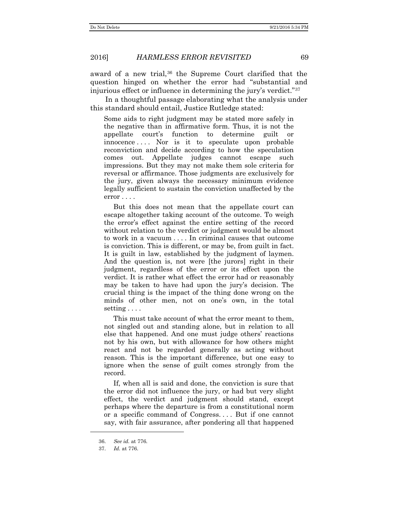award of a new trial,<sup>[36](#page-11-0)</sup> the Supreme Court clarified that the question hinged on whether the error had "substantial and injurious effect or influence in determining the jury's verdict."[37](#page-11-1)

In a thoughtful passage elaborating what the analysis under this standard should entail, Justice Rutledge stated:

Some aids to right judgment may be stated more safely in the negative than in affirmative form. Thus, it is not the appellate court's function to determine guilt or innocence . . . . Nor is it to speculate upon probable reconviction and decide according to how the speculation comes out. Appellate judges cannot escape such impressions. But they may not make them sole criteria for reversal or affirmance. Those judgments are exclusively for the jury, given always the necessary minimum evidence legally sufficient to sustain the conviction unaffected by the error . . . .

 But this does not mean that the appellate court can escape altogether taking account of the outcome. To weigh the error's effect against the entire setting of the record without relation to the verdict or judgment would be almost to work in a vacuum . . . . In criminal causes that outcome is conviction. This is different, or may be, from guilt in fact. It is guilt in law, established by the judgment of laymen. And the question is, not were [the jurors] right in their judgment, regardless of the error or its effect upon the verdict. It is rather what effect the error had or reasonably may be taken to have had upon the jury's decision. The crucial thing is the impact of the thing done wrong on the minds of other men, not on one's own, in the total setting . . . .

 This must take account of what the error meant to them, not singled out and standing alone, but in relation to all else that happened. And one must judge others' reactions not by his own, but with allowance for how others might react and not be regarded generally as acting without reason. This is the important difference, but one easy to ignore when the sense of guilt comes strongly from the record.

 If, when all is said and done, the conviction is sure that the error did not influence the jury, or had but very slight effect, the verdict and judgment should stand, except perhaps where the departure is from a constitutional norm or a specific command of Congress. . . . But if one cannot say, with fair assurance, after pondering all that happened

<span id="page-11-0"></span><sup>36.</sup> *See id.* at 776.

<span id="page-11-1"></span><sup>37.</sup> *Id.* at 776.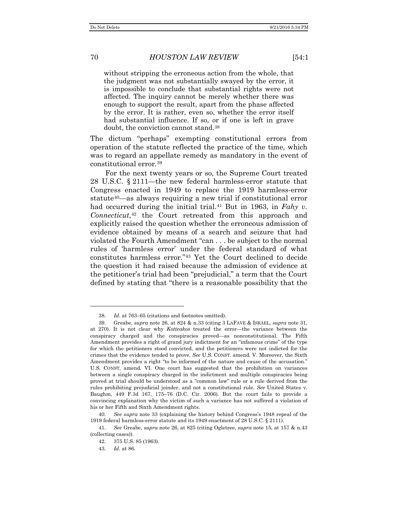70 *HOUSTON LAW REVIEW* [54:1

<span id="page-12-8"></span>without stripping the erroneous action from the whole, that the judgment was not substantially swayed by the error, it is impossible to conclude that substantial rights were not affected. The inquiry cannot be merely whether there was enough to support the result, apart from the phase affected by the error. It is rather, even so, whether the error itself had substantial influence. If so, or if one is left in grave doubt, the conviction cannot stand.[38](#page-12-0)

The dictum "perhaps" exempting constitutional errors from operation of the statute reflected the practice of the time, which was to regard an appellate remedy as mandatory in the event of constitutional error.[39](#page-12-1)

<span id="page-12-7"></span><span id="page-12-6"></span>For the next twenty years or so, the Supreme Court treated 28 U.S.C. § 2111—the new federal harmless-error statute that Congress enacted in 1949 to replace the 1919 harmless-error statute[40](#page-12-2)—as always requiring a new trial if constitutional error had occurred during the initial trial.<sup>[41](#page-12-3)</sup> But in 1963, in *Fahy v. Connecticut*,[42](#page-12-4) the Court retreated from this approach and explicitly raised the question whether the erroneous admission of evidence obtained by means of a search and seizure that had violated the Fourth Amendment "can . . . be subject to the normal rules of 'harmless error' under the federal standard of what constitutes harmless error."[43](#page-12-5) Yet the Court declined to decide the question it had raised because the admission of evidence at the petitioner's trial had been "prejudicial," a term that the Court defined by stating that "there is a reasonable possibility that the

<span id="page-12-2"></span>40. *See supra* note [33](#page-10-6) (explaining the history behind Congress's 1948 repeal of the 1919 federal harmless-error statute and its 1949 enactment of 28 U.S.C. § 2111).

<sup>38.</sup> *Id.* at 763–65 (citations and footnotes omitted).

<span id="page-12-1"></span><span id="page-12-0"></span><sup>39.</sup> Greabe, *supra* not[e 26,](#page-9-6) at 824 & n.33 (citing 3 LAFAVE & ISRAEL, *supra* note [31,](#page-10-5)  at 270). It is not clear why *Kotteakos* treated the error—the variance between the conspiracy charged and the conspiracies proved—as nonconstitutional. The Fifth Amendment provides a right of grand jury indictment for an "infamous crime" of the type for which the petitioners stood convicted, and the petitioners were not indicted for the crimes that the evidence tended to prove. *See* U.S. CONST. amend. V. Moreover, the Sixth Amendment provides a right "to be informed of the nature and cause of the accusation." U.S. CONST. amend. VI. One court has suggested that the prohibition on variances between a single conspiracy charged in the indictment and multiple conspiracies being proved at trial should be understood as a "common law" rule or a rule derived from the rules prohibiting prejudicial joinder, and not a constitutional rule. *See* United States v. Baughm, 449 F.3d 167, 175–76 (D.C. Cir. 2006). But the court fails to provide a convincing explanation why the victim of such a variance has not suffered a violation of his or her Fifth and Sixth Amendment rights.

<span id="page-12-5"></span><span id="page-12-4"></span><span id="page-12-3"></span><sup>41.</sup> *See* Greabe, *supra* not[e 26,](#page-9-6) at 825 (citing Ogletree, *supra* note [15,](#page-5-6) at 157 & n.43 (collecting cases)).

<sup>42.</sup> 375 U.S. 85 (1963).

<sup>43.</sup> *Id.* at 86.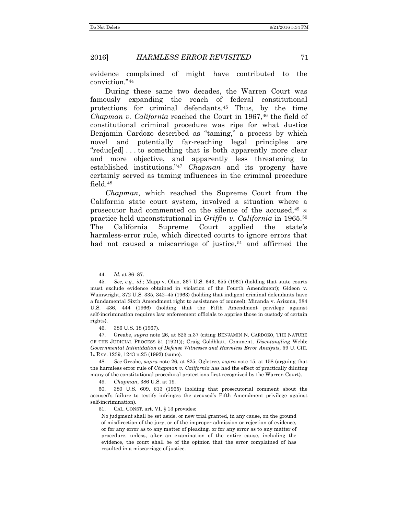<span id="page-13-8"></span>evidence complained of might have contributed to the conviction."[44](#page-13-0)

During these same two decades, the Warren Court was famously expanding the reach of federal constitutional protections for criminal defendants.[45](#page-13-1) Thus, by the time *Chapman v. California* reached the Court in 1967,<sup>[46](#page-13-2)</sup> the field of constitutional criminal procedure was ripe for what Justice Benjamin Cardozo described as "taming," a process by which novel and potentially far-reaching legal principles are "reduc[ed] . . . to something that is both apparently more clear and more objective, and apparently less threatening to established institutions."[47](#page-13-3) *Chapman* and its progeny have certainly served as taming influences in the criminal procedure field.[48](#page-13-4)

*Chapman*, which reached the Supreme Court from the California state court system, involved a situation where a prosecutor had commented on the silence of the accused,[49](#page-13-5) a practice held unconstitutional in *Griffin v. California* in 1965.[50](#page-13-6) The California Supreme Court applied the state's harmless-error rule, which directed courts to ignore errors that had not caused a miscarriage of justice,<sup>[51](#page-13-7)</sup> and affirmed the

<span id="page-13-9"></span><sup>44.</sup> *Id.* at 86–87.

<span id="page-13-1"></span><span id="page-13-0"></span><sup>45.</sup> *See, e.g.*, *id.*; Mapp v. Ohio, 367 U.S. 643, 655 (1961) (holding that state courts must exclude evidence obtained in violation of the Fourth Amendment); Gideon v. Wainwright, 372 U.S. 335, 342–45 (1963) (holding that indigent criminal defendants have a fundamental Sixth Amendment right to assistance of counsel); Miranda v. Arizona, 384 U.S. 436, 444 (1966) (holding that the Fifth Amendment privilege against self-incrimination requires law enforcement officials to apprise those in custody of certain rights).

<sup>46.</sup> 386 U.S. 18 (1967).

<span id="page-13-3"></span><span id="page-13-2"></span><sup>47.</sup> Greabe, *supra* note [26,](#page-9-6) at 825 n.37 (citing BENJAMIN N. CARDOZO, THE NATURE OF THE JUDICIAL PROCESS 51 (1921)); Craig Goldblatt, Comment, *Disentangling* Webb: *Governmental Intimidation of Defense Witnesses and Harmless Error Analysis*, 59 U. CHI. L. REV. 1239, 1243 n.25 (1992) (same).

<span id="page-13-4"></span><sup>48.</sup> *See* Greabe, *supra* not[e 26,](#page-9-6) at 825; Ogletree, *supra* note [15,](#page-5-6) at 158 (arguing that the harmless error rule of *Chapman v. California* has had the effect of practically diluting many of the constitutional procedural protections first recognized by the Warren Court).

<sup>49.</sup> *Chapman*, 386 U.S. at 19.

<span id="page-13-7"></span><span id="page-13-6"></span><span id="page-13-5"></span><sup>50.</sup> 380 U.S. 609, 613 (1965) (holding that prosecutorial comment about the accused's failure to testify infringes the accused's Fifth Amendment privilege against self-incrimination).

<sup>51.</sup> CAL. CONST. art. VI, § 13 provides:

No judgment shall be set aside, or new trial granted, in any cause, on the ground of misdirection of the jury, or of the improper admission or rejection of evidence, or for any error as to any matter of pleading, or for any error as to any matter of procedure, unless, after an examination of the entire cause, including the evidence, the court shall be of the opinion that the error complained of has resulted in a miscarriage of justice.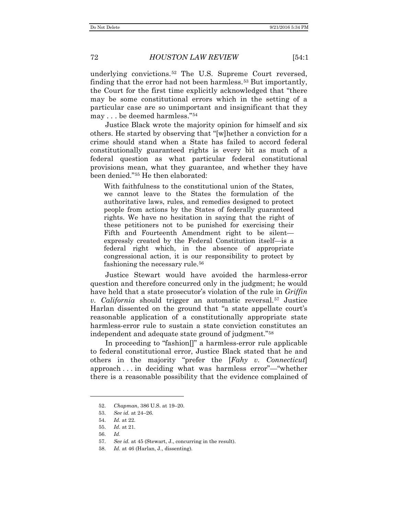underlying convictions.[52](#page-14-0) The U.S. Supreme Court reversed, finding that the error had not been harmless.<sup>[53](#page-14-1)</sup> But importantly, the Court for the first time explicitly acknowledged that "there may be some constitutional errors which in the setting of a particular case are so unimportant and insignificant that they may . . . be deemed harmless."[54](#page-14-2)

Justice Black wrote the majority opinion for himself and six others. He started by observing that "[w]hether a conviction for a crime should stand when a State has failed to accord federal constitutionally guaranteed rights is every bit as much of a federal question as what particular federal constitutional provisions mean, what they guarantee, and whether they have been denied.["55](#page-14-3) He then elaborated:

<span id="page-14-7"></span>With faithfulness to the constitutional union of the States, we cannot leave to the States the formulation of the authoritative laws, rules, and remedies designed to protect people from actions by the States of federally guaranteed rights. We have no hesitation in saying that the right of these petitioners not to be punished for exercising their Fifth and Fourteenth Amendment right to be silent expressly created by the Federal Constitution itself—is a federal right which, in the absence of appropriate congressional action, it is our responsibility to protect by fashioning the necessary rule.[56](#page-14-4)

Justice Stewart would have avoided the harmless-error question and therefore concurred only in the judgment; he would have held that a state prosecutor's violation of the rule in *Griffin v. California* should trigger an automatic reversal.[57](#page-14-5) Justice Harlan dissented on the ground that "a state appellate court's reasonable application of a constitutionally appropriate state harmless-error rule to sustain a state conviction constitutes an independent and adequate state ground of judgment."[58](#page-14-6)

<span id="page-14-8"></span>In proceeding to "fashion[]" a harmless-error rule applicable to federal constitutional error, Justice Black stated that he and others in the majority "prefer the [*Fahy v. Connecticut*] approach . . . in deciding what was harmless error"—"whether there is a reasonable possibility that the evidence complained of

<span id="page-14-0"></span><sup>52.</sup> *Chapman*, 386 U.S. at 19–20.

<span id="page-14-1"></span><sup>53.</sup> *See id.* at 24–26.

<sup>54.</sup> *Id.* at 22.

<span id="page-14-4"></span><span id="page-14-3"></span><span id="page-14-2"></span><sup>55.</sup> *Id.* at 21.

<sup>56.</sup> *Id.*

<span id="page-14-5"></span><sup>57.</sup> *See id.* at 45 (Stewart, J., concurring in the result).

<span id="page-14-6"></span><sup>58.</sup> *Id.* at 46 (Harlan, J., dissenting).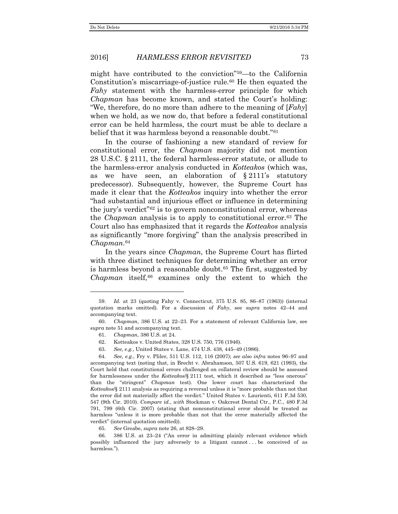might have contributed to the conviction"[59](#page-15-0)—to the California Constitution's miscarriage-of-justice rule.<sup>[60](#page-15-1)</sup> He then equated the *Fahy* statement with the harmless-error principle for which *Chapman* has become known, and stated the Court's holding: "We, therefore, do no more than adhere to the meaning of [*Fahy*] when we hold, as we now do, that before a federal constitutional error can be held harmless, the court must be able to declare a belief that it was harmless beyond a reasonable doubt."[61](#page-15-2)

In the course of fashioning a new standard of review for constitutional error, the *Chapman* majority did not mention 28 U.S.C. § 2111, the federal harmless-error statute, or allude to the harmless-error analysis conducted in *Kotteakos* (which was, as we have seen, an elaboration of § 2111's statutory predecessor). Subsequently, however, the Supreme Court has made it clear that the *Kotteakos* inquiry into whether the error "had substantial and injurious effect or influence in determining the jury's verdict"[62](#page-15-3) is to govern nonconstitutional error, whereas the *Chapman* analysis is to apply to constitutional error.[63](#page-15-4) The Court also has emphasized that it regards the *Kotteakos* analysis as significantly "more forgiving" than the analysis prescribed in *Chapman*.[64](#page-15-5)

<span id="page-15-13"></span><span id="page-15-10"></span><span id="page-15-8"></span>In the years since *Chapman*, the Supreme Court has flirted with three distinct techniques for determining whether an error is harmless beyond a reasonable doubt.[65](#page-15-6) The first, suggested by *Chapman* itself,<sup>[66](#page-15-7)</sup> examines only the extent to which the

-

63. *See, e.g.*, United States v. Lane, 474 U.S. 438, 445–49 (1986).

<span id="page-15-5"></span><span id="page-15-4"></span><span id="page-15-3"></span>64. *See, e.g.*, Fry v. Pliler, 511 U.S. 112, 116 (2007); *see also infra* notes [96](#page-19-0)[–97](#page-19-1) and accompanying text (noting that, in Brecht v. Abrahamson, 507 U.S. 619, 621 (1993), the Court held that constitutional errors challenged on collateral review should be assessed for harmlessness under the *Kotteakos*/§ 2111 test, which it described as "less onerous" than the "stringent" *Chapman* test). One lower court has characterized the *Kotteakos*/§ 2111 analysis as requiring a reversal unless it is "more probable than not that the error did not materially affect the verdict." United States v. Laurienti, 611 F.3d 530, 547 (9th Cir. 2010). *Compare id.*, *with* Stockman v. Oakcrest Dental Ctr., P.C., 480 F.3d 791, 799 (6th Cir. 2007) (stating that nonconstitutional error should be treated as harmless "unless it is more probable than not that the error materially affected the verdict" (internal quotation omitted)).

65. *See* Greabe, *supra* not[e 26,](#page-9-6) at 828–29.

<span id="page-15-7"></span><span id="page-15-6"></span>66. 386 U.S. at 23–24 ("An error in admitting plainly relevant evidence which possibly influenced the jury adversely to a litigant cannot . . . be conceived of as harmless.").

<span id="page-15-12"></span><span id="page-15-11"></span><span id="page-15-9"></span>

<span id="page-15-0"></span><sup>59.</sup> *Id.* at 23 (quoting Fahy v. Connecticut, 375 U.S. 85, 86–87 (1963)) (internal quotation marks omitted). For a discussion of *Fahy*, see *supra* notes [42](#page-12-6)[–44](#page-13-8) and accompanying text.

<span id="page-15-2"></span><span id="page-15-1"></span><sup>60.</sup> *Chapman*, 386 U.S. at 22–23. For a statement of relevant California law, see *supra* not[e 51](#page-13-9) and accompanying text.

<sup>61.</sup> *Chapman*, 386 U.S. at 24.

<sup>62.</sup> Kotteakos v. United States, 328 U.S. 750, 776 (1946).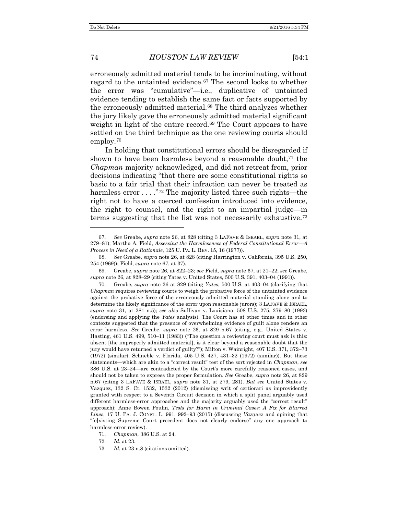-

#### 74 *HOUSTON LAW REVIEW* [54:1

<span id="page-16-0"></span>

erroneously admitted material tends to be incriminating, without regard to the untainted evidence.<sup>[67](#page-16-1)</sup> The second looks to whether the error was "cumulative"—i.e., duplicative of untainted evidence tending to establish the same fact or facts supported by the erroneously admitted material.[68](#page-16-2) The third analyzes whether the jury likely gave the erroneously admitted material significant weight in light of the entire record.<sup>[69](#page-16-3)</sup> The Court appears to have settled on the third technique as the one reviewing courts should employ.[70](#page-16-4)

<span id="page-16-8"></span>In holding that constitutional errors should be disregarded if shown to have been harmless beyond a reasonable doubt, $71$  the *Chapman* majority acknowledged, and did not retreat from, prior decisions indicating "that there are some constitutional rights so basic to a fair trial that their infraction can never be treated as harmless error . . . ."[72](#page-16-6) The majority listed three such rights—the right not to have a coerced confession introduced into evidence, the right to counsel, and the right to an impartial judge—in terms suggesting that the list was not necessarily exhaustive.[73](#page-16-7)

<span id="page-16-1"></span><sup>67.</sup> *See* Greabe, *supra* note [26,](#page-9-6) at 828 (citing 3 LAFAVE & ISRAEL, *supra* note [31,](#page-10-5) at 279–81); Martha A. Field, *Assessing the Harmlessness of Federal Constitutional Error—A Process in Need of a Rationale*, 125 U. PA. L. REV. 15, 16 (1977)).

<span id="page-16-2"></span><sup>68.</sup> *See* Greabe, *supra* note [26,](#page-9-6) at 828 (citing Harrington v. California, 395 U.S. 250, 254 (1969)); Field, *supra* note [67,](#page-16-0) at 37).

<span id="page-16-3"></span><sup>69.</sup> Greabe, *supra* note [26,](#page-9-6) at 822–23; *see* Field, *supra* note [67,](#page-16-0) at 21–22; *see* Greabe, *supra* not[e 26,](#page-9-6) at 828–29 (citing Yates v. United States, 500 U.S. 391, 403–04 (1991)).

<span id="page-16-4"></span><sup>70.</sup> Greabe, *supra* note [26](#page-9-6) at 829 (citing *Yates*, 500 U.S. at 403–04 (clarifying that *Chapman* requires reviewing courts to weigh the probative force of the untainted evidence against the probative force of the erroneously admitted material standing alone and to determine the likely significance of the error upon reasonable jurors); 3 LAFAVE & ISRAEL, *supra* note [31,](#page-10-5) at 281 n.5); *see also* Sullivan v. Louisiana, 508 U.S. 275, 279–80 (1993) (endorsing and applying the *Yates* analysis). The Court has at other times and in other contexts suggested that the presence of overwhelming evidence of guilt alone renders an error harmless. *See* Greabe, *supra* note [26,](#page-9-6) at 829 n.67 (citing, e.g., United States v. Hasting, 461 U.S. 499, 510–11 (1983)) ("The question a reviewing court must ask is this: absent [the improperly admitted material], is it clear beyond a reasonable doubt that the jury would have returned a verdict of guilty?"); Milton v. Wainright, 407 U.S. 371, 372–73 (1972) (similar); Schneble v. Florida, 405 U.S. 427, 431–32 (1972) (similar)). But these statements—which are akin to a "correct result" test of the sort rejected in *Chapman*, *see*  386 U.S. at 23–24—are contradicted by the Court's more carefully reasoned cases, and should not be taken to express the proper formulation. *See* Greabe, *supra* not[e 26,](#page-9-6) at 829 n.67 (citing 3 LAFAVE & ISRAEL, *supra* note [31,](#page-10-5) at 279, 281). *But see* United States v. Vazquez, 132 S. Ct. 1532, 1532 (2012) (dismissing writ of certiorari as improvidently granted with respect to a Seventh Circuit decision in which a split panel arguably used different harmless-error approaches and the majority arguably used the "correct result" approach); Anne Bowen Poulin, *Tests for Harm in Criminal Cases: A Fix for Blurred Lines*, 17 U. PA. J. CONST. L. 991, 992–93 (2015) (discussing *Vazquez* and opining that "[e]xisting Supreme Court precedent does not clearly endorse" any one approach to harmless-error review).

<sup>71.</sup> *Chapman*, 386 U.S. at 24.

<span id="page-16-6"></span><span id="page-16-5"></span><sup>72.</sup> *Id.* at 23.

<span id="page-16-7"></span><sup>73.</sup> *Id.* at 23 n.8 (citations omitted).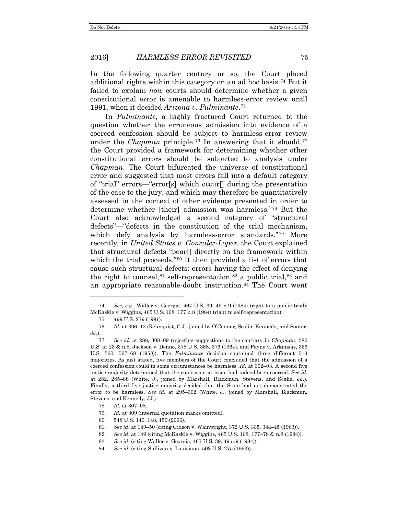In the following quarter century or so, the Court placed additional rights within this category on an ad hoc basis.[74](#page-17-0) But it failed to explain *how* courts should determine whether a given constitutional error is amenable to harmless-error review until 1991, when it decided *Arizona v. Fulminante*.[75](#page-17-1)

<span id="page-17-15"></span><span id="page-17-14"></span><span id="page-17-13"></span>In *Fulminante*, a highly fractured Court returned to the question whether the erroneous admission into evidence of a coerced confession should be subject to harmless-error review under the *Chapman* principle.<sup>[76](#page-17-2)</sup> In answering that it should,<sup>[77](#page-17-3)</sup> the Court provided a framework for determining whether other constitutional errors should be subjected to analysis under *Chapman*. The Court bifurcated the universe of constitutional error and suggested that most errors fall into a default category of "trial" errors—"error[s] which occur[] during the presentation of the case to the jury, and which may therefore be quantitatively assessed in the context of other evidence presented in order to determine whether [their] admission was harmless."[78](#page-17-4) But the Court also acknowledged a second category of "structural defects"—"defects in the constitution of the trial mechanism, which defy analysis by harmless-error standards."<sup>[79](#page-17-5)</sup> More recently, in *United States v. Gonzalez-Lopez*, the Court explained that structural defects "bear[] directly on the framework within which the trial proceeds."<sup>[80](#page-17-6)</sup> It then provided a list of errors that cause such structural defects: errors having the effect of denying the right to counsel,  $81$  self-representation,  $82$  a public trial,  $83$  and an appropriate reasonable-doubt instruction.<sup>[84](#page-17-10)</sup> The Court went

<span id="page-17-12"></span><span id="page-17-11"></span>1

<span id="page-17-6"></span><span id="page-17-5"></span><span id="page-17-4"></span>79. *Id.* at 309 (internal quotation marks omitted).

- <span id="page-17-8"></span>82. *See id.* at 149 (citing McKaskle v. Wiggins, 465 U.S. 168, 177–78 & n.8 (1984)).
- 83. *See id.* (citing Waller v. Georgia, 467 U.S. 39, 49 n.9 (1984)).

<span id="page-17-0"></span><sup>74.</sup> *See, e.g.*, Waller v. Georgia, 467 U.S. 39, 49 n.9 (1984) (right to a public trial); McKaskle v. Wiggins, 465 U.S. 168, 177 n.8 (1984) (right to self-representation).

<sup>75.</sup> 499 U.S. 279 (1991).

<span id="page-17-2"></span><span id="page-17-1"></span><sup>76.</sup> *Id.* at 306–12 (Rehnquist, C.J., joined by O'Connor, Scalia, Kennedy, and Souter, JJ.).

<span id="page-17-3"></span><sup>77.</sup> *See id.* at 288, 308–09 (rejecting suggestions to the contrary in *Chapman*, 386 U.S. at 23 & n.8, Jackson v. Denno, 378 U.S. 368, 376 (1964), and Payne v. Arkansas, 356 U.S. 560, 567–68 (1958)). The *Fulminante* decision contained three different 5–4 majorities. As just stated, five members of the Court concluded that the admission of a coerced confession could in some circumstances be harmless. *Id.* at 302–03. A second five justice majority determined that the confession at issue had indeed been coerced. *See id.* at 282, 285–88 (White, J., joined by Marshall, Blackmun, Stevens, and Scalia, JJ.). Finally, a third five justice majority decided that the State had not demonstrated the error to be harmless. *See id.* at 295–302 (White, J., joined by Marshall, Blackmun, Stevens, and Kennedy, JJ.).

<sup>78.</sup> *Id.* at 307–08.

<sup>80.</sup> 548 U.S. 140, 148, 150 (2006).

<span id="page-17-7"></span><sup>81.</sup> *See id.* at 149–50 (citing Gideon v. Wainwright, 372 U.S. 335, 344–45 (1963)).

<span id="page-17-10"></span><span id="page-17-9"></span><sup>84.</sup> *See id.* (citing Sullivan v. Louisiana, 508 U.S. 275 (1993)).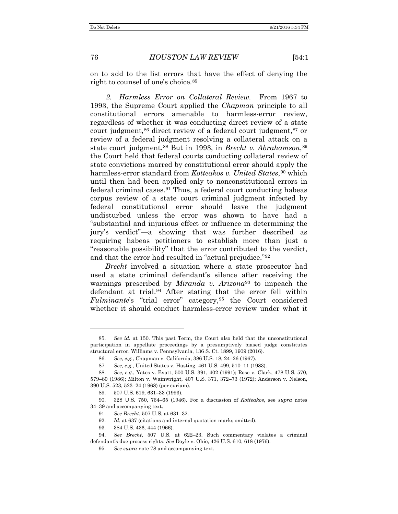-

76 *HOUSTON LAW REVIEW* [54:1

<span id="page-18-13"></span><span id="page-18-11"></span>

on to add to the list errors that have the effect of denying the right to counsel of one's choice.[85](#page-18-0)

*2. Harmless Error on Collateral Review.* From 1967 to 1993, the Supreme Court applied the *Chapman* principle to all constitutional errors amenable to harmless-error review, regardless of whether it was conducting direct review of a state court judgment,<sup>[86](#page-18-1)</sup> direct review of a federal court judgment,<sup>87</sup> or review of a federal judgment resolving a collateral attack on a state court judgment.[88](#page-18-3) But in 1993, in *Brecht v. Abrahamson*,[89](#page-18-4) the Court held that federal courts conducting collateral review of state convictions marred by constitutional error should apply the harmless-error standard from *Kotteakos v. United States*,<sup>[90](#page-18-5)</sup> which until then had been applied only to nonconstitutional errors in federal criminal cases.[91](#page-18-6) Thus, a federal court conducting habeas corpus review of a state court criminal judgment infected by federal constitutional error should leave the judgment undisturbed unless the error was shown to have had a "substantial and injurious effect or influence in determining the jury's verdict"—a showing that was further described as requiring habeas petitioners to establish more than just a "reasonable possibility" that the error contributed to the verdict, and that the error had resulted in "actual prejudice."[92](#page-18-7)

<span id="page-18-14"></span><span id="page-18-12"></span>*Brecht* involved a situation where a state prosecutor had used a state criminal defendant's silence after receiving the warnings prescribed by *Miranda v. Arizona*[93](#page-18-8) to impeach the defendant at trial[.94](#page-18-9) After stating that the error fell within *Fulminante*'s "trial error" category,<sup>[95](#page-18-10)</sup> the Court considered whether it should conduct harmless-error review under what it

<span id="page-18-0"></span><sup>85.</sup> *See id.* at 150. This past Term, the Court also held that the unconstitutional participation in appellate proceedings by a presumptively biased judge constitutes structural error. Williams v. Pennsylvania, 136 S. Ct. 1899, 1909 (2016).

<sup>86.</sup> *See, e.g.*, Chapman v. California, 386 U.S. 18, 24–26 (1967).

<sup>87.</sup> *See, e.g.*, United States v. Hasting, 461 U.S. 499, 510–11 (1983).

<span id="page-18-3"></span><span id="page-18-2"></span><span id="page-18-1"></span><sup>88.</sup> *See, e.g.*, Yates v. Evatt, 500 U.S. 391, 402 (1991); Rose v. Clark, 478 U.S. 570, 579–80 (1986); Milton v. Wainwright, 407 U.S. 371, 372–73 (1972); Anderson v. Nelson, 390 U.S. 523, 523–24 (1968) (per curiam).

<sup>89.</sup> 507 U.S. 619, 631–33 (1993).

<span id="page-18-6"></span><span id="page-18-5"></span><span id="page-18-4"></span><sup>90.</sup> 328 U.S. 750, 764–65 (1946). For a discussion of *Kotteakos*, see *supra* notes [34](#page-10-7)[–39](#page-12-7) and accompanying text.

<sup>91.</sup> *See Brecht*, 507 U.S. at 631–32.

<sup>92.</sup> *Id.* at 637 (citations and internal quotation marks omitted).

<sup>93.</sup> 384 U.S. 436, 444 (1966).

<span id="page-18-10"></span><span id="page-18-9"></span><span id="page-18-8"></span><span id="page-18-7"></span><sup>94.</sup> *See Brecht*, 507 U.S. at 622–23. Such commentary violates a criminal defendant's due process rights. *See* Doyle v. Ohio, 426 U.S. 610, 618 (1976).

<sup>95.</sup> *See supra* not[e 78](#page-17-11) and accompanying text.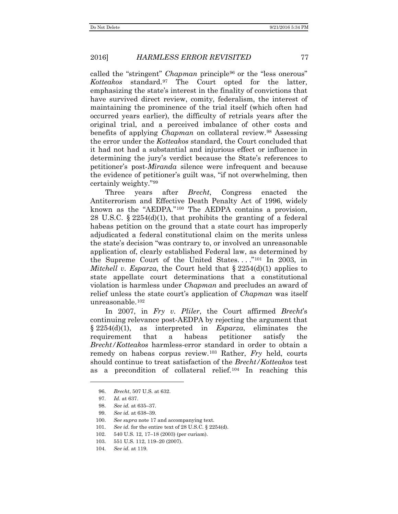<span id="page-19-17"></span><span id="page-19-1"></span><span id="page-19-0"></span>called the "stringent" *Chapman* principle<sup>[96](#page-19-2)</sup> or the "less onerous" *Kotteakos* standard.[97](#page-19-3) The Court opted for the latter, emphasizing the state's interest in the finality of convictions that have survived direct review, comity, federalism, the interest of maintaining the prominence of the trial itself (which often had occurred years earlier), the difficulty of retrials years after the original trial, and a perceived imbalance of other costs and benefits of applying *Chapman* on collateral review.<sup>[98](#page-19-4)</sup> Assessing the error under the *Kotteakos* standard, the Court concluded that it had not had a substantial and injurious effect or influence in determining the jury's verdict because the State's references to petitioner's post-*Miranda* silence were infrequent and because the evidence of petitioner's guilt was, "if not overwhelming, then certainly weighty.["99](#page-19-5)

<span id="page-19-13"></span><span id="page-19-12"></span>Three years after *Brecht*, Congress enacted the Antiterrorism and Effective Death Penalty Act of 1996, widely known as the "AEDPA."[100](#page-19-6) The AEDPA contains a provision, 28 U.S.C. § 2254(d)(1), that prohibits the granting of a federal habeas petition on the ground that a state court has improperly adjudicated a federal constitutional claim on the merits unless the state's decision "was contrary to, or involved an unreasonable application of, clearly established Federal law, as determined by the Supreme Court of the United States. . . ."[101](#page-19-7) In 2003, in *Mitchell v. Esparza*, the Court held that § 2254(d)(1) applies to state appellate court determinations that a constitutional violation is harmless under *Chapman* and precludes an award of relief unless the state court's application of *Chapman* was itself unreasonable.[102](#page-19-8)

<span id="page-19-14"></span><span id="page-19-11"></span>In 2007, in *Fry v. Pliler*, the Court affirmed *Brecht*'s continuing relevance post-AEDPA by rejecting the argument that § 2254(d)(1), as interpreted in *Esparza*, eliminates the requirement that a habeas petitioner satisfy the *Brecht/Kotteakos* harmless-error standard in order to obtain a remedy on habeas corpus review.[103](#page-19-9) Rather, *Fry* held, courts should continue to treat satisfaction of the *Brecht/Kotteakos* test as a precondition of collateral relief.[104](#page-19-10) In reaching this

<span id="page-19-16"></span><span id="page-19-15"></span><span id="page-19-2"></span><sup>96.</sup> *Brecht*, 507 U.S. at 632.

<sup>97.</sup> *Id.* at 637.

<sup>98.</sup> *See id.* at 635–37.

<span id="page-19-4"></span><span id="page-19-3"></span><sup>99.</sup> *See id.* at 638–39.

<span id="page-19-6"></span><span id="page-19-5"></span><sup>100.</sup> *See supra* not[e 17](#page-5-7) and accompanying text.

<span id="page-19-7"></span><sup>101.</sup> *See id.* for the entire text of 28 U.S.C. § 2254(d).

<span id="page-19-8"></span><sup>102.</sup> 540 U.S. 12, 17–18 (2003) (per curiam).

<span id="page-19-9"></span><sup>103.</sup> 551 U.S. 112, 119–20 (2007).

<span id="page-19-10"></span><sup>104.</sup> *See id.* at 119.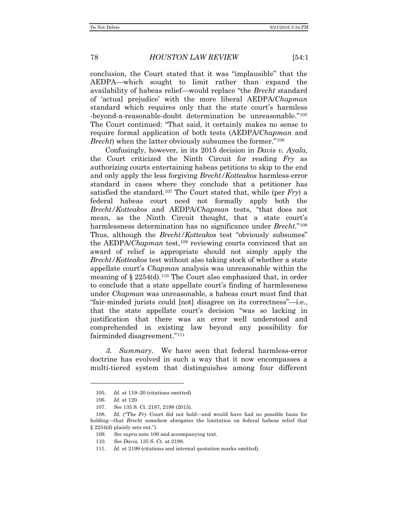conclusion, the Court stated that it was "implausible" that the AEDPA—which sought to limit rather than expand the availability of habeas relief—would replace "the *Brecht* standard of 'actual prejudice' with the more liberal AEDPA/*Chapman* standard which requires only that the state court's harmless -beyond-a-reasonable-doubt determination be unreasonable."[105](#page-20-1) The Court continued: "That said, it certainly makes no sense to require formal application of both tests (AEDPA/*Chapman* and *Brecht*) when the latter obviously subsumes the former."<sup>[106](#page-20-2)</sup>

<span id="page-20-11"></span><span id="page-20-10"></span><span id="page-20-9"></span><span id="page-20-0"></span>Confusingly, however, in its 2015 decision in *Davis v. Ayala*, the Court criticized the Ninth Circuit for reading *Fry* as authorizing courts entertaining habeas petitions to skip to the end and only apply the less forgiving *Brecht/Kotteakos* harmless-error standard in cases where they conclude that a petitioner has satisfied the standard[.107](#page-20-3) The Court stated that, while (per *Fry*) a federal habeas court need not formally apply both the *Brecht/Kotteakos* and AEDPA/*Chapman* tests, "that does not mean, as the Ninth Circuit thought, that a state court's harmlessness determination has no significance under *Brecht*.["108](#page-20-4) Thus, although the *Brecht/Kotteakos* test "obviously subsumes" the AEDPA/*Chapman* test,<sup>109</sup> reviewing courts convinced that an award of relief is appropriate should not simply apply the *Brecht/Kotteakos* test without also taking stock of whether a state appellate court's *Chapman* analysis was unreasonable within the meaning of  $\S 2254(d)$ .<sup>[110](#page-20-6)</sup> The Court also emphasized that, in order to conclude that a state appellate court's finding of harmlessness under *Chapman* was unreasonable, a habeas court must find that "fair-minded jurists could [not] disagree on its correctness"—i.e., that the state appellate court's decision "was so lacking in justification that there was an error well understood and comprehended in existing law beyond any possibility for fairminded disagreement."[111](#page-20-7)

<span id="page-20-8"></span>*3. Summary.* We have seen that federal harmless-error doctrine has evolved in such a way that it now encompasses a multi-tiered system that distinguishes among four different

<sup>105.</sup> *Id.* at 119–20 (citations omitted)

<sup>106.</sup> *Id.* at 120.

<sup>107.</sup> *See* 135 S. Ct. 2187, 2198 (2015).

<span id="page-20-6"></span><span id="page-20-5"></span><span id="page-20-4"></span><span id="page-20-3"></span><span id="page-20-2"></span><span id="page-20-1"></span><sup>108.</sup> *Id.* ("The *Fry* Court did not hold—and would have had no possible basis for holding—that *Brecht* somehow abrogates the limitation on federal habeas relief that § 2254(d) plainly sets out.").

<sup>109.</sup> *See supra* not[e 106](#page-20-0) and accompanying text.

<sup>110.</sup> *See Davis*, 135 S. Ct. at 2198.

<span id="page-20-7"></span><sup>111.</sup> *Id.* at 2199 (citations and internal quotation marks omitted).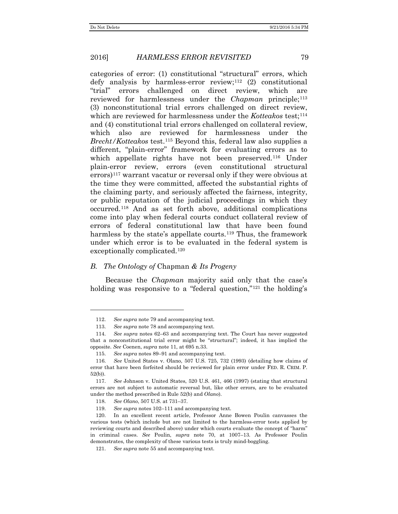categories of error: (1) constitutional "structural" errors, which defy analysis by harmless-error review; $^{112}$  $^{112}$  $^{112}$  (2) constitutional "trial" errors challenged on direct review, which are reviewed for harmlessness under the *Chapman* principle;<sup>[113](#page-21-1)</sup> (3) nonconstitutional trial errors challenged on direct review, which are reviewed for harmlessness under the *Kotteakos* test;<sup>[114](#page-21-2)</sup> and (4) constitutional trial errors challenged on collateral review, which also are reviewed for harmlessness under the *Brecht/Kotteakos* test.[115](#page-21-3) Beyond this, federal law also supplies a different, "plain-error" framework for evaluating errors as to which appellate rights have not been preserved.<sup>[116](#page-21-4)</sup> Under plain-error review, errors (even constitutional structural errors)<sup>[117](#page-21-5)</sup> warrant vacatur or reversal only if they were obvious at the time they were committed, affected the substantial rights of the claiming party, and seriously affected the fairness, integrity, or public reputation of the judicial proceedings in which they occurred.[118](#page-21-6) And as set forth above, additional complications come into play when federal courts conduct collateral review of errors of federal constitutional law that have been found harmless by the state's appellate courts.<sup>119</sup> Thus, the framework under which error is to be evaluated in the federal system is exceptionally complicated.[120](#page-21-8)

#### *B. The Ontology of* Chapman *& Its Progeny*

Because the *Chapman* majority said only that the case's holding was responsive to a "federal question,"<sup>[121](#page-21-9)</sup> the holding's

<sup>112.</sup> *See supra* not[e 79](#page-17-12) and accompanying text.

<sup>113.</sup> *See supra* not[e 78](#page-17-11) and accompanying text.

<span id="page-21-2"></span><span id="page-21-1"></span><span id="page-21-0"></span><sup>114.</sup> *See supra* notes [62](#page-15-8)[–63](#page-15-9) and accompanying text. The Court has never suggested that a nonconstitutional trial error might be "structural"; indeed, it has implied the opposite. *See* Coenen, *supra* not[e 11,](#page-4-8) at 695 n.33.

<sup>115.</sup> *See supra* notes [89](#page-18-11)[–91](#page-18-12) and accompanying text.

<span id="page-21-4"></span><span id="page-21-3"></span><sup>116.</sup> *See* United States v. Olano, 507 U.S. 725, 732 (1993) (detailing how claims of error that have been forfeited should be reviewed for plain error under FED. R. CRIM. P. 52(b)).

<span id="page-21-5"></span><sup>117.</sup> *See* Johnson v. United States, 520 U.S. 461, 466 (1997) (stating that structural errors are not subject to automatic reversal but, like other errors, are to be evaluated under the method prescribed in Rule 52(b) and *Olano*).

<sup>118.</sup> *See Olano*, 507 U.S. at 731–37.

<sup>119.</sup> *See supra* notes [102–](#page-19-11)[111](#page-20-8) and accompanying text.

<span id="page-21-8"></span><span id="page-21-7"></span><span id="page-21-6"></span><sup>120.</sup> In an excellent recent article, Professor Anne Bowen Poulin canvasses the various tests (which include but are not limited to the harmless-error tests applied by reviewing courts and described above) under which courts evaluate the concept of "harm" in criminal cases. *See* Poulin, *supra* note [70,](#page-16-8) at 1007–13. As Professor Poulin demonstrates, the complexity of these various tests is truly mind-boggling.

<span id="page-21-9"></span><sup>121.</sup> *See supra* not[e 55](#page-14-7) and accompanying text.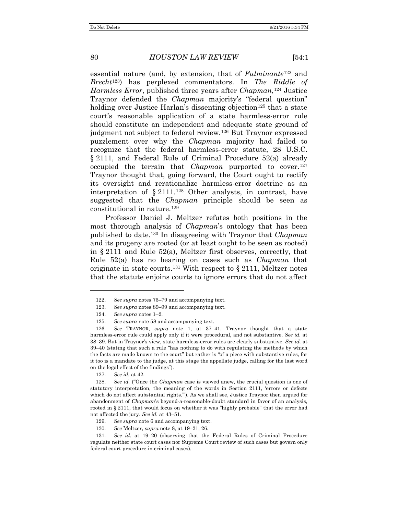essential nature (and, by extension, that of *Fulminante*[122](#page-22-0) and *Brecht*[123](#page-22-1)) has perplexed commentators. In *The Riddle of Harmless Error*, published three years after *Chapman*,[124](#page-22-2) Justice Traynor defended the *Chapman* majority's "federal question" holding over Justice Harlan's dissenting objection<sup>[125](#page-22-3)</sup> that a state court's reasonable application of a state harmless-error rule should constitute an independent and adequate state ground of judgment not subject to federal review.[126](#page-22-4) But Traynor expressed puzzlement over why the *Chapman* majority had failed to recognize that the federal harmless-error statute, 28 U.S.C. § 2111, and Federal Rule of Criminal Procedure 52(a) already occupied the terrain that *Chapman* purported to cover.[127](#page-22-5) Traynor thought that, going forward, the Court ought to rectify its oversight and rerationalize harmless-error doctrine as an interpretation of  $\S 2111$ .<sup>[128](#page-22-6)</sup> Other analysts, in contrast, have suggested that the *Chapman* principle should be seen as constitutional in nature.[129](#page-22-7)

Professor Daniel J. Meltzer refutes both positions in the most thorough analysis of *Chapman*'s ontology that has been published to date.[130](#page-22-8) In disagreeing with Traynor that *Chapman* and its progeny are rooted (or at least ought to be seen as rooted) in § 2111 and Rule 52(a), Meltzer first observes, correctly, that Rule 52(a) has no bearing on cases such as *Chapman* that originate in state courts.<sup>[131](#page-22-9)</sup> With respect to  $\S$  2111, Meltzer notes that the statute enjoins courts to ignore errors that do not affect

<span id="page-22-0"></span>1

127. *See id.* at 42.

<span id="page-22-10"></span><sup>122.</sup> *See supra* notes [75](#page-17-13)[–79](#page-17-12) and accompanying text.

<sup>123.</sup> *See supra* notes [89](#page-18-11)[–99](#page-19-12) and accompanying text.

<sup>124.</sup> *See supra* notes [1–](#page-3-5)[2.](#page-3-6)

<sup>125.</sup> *See supra* not[e 58](#page-14-8) and accompanying text.

<span id="page-22-4"></span><span id="page-22-3"></span><span id="page-22-2"></span><span id="page-22-1"></span><sup>126.</sup> *See* TRAYNOR, *supra* note [1,](#page-3-5) at 37–41. Traynor thought that a state harmless-error rule could apply only if it were procedural, and not substantive. *See id.* at 38–39. But in Traynor's view, state harmless-error rules are clearly substantive. *See id.* at 39–40 (stating that such a rule "has nothing to do with regulating the methods by which the facts are made known to the court" but rather is "of a piece with substantive rules, for it too is a mandate to the judge, at this stage the appellate judge, calling for the last word on the legal effect of the findings").

<span id="page-22-6"></span><span id="page-22-5"></span><sup>128.</sup> *See id.* ("Once the *Chapman* case is viewed anew, the crucial question is one of statutory interpretation, the meaning of the words in Section 2111, 'errors or defects which do not affect substantial rights.'"). As we shall see, Justice Traynor then argued for abandonment of *Chapman*'s beyond-a-reasonable-doubt standard in favor of an analysis, rooted in § 2111, that would focus on whether it was "highly probable" that the error had not affected the jury. *See id.* at 43–51.

<sup>129.</sup> *See supra* not[e 6](#page-4-9) and accompanying text.

<sup>130.</sup> *See* Meltzer, *supra* not[e 8,](#page-4-6) at 19–21, 26.

<span id="page-22-9"></span><span id="page-22-8"></span><span id="page-22-7"></span><sup>131.</sup> *See id.* at 19–20 (observing that the Federal Rules of Criminal Procedure regulate neither state court cases nor Supreme Court review of such cases but govern only federal court procedure in criminal cases).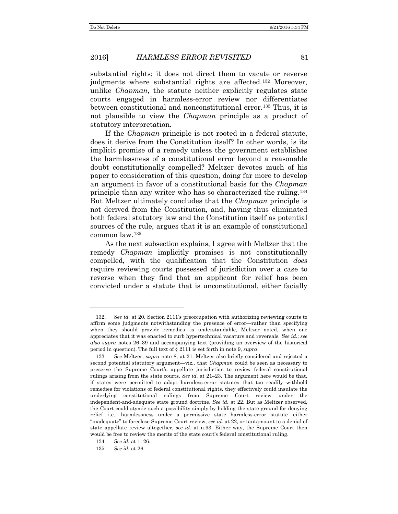substantial rights; it does not direct them to vacate or reverse judgments where substantial rights are affected.[132](#page-23-0) Moreover, unlike *Chapman*, the statute neither explicitly regulates state courts engaged in harmless-error review nor differentiates between constitutional and nonconstitutional error.[133](#page-23-1) Thus, it is not plausible to view the *Chapman* principle as a product of statutory interpretation.

If the *Chapman* principle is not rooted in a federal statute, does it derive from the Constitution itself? In other words, is its implicit promise of a remedy unless the government establishes the harmlessness of a constitutional error beyond a reasonable doubt constitutionally compelled? Meltzer devotes much of his paper to consideration of this question, doing far more to develop an argument in favor of a constitutional basis for the *Chapman* principle than any writer who has so characterized the ruling.[134](#page-23-2) But Meltzer ultimately concludes that the *Chapman* principle is not derived from the Constitution, and, having thus eliminated both federal statutory law and the Constitution itself as potential sources of the rule, argues that it is an example of constitutional common law.[135](#page-23-3)

As the next subsection explains, I agree with Meltzer that the remedy *Chapman* implicitly promises is not constitutionally compelled, with the qualification that the Constitution *does*  require reviewing courts possessed of jurisdiction over a case to reverse when they find that an applicant for relief has been convicted under a statute that is unconstitutional, either facially

<span id="page-23-4"></span>

<span id="page-23-0"></span><sup>132.</sup> *See id.* at 20. Section 2111's preoccupation with authorizing reviewing courts to affirm some judgments notwithstanding the presence of error—rather than specifying when they should provide remedies—is understandable, Meltzer noted, when one appreciates that it was enacted to curb hypertechnical vacaturs and reversals. *See id.*; *see also supra* notes [26](#page-9-6)[–39](#page-12-7) and accompanying text (providing an overview of the historical period in question). The full text of § 2111 is set forth in not[e 9,](#page-4-7) *supra*.

<span id="page-23-1"></span><sup>133.</sup> *See* Meltzer, *supra* note [8,](#page-4-6) at 21. Meltzer also briefly considered and rejected a second potential statutory argument—viz., that *Chapman* could be seen as necessary to preserve the Supreme Court's appellate jurisdiction to review federal constitutional rulings arising from the state courts. *See id.* at 21–23. The argument here would be that, if states were permitted to adopt harmless-error statutes that too readily withhold remedies for violations of federal constitutional rights, they effectively could insulate the underlying constitutional rulings from Supreme Court review under the independent-and-adequate state ground doctrine. *See id.* at 22. But as Meltzer observed, the Court could stymie such a possibility simply by holding the state ground for denying relief—i.e., harmlessness under a permissive state harmless-error statute—either "inadequate" to foreclose Supreme Court review, *see id.* at 22, or tantamount to a denial of state appellate review altogether, *see id.* at n.93. Either way, the Supreme Court then would be free to review the merits of the state court's federal constitutional ruling.

<span id="page-23-2"></span><sup>134.</sup> *See id.* at 1–26.

<span id="page-23-3"></span><sup>135.</sup> *See id.* at 26.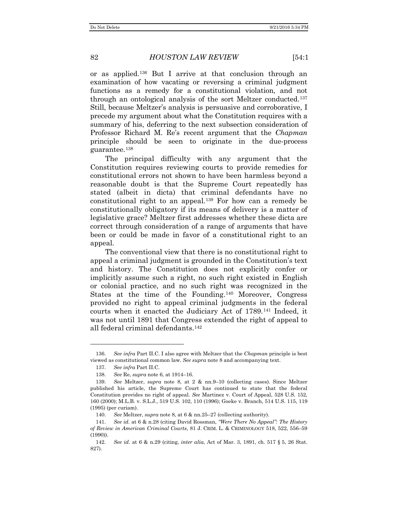or as applied.[136](#page-24-0) But I arrive at that conclusion through an examination of how vacating or reversing a criminal judgment functions as a remedy for a constitutional violation, and not through an ontological analysis of the sort Meltzer conducted.[137](#page-24-1) Still, because Meltzer's analysis is persuasive and corroborative, I precede my argument about what the Constitution requires with a summary of his, deferring to the next subsection consideration of Professor Richard M. Re's recent argument that the *Chapman*  principle should be seen to originate in the due-process guarantee.[138](#page-24-2)

<span id="page-24-7"></span>The principal difficulty with any argument that the Constitution requires reviewing courts to provide remedies for constitutional errors not shown to have been harmless beyond a reasonable doubt is that the Supreme Court repeatedly has stated (albeit in dicta) that criminal defendants have no constitutional right to an appeal.[139](#page-24-3) For how can a remedy be constitutionally obligatory if its means of delivery is a matter of legislative grace? Meltzer first addresses whether these dicta are correct through consideration of a range of arguments that have been or could be made in favor of a constitutional right to an appeal.

The conventional view that there is no constitutional right to appeal a criminal judgment is grounded in the Constitution's text and history. The Constitution does not explicitly confer or implicitly assume such a right, no such right existed in English or colonial practice, and no such right was recognized in the States at the time of the Founding.[140](#page-24-4) Moreover, Congress provided no right to appeal criminal judgments in the federal courts when it enacted the Judiciary Act of 1789.[141](#page-24-5) Indeed, it was not until 1891 that Congress extended the right of appeal to all federal criminal defendants.[142](#page-24-6)

<span id="page-24-1"></span><span id="page-24-0"></span><sup>136.</sup> *See infra* Part II.C. I also agree with Meltzer that the *Chapman* principle is best viewed as constitutional common law. *See supra* not[e 8](#page-4-6) and accompanying text.

<sup>137.</sup> *See infra* Part II.C.

<sup>138.</sup> *See* Re, *supra* not[e 6,](#page-4-9) at 1914–16.

<span id="page-24-3"></span><span id="page-24-2"></span><sup>139.</sup> *See* Meltzer, *supra* note [8,](#page-4-6) at 2 & nn.9–10 (collecting cases). Since Meltzer published his article, the Supreme Court has continued to state that the federal Constitution provides no right of appeal. *See* Martinez v. Court of Appeal, 528 U.S. 152, 160 (2000); M.L.B. v. S.L.J., 519 U.S. 102, 110 (1996); Goeke v. Branch, 514 U.S. 115, 119 (1995) (per curiam).

<sup>140.</sup> *See* Meltzer, *supra* not[e 8,](#page-4-6) at 6 & nn.25–27 (collecting authority).

<span id="page-24-5"></span><span id="page-24-4"></span><sup>141.</sup> *See id.* at 6 & n.28 (citing David Rossman, *"Were There No Appeal": The History of Review in American Criminal Courts*, 81 J. CRIM. L. & CRIMINOLOGY 518, 522, 556–59 (1990)).

<span id="page-24-6"></span><sup>142.</sup> *See id.* at 6 & n.29 (citing, *inter alia*, Act of Mar. 3, 1891, ch. 517 § 5, 26 Stat. 827).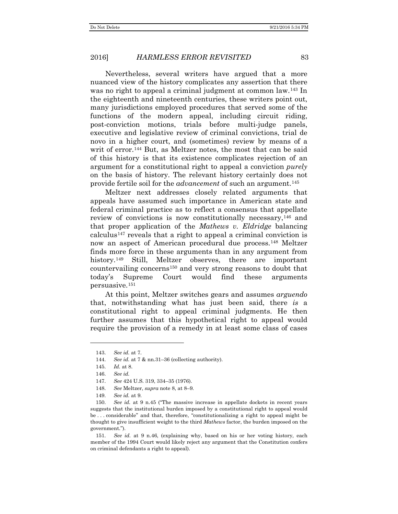Nevertheless, several writers have argued that a more nuanced view of the history complicates any assertion that there was no right to appeal a criminal judgment at common law.<sup>[143](#page-25-0)</sup> In the eighteenth and nineteenth centuries, these writers point out, many jurisdictions employed procedures that served some of the functions of the modern appeal, including circuit riding, post-conviction motions, trials before multi-judge panels, executive and legislative review of criminal convictions, trial de novo in a higher court, and (sometimes) review by means of a writ of error.<sup>144</sup> But, as Meltzer notes, the most that can be said of this history is that its existence complicates rejection of an argument for a constitutional right to appeal a conviction *purely* on the basis of history. The relevant history certainly does not provide fertile soil for the *advancement* of such an argument.[145](#page-25-2)

Meltzer next addresses closely related arguments that appeals have assumed such importance in American state and federal criminal practice as to reflect a consensus that appellate review of convictions is now constitutionally necessary,<sup>[146](#page-25-3)</sup> and that proper application of the *Mathews v. Eldridge* balancing calculus<sup>[147](#page-25-4)</sup> reveals that a right to appeal a criminal conviction is now an aspect of American procedural due process.[148](#page-25-5) Meltzer finds more force in these arguments than in any argument from history.<sup>[149](#page-25-6)</sup> Still, Meltzer observes, there are important countervailing concerns[150](#page-25-7) and very strong reasons to doubt that today's Supreme Court would find these arguments persuasive.[151](#page-25-8)

At this point, Meltzer switches gears and assumes *arguendo* that, notwithstanding what has just been said, there *is* a constitutional right to appeal criminal judgments. He then further assumes that this hypothetical right to appeal would require the provision of a remedy in at least some class of cases

<span id="page-25-9"></span>

<sup>143.</sup> *See id.* at 7.

<sup>144.</sup> *See id.* at 7 & nn.31–36 (collecting authority).

<span id="page-25-3"></span><span id="page-25-2"></span><span id="page-25-1"></span><span id="page-25-0"></span><sup>145.</sup> *Id.* at 8.

<sup>146.</sup> *See id.*

<sup>147.</sup> *See* 424 U.S. 319, 334–35 (1976).

<sup>148.</sup> *See* Meltzer, *supra* not[e 8,](#page-4-6) at 8–9.

<sup>149.</sup> *See id.* at 9.

<span id="page-25-7"></span><span id="page-25-6"></span><span id="page-25-5"></span><span id="page-25-4"></span><sup>150.</sup> *See id.* at 9 n.45 ("The massive increase in appellate dockets in recent years suggests that the institutional burden imposed by a constitutional right to appeal would be . . . considerable" and that, therefore, "constitutionalizing a right to appeal might be thought to give insufficient weight to the third *Mathews* factor, the burden imposed on the government.").

<span id="page-25-8"></span><sup>151.</sup> *See id.* at 9 n.46, (explaining why, based on his or her voting history, each member of the 1994 Court would likely reject any argument that the Constitution confers on criminal defendants a right to appeal).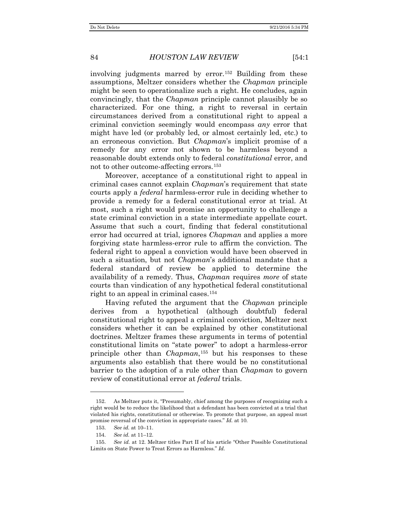involving judgments marred by error.<sup>[152](#page-26-0)</sup> Building from these assumptions, Meltzer considers whether the *Chapman* principle might be seen to operationalize such a right. He concludes, again convincingly, that the *Chapman* principle cannot plausibly be so characterized. For one thing, a right to reversal in certain circumstances derived from a constitutional right to appeal a criminal conviction seemingly would encompass *any* error that might have led (or probably led, or almost certainly led, etc.) to an erroneous conviction. But *Chapman*'s implicit promise of a remedy for any error not shown to be harmless beyond a reasonable doubt extends only to federal *constitutional* error, and not to other outcome-affecting errors.[153](#page-26-1)

Moreover, acceptance of a constitutional right to appeal in criminal cases cannot explain *Chapman*'s requirement that state courts apply a *federal* harmless-error rule in deciding whether to provide a remedy for a federal constitutional error at trial. At most, such a right would promise an opportunity to challenge a state criminal conviction in a state intermediate appellate court. Assume that such a court, finding that federal constitutional error had occurred at trial, ignores *Chapman* and applies a more forgiving state harmless-error rule to affirm the conviction. The federal right to appeal a conviction would have been observed in such a situation, but not *Chapman*'s additional mandate that a federal standard of review be applied to determine the availability of a remedy. Thus, *Chapman* requires *more* of state courts than vindication of any hypothetical federal constitutional right to an appeal in criminal cases.[154](#page-26-2)

Having refuted the argument that the *Chapman* principle derives from a hypothetical (although doubtful) federal constitutional right to appeal a criminal conviction, Meltzer next considers whether it can be explained by other constitutional doctrines. Meltzer frames these arguments in terms of potential constitutional limits on "state power" to adopt a harmless-error principle other than *Chapman*,[155](#page-26-3) but his responses to these arguments also establish that there would be no constitutional barrier to the adoption of a rule other than *Chapman* to govern review of constitutional error at *federal* trials.

<span id="page-26-0"></span><sup>152.</sup> As Meltzer puts it, "Presumably, chief among the purposes of recognizing such a right would be to reduce the likelihood that a defendant has been convicted at a trial that violated his rights, constitutional or otherwise. To promote that purpose, an appeal must promise reversal of the conviction in appropriate cases." *Id.* at 10.

<sup>153.</sup> *See id.* at 10–11.

<sup>154.</sup> *See id.* at 11–12.

<span id="page-26-3"></span><span id="page-26-2"></span><span id="page-26-1"></span><sup>155.</sup> *See id.* at 12. Meltzer titles Part II of his article "Other Possible Constitutional Limits on State Power to Treat Errors as Harmless." *Id.*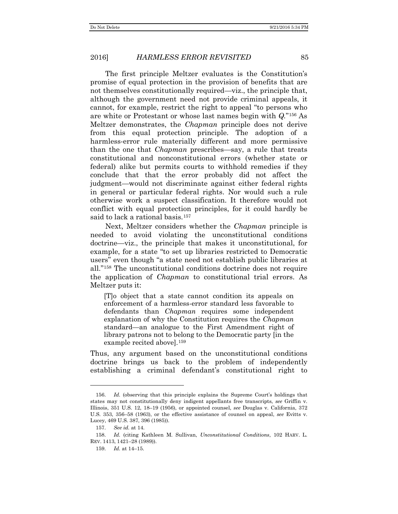The first principle Meltzer evaluates is the Constitution's promise of equal protection in the provision of benefits that are not themselves constitutionally required—viz., the principle that, although the government need not provide criminal appeals, it cannot, for example, restrict the right to appeal "to persons who are white or Protestant or whose last names begin with *Q.*"[156](#page-27-0) As Meltzer demonstrates, the *Chapman* principle does not derive from this equal protection principle. The adoption of a harmless-error rule materially different and more permissive than the one that *Chapman* prescribes—say, a rule that treats constitutional and nonconstitutional errors (whether state or federal) alike but permits courts to withhold remedies if they conclude that that the error probably did not affect the judgment—would not discriminate against either federal rights in general or particular federal rights. Nor would such a rule otherwise work a suspect classification. It therefore would not conflict with equal protection principles, for it could hardly be said to lack a rational basis.<sup>[157](#page-27-1)</sup>

Next, Meltzer considers whether the *Chapman* principle is needed to avoid violating the unconstitutional conditions doctrine—viz., the principle that makes it unconstitutional, for example, for a state "to set up libraries restricted to Democratic users" even though "a state need not establish public libraries at all."[158](#page-27-2) The unconstitutional conditions doctrine does not require the application of *Chapman* to constitutional trial errors. As Meltzer puts it:

<span id="page-27-4"></span>[T]o object that a state cannot condition its appeals on enforcement of a harmless-error standard less favorable to defendants than *Chapman* requires some independent explanation of why the Constitution requires the *Chapman* standard—an analogue to the First Amendment right of library patrons not to belong to the Democratic party [in the example recited above][.159](#page-27-3)

Thus, any argument based on the unconstitutional conditions doctrine brings us back to the problem of independently establishing a criminal defendant's constitutional right to

<span id="page-27-5"></span>

<span id="page-27-0"></span><sup>156.</sup> *Id.* (observing that this principle explains the Supreme Court's holdings that states may not constitutionally deny indigent appellants free transcripts, *see* Griffin v. Illinois, 351 U.S. 12, 18–19 (1956), or appointed counsel, *see* Douglas v. California, 372 U.S. 353, 356–58 (1963), or the effective assistance of counsel on appeal, *see* Evitts v. Lucey, 469 U.S. 387, 396 (1985)).

<sup>157.</sup> *See id.* at 14.

<span id="page-27-3"></span><span id="page-27-2"></span><span id="page-27-1"></span><sup>158.</sup> *Id.* (citing Kathleen M. Sullivan, *Unconstitutional Conditions*, 102 HARV. L. REV. 1413, 1421–28 (1989)).

<sup>159.</sup> *Id.* at 14–15.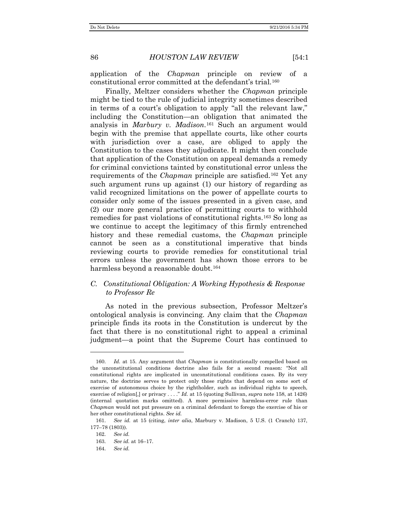<span id="page-28-6"></span>

application of the *Chapman* principle on review of a constitutional error committed at the defendant's trial.[160](#page-28-0)

Finally, Meltzer considers whether the *Chapman* principle might be tied to the rule of judicial integrity sometimes described in terms of a court's obligation to apply "all the relevant law," including the Constitution—an obligation that animated the analysis in *Marbury v. Madison*.[161](#page-28-1) Such an argument would begin with the premise that appellate courts, like other courts with jurisdiction over a case, are obliged to apply the Constitution to the cases they adjudicate. It might then conclude that application of the Constitution on appeal demands a remedy for criminal convictions tainted by constitutional error unless the requirements of the *Chapman* principle are satisfied.[162](#page-28-2) Yet any such argument runs up against (1) our history of regarding as valid recognized limitations on the power of appellate courts to consider only some of the issues presented in a given case, and (2) our more general practice of permitting courts to withhold remedies for past violations of constitutional rights.[163](#page-28-3) So long as we continue to accept the legitimacy of this firmly entrenched history and these remedial customs, the *Chapman* principle cannot be seen as a constitutional imperative that binds reviewing courts to provide remedies for constitutional trial errors unless the government has shown those errors to be harmless beyond a reasonable doubt.<sup>[164](#page-28-4)</sup>

#### <span id="page-28-5"></span>*C. Constitutional Obligation: A Working Hypothesis & Response to Professor Re*

As noted in the previous subsection, Professor Meltzer's ontological analysis is convincing. Any claim that the *Chapman*  principle finds its roots in the Constitution is undercut by the fact that there is no constitutional right to appeal a criminal judgment—a point that the Supreme Court has continued to

<span id="page-28-0"></span><sup>160.</sup> *Id.* at 15. Any argument that *Chapman* is constitutionally compelled based on the unconstitutional conditions doctrine also fails for a second reason: "Not all constitutional rights are implicated in unconstitutional conditions cases. By its very nature, the doctrine serves to protect only those rights that depend on some sort of exercise of autonomous choice by the rightholder, such as individual rights to speech, exercise of religion[,] or privacy . . . ." *Id.* at 15 (quoting Sullivan, *supra* not[e 158,](#page-27-4) at 1426) (internal quotation marks omitted). A more permissive harmless-error rule than *Chapman* would not put pressure on a criminal defendant to forego the exercise of his or her other constitutional rights. *See id.*

<span id="page-28-4"></span><span id="page-28-3"></span><span id="page-28-2"></span><span id="page-28-1"></span><sup>161.</sup> *See id.* at 15 (citing, *inter alia*, Marbury v. Madison, 5 U.S. (1 Cranch) 137, 177–78 (1803)).

<sup>162.</sup> *See id.*

<sup>163.</sup> *See id.* at 16–17.

<sup>164.</sup> *See id.*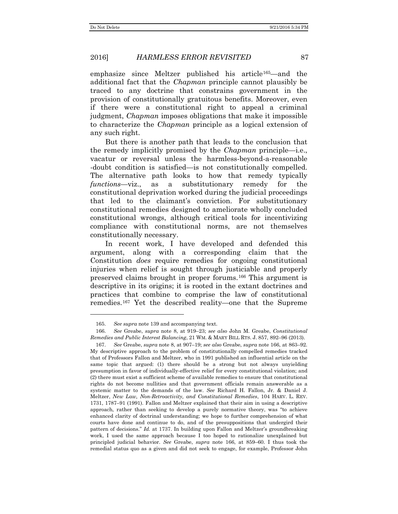emphasize since Meltzer published his article[165](#page-29-1)—and the additional fact that the *Chapman* principle cannot plausibly be traced to any doctrine that constrains government in the provision of constitutionally gratuitous benefits. Moreover, even if there were a constitutional right to appeal a criminal judgment, *Chapman* imposes obligations that make it impossible to characterize the *Chapman* principle as a logical extension of any such right.

But there is another path that leads to the conclusion that the remedy implicitly promised by the *Chapman* principle—i.e., vacatur or reversal unless the harmless-beyond-a-reasonable -doubt condition is satisfied—is not constitutionally compelled. The alternative path looks to how that remedy typically *functions*—viz., as a substitutionary remedy for the constitutional deprivation worked during the judicial proceedings that led to the claimant's conviction. For substitutionary constitutional remedies designed to ameliorate wholly concluded constitutional wrongs, although critical tools for incentivizing compliance with constitutional norms, are not themselves constitutionally necessary.

In recent work, I have developed and defended this argument, along with a corresponding claim that the Constitution *does* require remedies for ongoing constitutional injuries when relief is sought through justiciable and properly preserved claims brought in proper forums.[166](#page-29-2) This argument is descriptive in its origins; it is rooted in the extant doctrines and practices that combine to comprise the law of constitutional remedies.[167](#page-29-3) Yet the described reality—one that the Supreme

<span id="page-29-4"></span><span id="page-29-0"></span><sup>165.</sup> *See supra* not[e 139](#page-24-7) and accompanying text.

<span id="page-29-2"></span><span id="page-29-1"></span><sup>166.</sup> *See* Greabe, *supra* note [8,](#page-4-6) at 919–23; *see also* John M. Greabe, *Constitutional Remedies and Public Interest Balancing*, 21 WM. & MARY BILL RTS. J. 857, 892–96 (2013).

<span id="page-29-3"></span><sup>167.</sup> *See* Greabe, *supra* note [8,](#page-4-6) at 907–19; *see also* Greabe, *supra* note [166,](#page-29-0) at 863–92. My descriptive approach to the problem of constitutionally compelled remedies tracked that of Professors Fallon and Meltzer, who in 1991 published an influential article on the same topic that argued: (1) there should be a strong but not always unyielding presumption in favor of individually-effective relief for every constitutional violation; and (2) there must exist a sufficient scheme of available remedies to ensure that constitutional rights do not become nullities and that government officials remain answerable as a systemic matter to the demands of the law. *See* Richard H. Fallon, Jr. & Daniel J. Meltzer, *New Law, Non-Retroactivity, and Constitutional Remedies*, 104 HARV. L. REV. 1731, 1787–91 (1991). Fallon and Meltzer explained that their aim in using a descriptive approach, rather than seeking to develop a purely normative theory, was "to achieve enhanced clarity of doctrinal understanding; we hope to further comprehension of what courts have done and continue to do, and of the presuppositions that undergird their pattern of decisions." *Id.* at 1737. In building upon Fallon and Meltzer's groundbreaking work, I used the same approach because I too hoped to rationalize unexplained but principled judicial behavior. *See* Greabe, *supra* note [166,](#page-29-0) at 859–60. I thus took the remedial status quo as a given and did not seek to engage, for example, Professor John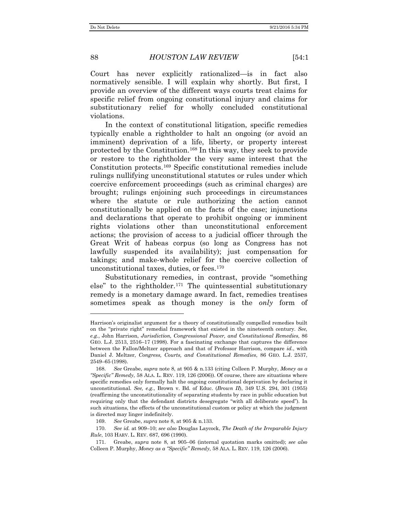88 *HOUSTON LAW REVIEW* [54:1

Court has never explicitly rationalized—is in fact also normatively sensible. I will explain why shortly. But first, I provide an overview of the different ways courts treat claims for specific relief from ongoing constitutional injury and claims for substitutionary relief for wholly concluded constitutional violations.

In the context of constitutional litigation, specific remedies typically enable a rightholder to halt an ongoing (or avoid an imminent) deprivation of a life, liberty, or property interest protected by the Constitution.[168](#page-30-0) In this way, they seek to provide or restore to the rightholder the very same interest that the Constitution protects.[169](#page-30-1) Specific constitutional remedies include rulings nullifying unconstitutional statutes or rules under which coercive enforcement proceedings (such as criminal charges) are brought; rulings enjoining such proceedings in circumstances where the statute or rule authorizing the action cannot constitutionally be applied on the facts of the case; injunctions and declarations that operate to prohibit ongoing or imminent rights violations other than unconstitutional enforcement actions; the provision of access to a judicial officer through the Great Writ of habeas corpus (so long as Congress has not lawfully suspended its availability); just compensation for takings; and make-whole relief for the coercive collection of unconstitutional taxes, duties, or fees.[170](#page-30-2)

<span id="page-30-4"></span>Substitutionary remedies, in contrast, provide "something else" to the rightholder.<sup>[171](#page-30-3)</sup> The quintessential substitutionary remedy is a monetary damage award. In fact, remedies treatises sometimes speak as though money is the *only* form of

Harrison's originalist argument for a theory of constitutionally compelled remedies built on the "private right" remedial framework that existed in the nineteenth century. *See, e.g.*, John Harrison, *Jurisdiction, Congressional Power, and Constitutional Remedies*, 86 GEO. L.J. 2513, 2516–17 (1998). For a fascinating exchange that captures the difference between the Fallon/Meltzer approach and that of Professor Harrison, compare *id.*, with Daniel J. Meltzer, *Congress, Courts, and Constitutional Remedies*, 86 GEO. L.J. 2537, 2549–65 (1998).

<span id="page-30-0"></span><sup>168.</sup> *See* Greabe, *supra* not[e 8,](#page-4-6) at 905 & n.133 (citing Colleen P. Murphy, *Money as a "Specific" Remedy*, 58 ALA. L. REV. 119, 126 (2006)). Of course, there are situations where specific remedies only formally halt the ongoing constitutional deprivation by declaring it unconstitutional. *See, e.g.*, Brown v. Bd. of Educ. (*Brown II*), 349 U.S. 294, 301 (1955) (reaffirming the unconstitutionality of separating students by race in public education but requiring only that the defendant districts desegregate "with all deliberate speed"). In such situations, the effects of the unconstitutional custom or policy at which the judgment is directed may linger indefinitely.

<sup>169.</sup> *See* Greabe, *supra* not[e 8,](#page-4-6) at 905 & n.133.

<span id="page-30-2"></span><span id="page-30-1"></span><sup>170.</sup> *See id.* at 909–10; *see also* Douglas Laycock, *The Death of the Irreparable Injury Rule*, 103 HARV. L. REV. 687, 696 (1990).

<span id="page-30-3"></span><sup>171.</sup> Greabe, *supra* note [8,](#page-4-6) at 905–06 (internal quotation marks omitted); *see also* Colleen P. Murphy, *Money as a "Specific" Remedy*, 58 ALA. L. REV. 119, 126 (2006).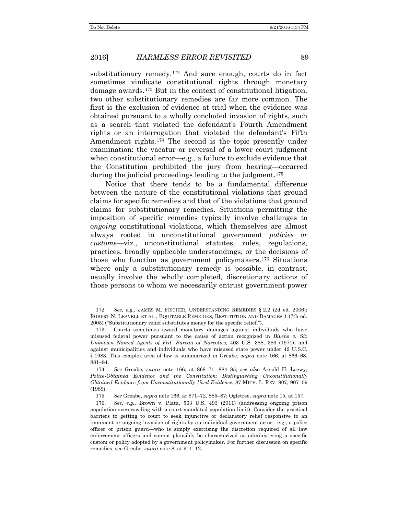#### 2016] *HARMLESS ERROR REVISITED* 89

substitutionary remedy.[172](#page-31-0) And sure enough, courts do in fact sometimes vindicate constitutional rights through monetary damage awards.[173](#page-31-1) But in the context of constitutional litigation, two other substitutionary remedies are far more common. The first is the exclusion of evidence at trial when the evidence was obtained pursuant to a wholly concluded invasion of rights, such as a search that violated the defendant's Fourth Amendment rights or an interrogation that violated the defendant's Fifth Amendment rights.<sup>[174](#page-31-2)</sup> The second is the topic presently under examination: the vacatur or reversal of a lower court judgment when constitutional error—e.g., a failure to exclude evidence that the Constitution prohibited the jury from hearing—occurred during the judicial proceedings leading to the judgment.<sup>[175](#page-31-3)</sup>

Notice that there tends to be a fundamental difference between the nature of the constitutional violations that ground claims for specific remedies and that of the violations that ground claims for substitutionary remedies. Situations permitting the imposition of specific remedies typically involve challenges to *ongoing* constitutional violations, which themselves are almost always rooted in unconstitutional government *policies or customs*—viz., unconstitutional statutes, rules, regulations, practices, broadly applicable understandings, or the decisions of those who function as government policymakers[.176](#page-31-4) Situations where only a substitutionary remedy is possible, in contrast, usually involve the wholly completed, discretionary actions of those persons to whom we necessarily entrust government power

<span id="page-31-0"></span><sup>172.</sup> *See, e.g.*, JAMES M. FISCHER, UNDERSTANDING REMEDIES § 2.2 (2d ed. 2006); ROBERT N. LEAVELL ET AL., EQUITABLE REMEDIES, RESTITUTION AND DAMAGES 1 (7th ed. 2005) ("Substitutionary relief substitutes money for the specific relief.").

<span id="page-31-1"></span><sup>173.</sup> Courts sometimes award monetary damages against individuals who have misused federal power pursuant to the cause of action recognized in *Bivens v. Six Unknown Named Agents of Fed. Bureau of Narcotics*, 403 U.S. 388, 389 (1971), and against municipalities and individuals who have misused state power under 42 U.S.C. § 1983. This complex area of law is summarized in Greabe, *supra* note [166,](#page-29-0) at 866–68, 881–84.

<span id="page-31-2"></span><sup>174.</sup> *See* Greabe, *supra* note [166,](#page-29-0) at 868–71, 884–85; *see also* Arnold H. Loewy, *Police-Obtained Evidence and the Constitution: Distinguishing Unconstitutionally Obtained Evidence from Unconstitutionally Used Evidence*, 87 MICH. L. REV. 907, 907–09 (1989).

<sup>175.</sup> *See* Greabe, *supra* not[e 166,](#page-29-0) at 871–72, 885–87; Ogletree, *supra* note [15,](#page-5-6) at 157.

<span id="page-31-4"></span><span id="page-31-3"></span><sup>176.</sup> *See, e.g.*, Brown v. Plata, 563 U.S. 493 (2011) (addressing ongoing prison population overcrowding with a court-mandated population limit). Consider the practical barriers to getting to court to seek injunctive or declaratory relief responsive to an imminent or ongoing invasion of rights by an individual government actor—e.g., a police officer or prison guard—who is simply exercising the discretion required of all law enforcement officers and cannot plausibly be characterized as administering a specific custom or policy adopted by a government policymaker. For further discussion on specific remedies, see Greabe, *supra* not[e 8,](#page-4-6) at 911–12.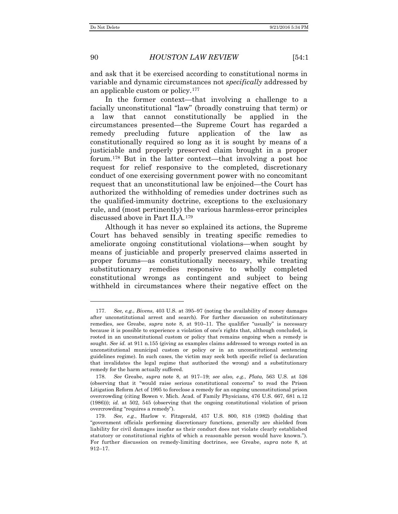and ask that it be exercised according to constitutional norms in variable and dynamic circumstances not *specifically* addressed by an applicable custom or policy[.177](#page-32-0)

<span id="page-32-4"></span><span id="page-32-3"></span>In the former context—that involving a challenge to a facially unconstitutional "law" (broadly construing that term) or a law that cannot constitutionally be applied in the circumstances presented—the Supreme Court has regarded a remedy precluding future application of the law as constitutionally required so long as it is sought by means of a justiciable and properly preserved claim brought in a proper forum.[178](#page-32-1) But in the latter context—that involving a post hoc request for relief responsive to the completed, discretionary conduct of one exercising government power with no concomitant request that an unconstitutional law be enjoined—the Court has authorized the withholding of remedies under doctrines such as the qualified-immunity doctrine, exceptions to the exclusionary rule, and (most pertinently) the various harmless-error principles discussed above in Part II.A.[179](#page-32-2)

Although it has never so explained its actions, the Supreme Court has behaved sensibly in treating specific remedies to ameliorate ongoing constitutional violations—when sought by means of justiciable and properly preserved claims asserted in proper forums—as constitutionally necessary, while treating substitutionary remedies responsive to wholly completed constitutional wrongs as contingent and subject to being withheld in circumstances where their negative effect on the

<span id="page-32-0"></span><sup>177.</sup> *See, e.g.*, *Bivens*, 403 U.S. at 395–97 (noting the availability of money damages after unconstitutional arrest and search). For further discussion on substitutionary remedies, see Greabe, *supra* note [8,](#page-4-6) at 910–11. The qualifier "usually" is necessary because it is possible to experience a violation of one's rights that, although concluded, is rooted in an unconstitutional custom or policy that remains ongoing when a remedy is sought. *See id.* at 911 n.155 (giving as examples claims addressed to wrongs rooted in an unconstitutional municipal custom or policy or in an unconstitutional sentencing guidelines regime). In such cases, the victim may seek both specific relief (a declaration that invalidates the legal regime that authorized the wrong) and a substitutionary remedy for the harm actually suffered.

<span id="page-32-1"></span><sup>178.</sup> *See* Greabe, *supra* note [8,](#page-4-6) at 917–19; *see also, e.g.*, *Plata*, 563 U.S. at 526 (observing that it "would raise serious constitutional concerns" to read the Prison Litigation Reform Act of 1995 to foreclose a remedy for an ongoing unconstitutional prison overcrowding (citing Bowen v. Mich. Acad. of Family Physicians, 476 U.S. 667, 681 n.12 (1986))); *id.* at 502, 545 (observing that the ongoing constitutional violation of prison overcrowding "requires a remedy").

<span id="page-32-2"></span><sup>179.</sup> *See, e.g.*, Harlow v. Fitzgerald, 457 U.S. 800, 818 (1982) (holding that "government officials performing discretionary functions, generally are shielded from liability for civil damages insofar as their conduct does not violate clearly established statutory or constitutional rights of which a reasonable person would have known."). For further discussion on remedy-limiting doctrines, see Greabe, *supra* note [8,](#page-4-6) at 912–17.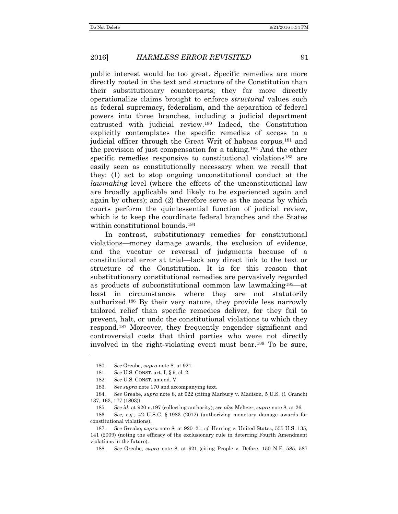public interest would be too great. Specific remedies are more directly rooted in the text and structure of the Constitution than their substitutionary counterparts; they far more directly operationalize claims brought to enforce *structural* values such as federal supremacy, federalism, and the separation of federal powers into three branches, including a judicial department entrusted with judicial review.[180](#page-33-0) Indeed, the Constitution explicitly contemplates the specific remedies of access to a judicial officer through the Great Writ of habeas corpus,<sup>[181](#page-33-1)</sup> and the provision of just compensation for a taking.[182](#page-33-2) And the other specific remedies responsive to constitutional violations<sup>183</sup> are easily seen as constitutionally necessary when we recall that they: (1) act to stop ongoing unconstitutional conduct at the *lawmaking* level (where the effects of the unconstitutional law are broadly applicable and likely to be experienced again and again by others); and (2) therefore serve as the means by which courts perform the quintessential function of judicial review, which is to keep the coordinate federal branches and the States within constitutional bounds.<sup>[184](#page-33-4)</sup>

<span id="page-33-12"></span><span id="page-33-10"></span>In contrast, substitutionary remedies for constitutional violations—money damage awards, the exclusion of evidence, and the vacatur or reversal of judgments because of a constitutional error at trial—lack any direct link to the text or structure of the Constitution. It is for this reason that substitutionary constitutional remedies are pervasively regarded as products of subconstitutional common law lawmaking[185](#page-33-5)—at least in circumstances where they are not statutorily authorized.[186](#page-33-6) By their very nature, they provide less narrowly tailored relief than specific remedies deliver, for they fail to prevent, halt, or undo the constitutional violations to which they respond.[187](#page-33-7) Moreover, they frequently engender significant and controversial costs that third parties who were not directly involved in the right-violating event must bear.[188](#page-33-8) To be sure,

<span id="page-33-11"></span><span id="page-33-9"></span>

<sup>180.</sup> *See* Greabe, *supra* not[e 8,](#page-4-6) at 921.

<sup>181.</sup> *See* U.S. CONST. art. I, § 9, cl. 2.

<sup>182.</sup> *See* U.S. CONST. amend. V.

<sup>183.</sup> *See supra* not[e 170](#page-30-4) and accompanying text.

<span id="page-33-4"></span><span id="page-33-3"></span><span id="page-33-2"></span><span id="page-33-1"></span><span id="page-33-0"></span><sup>184.</sup> *See* Greabe, *supra* note [8,](#page-4-6) at 922 (citing Marbury v. Madison, 5 U.S. (1 Cranch) 137, 163, 177 (1803)).

<sup>185.</sup> *See id.* at 920 n.197 (collecting authority); *see also* Meltzer, *supra* note [8,](#page-4-6) at 26.

<span id="page-33-7"></span><span id="page-33-6"></span><span id="page-33-5"></span><sup>186.</sup> *See, e.g.*, 42 U.S.C. § 1983 (2012) (authorizing monetary damage awards for constitutional violations).

<span id="page-33-8"></span><sup>187.</sup> *See* Greabe, *supra* not[e 8,](#page-4-6) at 920–21; *cf.* Herring v. United States, 555 U.S. 135, 141 (2009) (noting the efficacy of the exclusionary rule in deterring Fourth Amendment violations in the future).

<sup>188.</sup> *See* Greabe, *supra* note [8,](#page-4-6) at 921 (citing People v. Defore, 150 N.E. 585, 587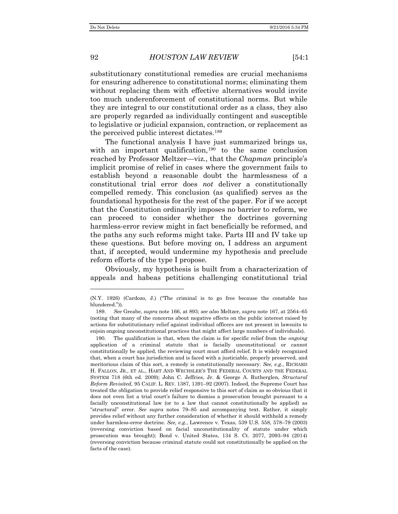#### 92 *HOUSTON LAW REVIEW* [54:1

substitutionary constitutional remedies are crucial mechanisms for ensuring adherence to constitutional norms; eliminating them without replacing them with effective alternatives would invite too much underenforcement of constitutional norms. But while they are integral to our constitutional order as a class, they also are properly regarded as individually contingent and susceptible to legislative or judicial expansion, contraction, or replacement as the perceived public interest dictates.[189](#page-34-0)

<span id="page-34-3"></span><span id="page-34-2"></span>The functional analysis I have just summarized brings us, with an important qualification,<sup>[190](#page-34-1)</sup> to the same conclusion reached by Professor Meltzer—viz., that the *Chapman* principle's implicit promise of relief in cases where the government fails to establish beyond a reasonable doubt the harmlessness of a constitutional trial error does *not* deliver a constitutionally compelled remedy. This conclusion (as qualified) serves as the foundational hypothesis for the rest of the paper. For if we accept that the Constitution ordinarily imposes no barrier to reform, we can proceed to consider whether the doctrines governing harmless-error review might in fact beneficially be reformed, and the paths any such reforms might take. Parts III and IV take up these questions. But before moving on, I address an argument that, if accepted, would undermine my hypothesis and preclude reform efforts of the type I propose.

Obviously, my hypothesis is built from a characterization of appeals and habeas petitions challenging constitutional trial

<sup>(</sup>N.Y. 1926) (Cardozo, J.) ("The criminal is to go free because the constable has blundered.")).

<span id="page-34-0"></span><sup>189.</sup> *See* Greabe, *supra* note [166,](#page-29-0) at 893; *see also* Meltzer, *supra* not[e 167,](#page-29-4) at 2564–65 (noting that many of the concerns about negative effects on the public interest raised by actions for substitutionary relief against individual officers are not present in lawsuits to enjoin ongoing unconstitutional practices that might affect large numbers of individuals).

<span id="page-34-1"></span><sup>190.</sup> The qualification is that, when the claim is for specific relief from the *ongoing*  application of a criminal statute that is facially unconstitutional or cannot constitutionally be applied, the reviewing court must afford relief. It is widely recognized that, when a court has jurisdiction and is faced with a justiciable, properly preserved, and meritorious claim of this sort, a remedy is constitutionally necessary. *See, e.g.*, RICHARD H. FALLON, JR., ET AL., HART AND WECHSLER'S THE FEDERAL COURTS AND THE FEDERAL SYSTEM 718 (6th ed. 2009); John C. Jeffries, Jr. & George A. Rutherglen, *Structural Reform Revisited*, 95 CALIF. L. REV. 1387, 1391–92 (2007). Indeed, the Supreme Court has treated the obligation to provide relief responsive to this sort of claim as so obvious that it does not even list a trial court's failure to dismiss a prosecution brought pursuant to a facially unconstitutional law (or to a law that cannot constitutionally be applied) as "structural" error. *See supra* notes [79–](#page-17-12)[85](#page-18-13) and accompanying text. Rather, it simply provides relief without any further consideration of whether it should withhold a remedy under harmless-error doctrine. *See, e.g.*, Lawrence v. Texas, 539 U.S. 558, 578–79 (2003) (reversing conviction based on facial unconstitutionality of statute under which prosecution was brought); Bond v. United States, 134 S. Ct. 2077, 2093–94 (2014) (reversing conviction because criminal statute could not constitutionally be applied on the facts of the case).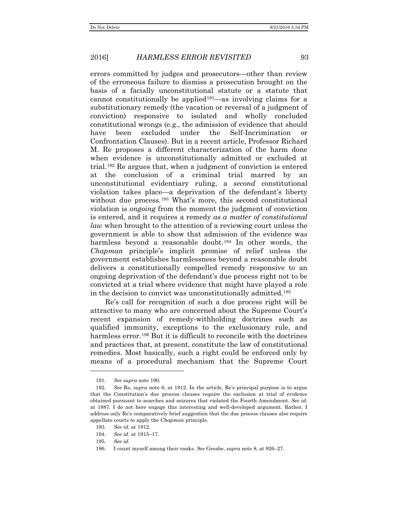errors committed by judges and prosecutors—other than review of the erroneous failure to dismiss a prosecution brought on the basis of a facially unconstitutional statute or a statute that cannot constitutionally be applied<sup>191</sup>—as involving claims for a substitutionary remedy (the vacation or reversal of a judgment of conviction) responsive to isolated and wholly concluded constitutional wrongs (e.g., the admission of evidence that should have been excluded under the Self-Incrimination or Confrontation Clauses). But in a recent article, Professor Richard M. Re proposes a different characterization of the harm done when evidence is unconstitutionally admitted or excluded at trial.[192](#page-35-1) Re argues that, when a judgment of conviction is entered at the conclusion of a criminal trial marred by an unconstitutional evidentiary ruling, a *second* constitutional violation takes place—a deprivation of the defendant's liberty without due process.<sup>[193](#page-35-2)</sup> What's more, this second constitutional violation is *ongoing* from the moment the judgment of conviction is entered, and it requires a remedy *as a matter of constitutional law* when brought to the attention of a reviewing court unless the government is able to show that admission of the evidence was harmless beyond a reasonable doubt.<sup>[194](#page-35-3)</sup> In other words, the *Chapman* principle's implicit promise of relief unless the government establishes harmlessness beyond a reasonable doubt delivers a constitutionally compelled remedy responsive to an ongoing deprivation of the defendant's due process right not to be convicted at a trial where evidence that might have played a role in the decision to convict was unconstitutionally admitted.[195](#page-35-4)

Re's call for recognition of such a due process right will be attractive to many who are concerned about the Supreme Court's recent expansion of remedy-withholding doctrines such as qualified immunity, exceptions to the exclusionary rule, and harmless error.<sup>[196](#page-35-5)</sup> But it is difficult to reconcile with the doctrines and practices that, at present, constitute the law of constitutional remedies. Most basically, such a right could be enforced only by means of a procedural mechanism that the Supreme Court

<sup>191.</sup> *See supra* not[e 190.](#page-34-2)

<span id="page-35-1"></span><span id="page-35-0"></span><sup>192.</sup> *See* Re, *supra* note [6,](#page-4-9) at 1912. In the article, Re's principal purpose is to argue that the Constitution's due process clauses require the exclusion at trial of evidence obtained pursuant to searches and seizures that violated the Fourth Amendment. *See id.* at 1887. I do not here engage this interesting and well-developed argument. Rather, I address only Re's comparatively brief suggestion that the due process clauses also require appellate courts to apply the *Chapman* principle.

<span id="page-35-2"></span><sup>193.</sup> *See id.* at 1912.

<span id="page-35-3"></span><sup>194.</sup> *See id.* at 1915–17.

<span id="page-35-4"></span><sup>195.</sup> *See id.*

<span id="page-35-5"></span><sup>196.</sup> I count myself among their ranks. *See* Greabe, *supra* note [8,](#page-4-6) at 926–27.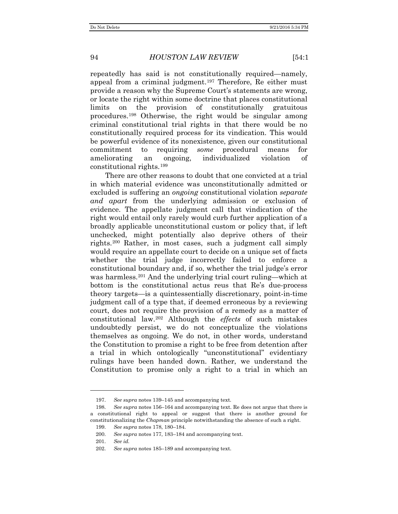repeatedly has said is not constitutionally required—namely, appeal from a criminal judgment.<sup>[197](#page-36-0)</sup> Therefore, Re either must provide a reason why the Supreme Court's statements are wrong, or locate the right within some doctrine that places constitutional limits on the provision of constitutionally gratuitous procedures.[198](#page-36-1) Otherwise, the right would be singular among criminal constitutional trial rights in that there would be no constitutionally required process for its vindication. This would be powerful evidence of its nonexistence, given our constitutional commitment to requiring *some* procedural means for ameliorating an ongoing, individualized violation of constitutional rights.[199](#page-36-2)

There are other reasons to doubt that one convicted at a trial in which material evidence was unconstitutionally admitted or excluded is suffering an *ongoing* constitutional violation *separate and apart* from the underlying admission or exclusion of evidence. The appellate judgment call that vindication of the right would entail only rarely would curb further application of a broadly applicable unconstitutional custom or policy that, if left unchecked, might potentially also deprive others of their rights.[200](#page-36-3) Rather, in most cases, such a judgment call simply would require an appellate court to decide on a unique set of facts whether the trial judge incorrectly failed to enforce a constitutional boundary and, if so, whether the trial judge's error was harmless.[201](#page-36-4) And the underlying trial court ruling—which at bottom is the constitutional actus reus that Re's due-process theory targets—is a quintessentially discretionary, point-in-time judgment call of a type that, if deemed erroneous by a reviewing court, does not require the provision of a remedy as a matter of constitutional law.[202](#page-36-5) Although the *effects* of such mistakes undoubtedly persist, we do not conceptualize the violations themselves as ongoing. We do not, in other words, understand the Constitution to promise a right to be free from detention after a trial in which ontologically "unconstitutional" evidentiary rulings have been handed down. Rather, we understand the Constitution to promise only a right to a trial in which an

<sup>197.</sup> *See supra* notes [139–](#page-24-7)[145](#page-25-9) and accompanying text.

<span id="page-36-3"></span><span id="page-36-2"></span><span id="page-36-1"></span><span id="page-36-0"></span><sup>198.</sup> *See supra* notes [156–](#page-27-5)[164](#page-28-5) and accompanying text. Re does not argue that there is a constitutional right to appeal or suggest that there is another ground for constitutionalizing the *Chapman* principle notwithstanding the absence of such a right.

<sup>199.</sup> *See supra* notes [178,](#page-32-3) [180](#page-33-9)[–184.](#page-33-10)

<sup>200.</sup> *See supra* notes [177,](#page-32-4) [183](#page-33-11)[–184](#page-33-10) and accompanying text.

<sup>201.</sup> *See id.*

<span id="page-36-5"></span><span id="page-36-4"></span><sup>202.</sup> *See supra* notes [185–](#page-33-12)[189](#page-34-3) and accompanying text.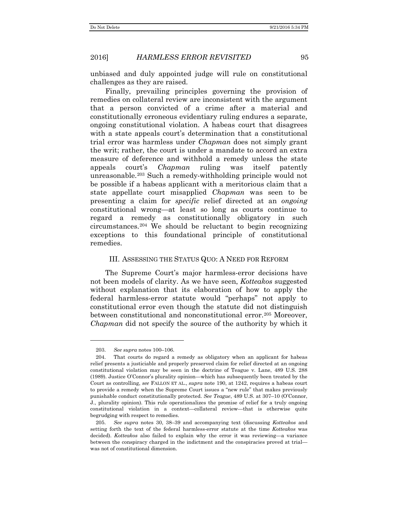unbiased and duly appointed judge will rule on constitutional challenges as they are raised.

Finally, prevailing principles governing the provision of remedies on collateral review are inconsistent with the argument that a person convicted of a crime after a material and constitutionally erroneous evidentiary ruling endures a separate, ongoing constitutional violation. A habeas court that disagrees with a state appeals court's determination that a constitutional trial error was harmless under *Chapman* does not simply grant the writ; rather, the court is under a mandate to accord an extra measure of deference and withhold a remedy unless the state appeals court's *Chapman* ruling was itself patently unreasonable.[203](#page-37-0) Such a remedy-withholding principle would not be possible if a habeas applicant with a meritorious claim that a state appellate court misapplied *Chapman* was seen to be presenting a claim for *specific* relief directed at an *ongoing* constitutional wrong—at least so long as courts continue to regard a remedy as constitutionally obligatory in such circumstances.[204](#page-37-1) We should be reluctant to begin recognizing exceptions to this foundational principle of constitutional remedies.

#### III. ASSESSING THE STATUS QUO: A NEED FOR REFORM

The Supreme Court's major harmless-error decisions have not been models of clarity. As we have seen, *Kotteakos* suggested without explanation that its elaboration of how to apply the federal harmless-error statute would "perhaps" not apply to constitutional error even though the statute did not distinguish between constitutional and nonconstitutional error.<sup>[205](#page-37-2)</sup> Moreover, *Chapman* did not specify the source of the authority by which it

<sup>203.</sup> *See supra* notes [100–](#page-19-13)[106.](#page-20-0)

<span id="page-37-1"></span><span id="page-37-0"></span><sup>204.</sup> That courts do regard a remedy as obligatory when an applicant for habeas relief presents a justiciable and properly preserved claim for relief directed at an ongoing constitutional violation may be seen in the doctrine of Teague v. Lane, 489 U.S. 288 (1989). Justice O'Connor's plurality opinion—which has subsequently been treated by the Court as controlling, *see* FALLON ET AL., *supra* note [190,](#page-34-2) at 1242, requires a habeas court to provide a remedy when the Supreme Court issues a "new rule" that makes previously punishable conduct constitutionally protected. *See Teague*, 489 U.S. at 307–10 (O'Connor, J., plurality opinion). This rule operationalizes the promise of relief for a truly ongoing constitutional violation in a context—collateral review—that is otherwise quite begrudging with respect to remedies.

<span id="page-37-2"></span><sup>205.</sup> *See supra* notes [30,](#page-9-7) [38](#page-12-8)[–39](#page-12-7) and accompanying text (discussing *Kotteakos* and setting forth the text of the federal harmless-error statute at the time *Kotteakos* was decided). *Kotteakos* also failed to explain why the error it was reviewing—a variance between the conspiracy charged in the indictment and the conspiracies proved at trial was not of constitutional dimension.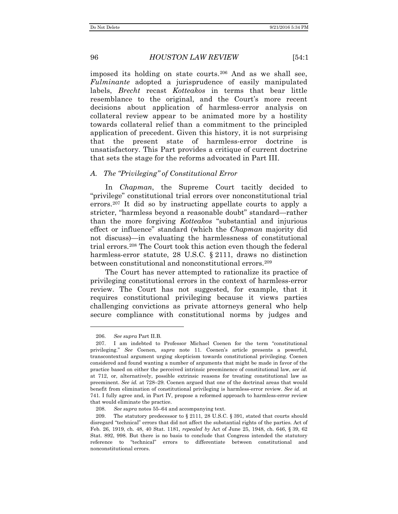imposed its holding on state courts.[206](#page-38-0) And as we shall see, *Fulminante* adopted a jurisprudence of easily manipulated labels, *Brecht* recast *Kotteakos* in terms that bear little resemblance to the original, and the Court's more recent decisions about application of harmless-error analysis on collateral review appear to be animated more by a hostility towards collateral relief than a commitment to the principled application of precedent. Given this history, it is not surprising that the present state of harmless-error doctrine is unsatisfactory. This Part provides a critique of current doctrine that sets the stage for the reforms advocated in Part III.

#### *A. The "Privileging" of Constitutional Error*

<span id="page-38-4"></span>In *Chapman*, the Supreme Court tacitly decided to "privilege" constitutional trial errors over nonconstitutional trial errors.[207](#page-38-1) It did so by instructing appellate courts to apply a stricter, "harmless beyond a reasonable doubt" standard—rather than the more forgiving *Kotteakos* "substantial and injurious effect or influence" standard (which the *Chapman* majority did not discuss)—in evaluating the harmlessness of constitutional trial errors.[208](#page-38-2) The Court took this action even though the federal harmless-error statute, 28 U.S.C. § 2111, draws no distinction between constitutional and nonconstitutional errors.<sup>[209](#page-38-3)</sup>

The Court has never attempted to rationalize its practice of privileging constitutional errors in the context of harmless-error review. The Court has not suggested, for example, that it requires constitutional privileging because it views parties challenging convictions as private attorneys general who help secure compliance with constitutional norms by judges and

<sup>206.</sup> *See supra* Part II.B.

<span id="page-38-1"></span><span id="page-38-0"></span><sup>207.</sup> I am indebted to Professor Michael Coenen for the term "constitutional privileging." *See* Coenen, *supra* note [11.](#page-4-8) Coenen's article presents a powerful, transcontextual argument urging skepticism towards constitutional privileging. Coenen considered and found wanting a number of arguments that might be made in favor of the practice based on either the perceived intrinsic preeminence of constitutional law, *see id.* at 712, or, alternatively, possible extrinsic reasons for treating constitutional law as preeminent. *See id.* at 728–29. Coenen argued that one of the doctrinal areas that would benefit from elimination of constitutional privileging is harmless-error review. *See id.* at 741. I fully agree and, in Part IV, propose a reformed approach to harmless-error review that would eliminate the practice.

<sup>208.</sup> *See supra* notes [55](#page-14-7)[–64](#page-15-10) and accompanying text.

<span id="page-38-3"></span><span id="page-38-2"></span><sup>209.</sup> The statutory predecessor to § 2111, 28 U.S.C. § 391, stated that courts should disregard "technical" errors that did not affect the substantial rights of the parties. Act of Feb. 26, 1919, ch. 48, 40 Stat. 1181, *repealed by* Act of June 25, 1948, ch. 646, § 39, 62 Stat. 892, 998. But there is no basis to conclude that Congress intended the statutory reference to "technical" errors to differentiate between constitutional and nonconstitutional errors.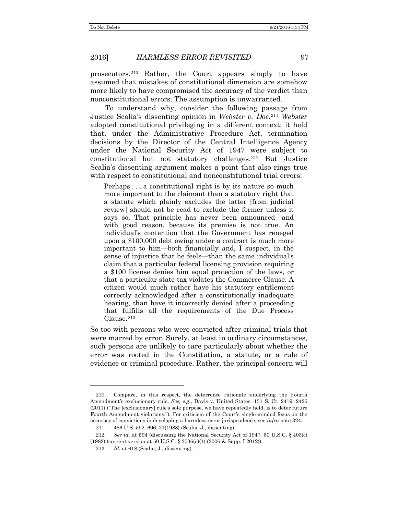prosecutors.[210](#page-39-0) Rather, the Court appears simply to have assumed that mistakes of constitutional dimension are somehow more likely to have compromised the accuracy of the verdict than nonconstitutional errors. The assumption is unwarranted.

To understand why, consider the following passage from Justice Scalia's dissenting opinion in *Webster v. Doe*.[211](#page-39-1) *Webster* adopted constitutional privileging in a different context; it held that, under the Administrative Procedure Act, termination decisions by the Director of the Central Intelligence Agency under the National Security Act of 1947 were subject to constitutional but not statutory challenges.[212](#page-39-2) But Justice Scalia's dissenting argument makes a point that also rings true with respect to constitutional and nonconstitutional trial errors:

Perhaps . . . a constitutional right is by its nature so much more important to the claimant than a statutory right that a statute which plainly excludes the latter [from judicial review] should not be read to exclude the former unless it says so. That principle has never been announced—and with good reason, because its premise is not true. An individual's contention that the Government has reneged upon a \$100,000 debt owing under a contract is much more important to him—both financially and, I suspect, in the sense of injustice that he feels—than the same individual's claim that a particular federal licensing provision requiring a \$100 license denies him equal protection of the laws, or that a particular state tax violates the Commerce Clause. A citizen would much rather have his statutory entitlement correctly acknowledged after a constitutionally inadequate hearing, than have it incorrectly denied after a proceeding that fulfills all the requirements of the Due Process Clause.[213](#page-39-3)

So too with persons who were convicted after criminal trials that were marred by error. Surely, at least in ordinary circumstances, such persons are unlikely to care particularly about whether the error was rooted in the Constitution, a statute, or a rule of evidence or criminal procedure. Rather, the principal concern will

<span id="page-39-0"></span><sup>210.</sup> Compare, in this respect, the deterrence rationale underlying the Fourth Amendment's exclusionary rule. *See, e.g.*, Davis v. United States, 131 S. Ct. 2419, 2426 (2011) ("The [exclusionary] rule's sole purpose, we have repeatedly held, is to deter future Fourth Amendment violations."). For criticism of the Court's single-minded focus on the accuracy of convictions in developing a harmless-error jurisprudence, see *infra* not[e 324.](#page-62-0)

<sup>211.</sup> 486 U.S. 592, 606–21(1988) (Scalia, J., dissenting).

<span id="page-39-3"></span><span id="page-39-2"></span><span id="page-39-1"></span><sup>212.</sup> *See id.* at 594 (discussing the National Security Act of 1947, 50 U.S.C. § 403(c) (1982) (current version at 50 U.S.C. § 3036(e)(1) (2006 & Supp. I 2012)).

<sup>213.</sup> *Id.* at 618 (Scalia, J., dissenting).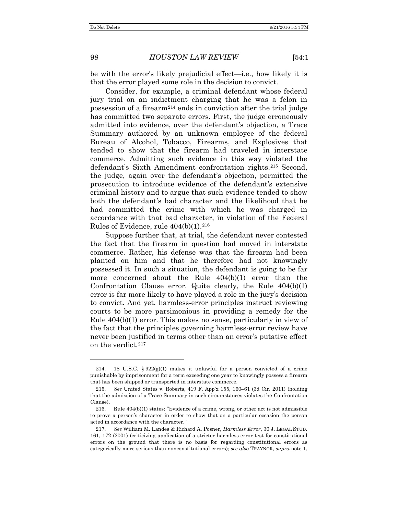98 *HOUSTON LAW REVIEW* [54:1

be with the error's likely prejudicial effect—i.e., how likely it is that the error played some role in the decision to convict.

Consider, for example, a criminal defendant whose federal jury trial on an indictment charging that he was a felon in possession of a firearm[214](#page-40-0) ends in conviction after the trial judge has committed two separate errors. First, the judge erroneously admitted into evidence, over the defendant's objection, a Trace Summary authored by an unknown employee of the federal Bureau of Alcohol, Tobacco, Firearms, and Explosives that tended to show that the firearm had traveled in interstate commerce. Admitting such evidence in this way violated the defendant's Sixth Amendment confrontation rights.[215](#page-40-1) Second, the judge, again over the defendant's objection, permitted the prosecution to introduce evidence of the defendant's extensive criminal history and to argue that such evidence tended to show both the defendant's bad character and the likelihood that he had committed the crime with which he was charged in accordance with that bad character, in violation of the Federal Rules of Evidence, rule  $404(b)(1)$ .<sup>[216](#page-40-2)</sup>

Suppose further that, at trial, the defendant never contested the fact that the firearm in question had moved in interstate commerce. Rather, his defense was that the firearm had been planted on him and that he therefore had not knowingly possessed it. In such a situation, the defendant is going to be far more concerned about the Rule 404(b)(1) error than the Confrontation Clause error. Quite clearly, the Rule 404(b)(1) error is far more likely to have played a role in the jury's decision to convict. And yet, harmless-error principles instruct reviewing courts to be more parsimonious in providing a remedy for the Rule 404(b)(1) error. This makes no sense, particularly in view of the fact that the principles governing harmless-error review have never been justified in terms other than an error's putative effect on the verdict.<sup>[217](#page-40-3)</sup>

<span id="page-40-4"></span><span id="page-40-0"></span><sup>214. 18</sup> U.S.C. §  $922(g)(1)$  makes it unlawful for a person convicted of a crime punishable by imprisonment for a term exceeding one year to knowingly possess a firearm that has been shipped or transported in interstate commerce.

<span id="page-40-1"></span><sup>215.</sup> *See* United States v. Roberts, 419 F. App'x 155, 160–61 (3d Cir. 2011) (holding that the admission of a Trace Summary in such circumstances violates the Confrontation Clause).

<span id="page-40-2"></span><sup>216.</sup> Rule 404(b)(1) states: "Evidence of a crime, wrong, or other act is not admissible to prove a person's character in order to show that on a particular occasion the person acted in accordance with the character."

<span id="page-40-3"></span><sup>217.</sup> *See* William M. Landes & Richard A. Posner, *Harmless Error*, 30 J. LEGAL STUD. 161, 172 (2001) (criticizing application of a stricter harmless-error test for constitutional errors on the ground that there is no basis for regarding constitutional errors as categorically more serious than nonconstitutional errors); *see also* TRAYNOR, *supra* note [1,](#page-3-5)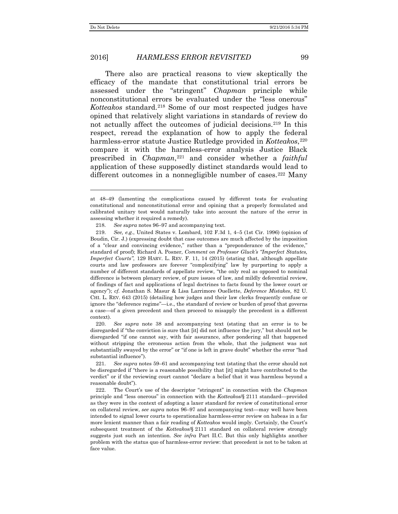#### 2016] *HARMLESS ERROR REVISITED* 99

<span id="page-41-6"></span>There also are practical reasons to view skeptically the efficacy of the mandate that constitutional trial errors be assessed under the "stringent" *Chapman* principle while nonconstitutional errors be evaluated under the "less onerous" *Kotteakos* standard.[218](#page-41-0) Some of our most respected judges have opined that relatively slight variations in standards of review do not actually affect the outcomes of judicial decisions.[219](#page-41-1) In this respect, reread the explanation of how to apply the federal harmless-error statute Justice Rutledge provided in *Kotteakos*,<sup>[220](#page-41-2)</sup> compare it with the harmless-error analysis Justice Black prescribed in *Chapman*,[221](#page-41-3) and consider whether a *faithful* application of these supposedly distinct standards would lead to different outcomes in a nonnegligible number of cases.<sup>[222](#page-41-4)</sup> Many

<span id="page-41-5"></span>

at 48–49 (lamenting the complications caused by different tests for evaluating constitutional and nonconstitutional error and opining that a properly formulated and calibrated unitary test would naturally take into account the nature of the error in assessing whether it required a remedy).

<sup>218.</sup> *See supra* notes [96](#page-19-0)[–97](#page-19-1) and accompanying text.

<span id="page-41-1"></span><span id="page-41-0"></span><sup>219.</sup> *See, e.g.*, United States v. Lombard, 102 F.3d 1, 4–5 (1st Cir. 1996) (opinion of Boudin, Cir. J.) (expressing doubt that case outcomes are much affected by the imposition of a "clear and convincing evidence," rather than a "preponderance of the evidence," standard of proof); Richard A. Posner, *Comment on Professor Gluck's "Imperfect Statutes, Imperfect Courts"*, 129 HARV. L. REV. F. 11, 14 (2015) (stating that, although appellate courts and law professors are forever "complexifying" law by purporting to apply a number of different standards of appellate review, "the only real as opposed to nominal difference is between plenary review, of pure issues of law, and mildly deferential review, of findings of fact and applications of legal doctrines to facts found by the lower court or agency"); *cf.* Jonathan S. Masur & Lisa Larrimore Ouellette, *Deference Mistakes*, 82 U. CHI. L. REV. 643 (2015) (detailing how judges and their law clerks frequently confuse or ignore the "deference regime"—i.e., the standard of review or burden of proof that governs a case—of a given precedent and then proceed to misapply the precedent in a different context).

<span id="page-41-2"></span><sup>220.</sup> *See supra* note [38](#page-12-8) and accompanying text (stating that an error is to be disregarded if "the conviction is sure that [it] did not influence the jury," but should not be disregarded "if one cannot say, with fair assurance, after pondering all that happened without stripping the erroneous action from the whole, that the judgment was not substantially swayed by the error" or "if one is left in grave doubt" whether the error "had substantial influence").

<span id="page-41-3"></span><sup>221.</sup> *See supra* notes [59](#page-15-11)[–61](#page-15-12) and accompanying text (stating that the error should not be disregarded if "there is a reasonable possibility that [it] might have contributed to the verdict" or if the reviewing court cannot "declare a belief that it was harmless beyond a reasonable doubt").

<span id="page-41-4"></span><sup>222.</sup> The Court's use of the descriptor "stringent" in connection with the *Chapman* principle and "less onerous" in connection with the *Kotteakos*/§ 2111 standard—provided as they were in the context of adopting a laxer standard for review of constitutional error on collateral review, *see supra* notes [96](#page-19-0)[–97](#page-19-1) and accompanying text—may well have been intended to signal lower courts to operationalize harmless-error review on habeas in a far more lenient manner than a fair reading of *Kotteakos* would imply. Certainly, the Court's subsequent treatment of the *Kotteakos*/§ 2111 standard on collateral review strongly suggests just such an intention. *See infra* Part II.C. But this only highlights another problem with the status quo of harmless-error review: that precedent is not to be taken at face value.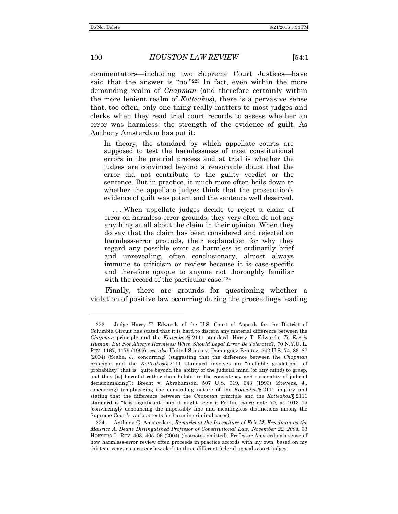-

100 *HOUSTON LAW REVIEW* [54:1]

<span id="page-42-2"></span>commentators—including two Supreme Court Justices—have said that the answer is "no."[223](#page-42-0) In fact, even within the more demanding realm of *Chapman* (and therefore certainly within the more lenient realm of *Kotteakos*), there is a pervasive sense that, too often, only one thing really matters to most judges and clerks when they read trial court records to assess whether an error was harmless: the strength of the evidence of guilt. As Anthony Amsterdam has put it:

In theory, the standard by which appellate courts are supposed to test the harmlessness of most constitutional errors in the pretrial process and at trial is whether the judges are convinced beyond a reasonable doubt that the error did not contribute to the guilty verdict or the sentence. But in practice, it much more often boils down to whether the appellate judges think that the prosecution's evidence of guilt was potent and the sentence well deserved.

. . . When appellate judges decide to reject a claim of error on harmless-error grounds, they very often do not say anything at all about the claim in their opinion. When they do say that the claim has been considered and rejected on harmless-error grounds, their explanation for why they regard any possible error as harmless is ordinarily brief and unrevealing, often conclusionary, almost always immune to criticism or review because it is case-specific and therefore opaque to anyone not thoroughly familiar with the record of the particular case.<sup>[224](#page-42-1)</sup>

<span id="page-42-3"></span>Finally, there are grounds for questioning whether a violation of positive law occurring during the proceedings leading

<span id="page-42-0"></span><sup>223.</sup> Judge Harry T. Edwards of the U.S. Court of Appeals for the District of Columbia Circuit has stated that it is hard to discern any material difference between the *Chapman* principle and the *Kotteakos*/§ 2111 standard. Harry T. Edwards, *To Err is Human, But Not Always Harmless: When Should Legal Error Be Tolerated?*, 70 N.Y.U. L. REV. 1167, 1179 (1995); *see also* United States v. Dominguez Benitez, 542 U.S. 74, 86–87 (2004) (Scalia, J., concurring) (suggesting that the difference between the *Chapman*  principle and the *Kotteakos*/§ 2111 standard involves an "ineffable gradation[] of probability" that is "quite beyond the ability of the judicial mind (or any mind) to grasp, and thus [is] harmful rather than helpful to the consistency and rationality of judicial decisionmaking"); Brecht v. Abrahamson, 507 U.S. 619, 643 (1993) (Stevens, J., concurring) (emphasizing the demanding nature of the *Kotteakos*/§ 2111 inquiry and stating that the difference between the *Chapman* principle and the *Kotteakos*/§ 2111 standard is "less significant than it might seem"); Poulin, *supra* note [70,](#page-16-8) at 1013–15 (convincingly denouncing the impossibly fine and meaningless distinctions among the Supreme Court's various tests for harm in criminal cases).

<span id="page-42-1"></span><sup>224.</sup> Anthony G. Amsterdam, *Remarks at the Investiture of Eric M. Freedman as the Maurice A. Deane Distinguished Professor of Constitutional Law*, *November 22, 2004*, 33 HOFSTRA L. REV. 403, 405–06 (2004) (footnotes omitted). Professor Amsterdam's sense of how harmless-error review often proceeds in practice accords with my own, based on my thirteen years as a career law clerk to three different federal appeals court judges.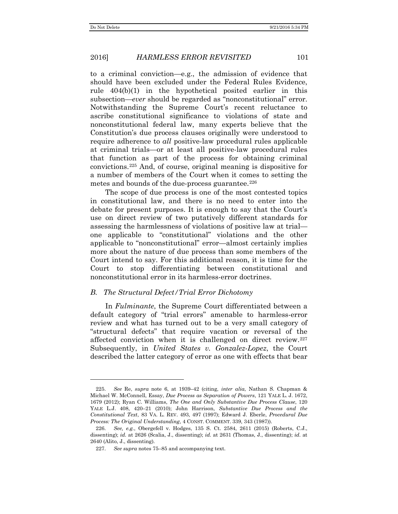to a criminal conviction—e.g., the admission of evidence that should have been excluded under the Federal Rules Evidence, rule 404(b)(1) in the hypothetical posited earlier in this subsection—*ever* should be regarded as "nonconstitutional" error. Notwithstanding the Supreme Court's recent reluctance to ascribe constitutional significance to violations of state and nonconstitutional federal law, many experts believe that the Constitution's due process clauses originally were understood to require adherence to *all* positive-law procedural rules applicable at criminal trials—or at least all positive-law procedural rules that function as part of the process for obtaining criminal convictions.[225](#page-43-0) And, of course, original meaning is dispositive for a number of members of the Court when it comes to setting the metes and bounds of the due-process guarantee.<sup>[226](#page-43-1)</sup>

<span id="page-43-3"></span>The scope of due process is one of the most contested topics in constitutional law, and there is no need to enter into the debate for present purposes. It is enough to say that the Court's use on direct review of two putatively different standards for assessing the harmlessness of violations of positive law at trial one applicable to "constitutional" violations and the other applicable to "nonconstitutional" error—almost certainly implies more about the nature of due process than some members of the Court intend to say. For this additional reason, it is time for the Court to stop differentiating between constitutional and nonconstitutional error in its harmless-error doctrines.

#### *B. The Structural Defect/Trial Error Dichotomy*

In *Fulminante*, the Supreme Court differentiated between a default category of "trial errors" amenable to harmless-error review and what has turned out to be a very small category of "structural defects" that require vacation or reversal of the affected conviction when it is challenged on direct review.<sup>[227](#page-43-2)</sup> Subsequently, in *United States v. Gonzalez-Lopez*, the Court described the latter category of error as one with effects that bear

<span id="page-43-4"></span>

<span id="page-43-0"></span><sup>225.</sup> *See* Re, *supra* note [6,](#page-4-9) at 1939–42 (citing, *inter alia*, Nathan S. Chapman & Michael W. McConnell, Essay, *Due Process as Separation of Powers*, 121 YALE L. J. 1672, 1679 (2012); Ryan C. Williams, *The One and Only Substantive Due Process Clause*, 120 YALE L.J. 408, 420–21 (2010); John Harrison, *Substantive Due Process and the Constitutional Text*, 83 VA. L. REV. 493, 497 (1997); Edward J. Eberle, *Procedural Due Process: The Original Understanding*, 4 CONST. COMMENT. 339, 343 (1987)).

<span id="page-43-2"></span><span id="page-43-1"></span><sup>226.</sup> *See, e.g.*, Obergefell v. Hodges, 135 S. Ct. 2584, 2611 (2015) (Roberts, C.J., dissenting); *id.* at 2626 (Scalia, J., dissenting); *id.* at 2631 (Thomas, J., dissenting); *id.* at 2640 (Alito, J., dissenting).

<sup>227.</sup> *See supra* notes [75](#page-17-13)[–85](#page-18-13) and accompanying text.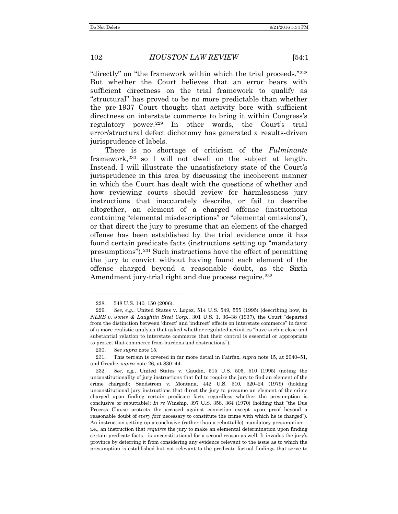"directly" on "the framework within which the trial proceeds."[228](#page-44-0) But whether the Court believes that an error bears with sufficient directness on the trial framework to qualify as "structural" has proved to be no more predictable than whether the pre-1937 Court thought that activity bore with sufficient directness on interstate commerce to bring it within Congress's regulatory power.[229](#page-44-1) In other words, the Court's trial error/structural defect dichotomy has generated a results-driven jurisprudence of labels.

There is no shortage of criticism of the *Fulminante*  framework,[230](#page-44-2) so I will not dwell on the subject at length. Instead, I will illustrate the unsatisfactory state of the Court's jurisprudence in this area by discussing the incoherent manner in which the Court has dealt with the questions of whether and how reviewing courts should review for harmlessness jury instructions that inaccurately describe, or fail to describe altogether, an element of a charged offense (instructions containing "elemental misdescriptions" or "elemental omissions"), or that direct the jury to presume that an element of the charged offense has been established by the trial evidence once it has found certain predicate facts (instructions setting up "mandatory presumptions").[231](#page-44-3) Such instructions have the effect of permitting the jury to convict without having found each element of the offense charged beyond a reasonable doubt, as the Sixth Amendment jury-trial right and due process require.<sup>[232](#page-44-4)</sup>

-

230. *See supra* not[e 15.](#page-5-6)

<sup>228.</sup> 548 U.S. 140, 150 (2006).

<span id="page-44-1"></span><span id="page-44-0"></span><sup>229.</sup> *See, e.g.*, United States v. Lopez, 514 U.S. 549, 555 (1995) (describing how, in *NLRB v. Jones & Laughlin Steel Corp.*, 301 U.S. 1, 36–38 (1937), the Court "departed from the distinction between 'direct' and 'indirect' effects on interstate commerce" in favor of a more realistic analysis that asked whether regulated activities "have such a close and substantial relation to interstate commerce that their control is essential or appropriate to protect that commerce from burdens and obstructions").

<span id="page-44-3"></span><span id="page-44-2"></span><sup>231.</sup> This terrain is covered in far more detail in Fairfax, *supra* not[e 15,](#page-5-6) at 2040–51, and Greabe, *supra* note [26,](#page-9-6) at 830–44.

<span id="page-44-4"></span><sup>232.</sup> *See, e.g.*, United States v. Gaudin, 515 U.S. 506, 510 (1995) (noting the unconstitutionality of jury instructions that fail to require the jury to find an element of the crime charged); Sandstrom v. Montana, 442 U.S. 510, 520–24 (1979) (holding unconstitutional jury instructions that direct the jury to presume an element of the crime charged upon finding certain predicate facts regardless whether the presumption is conclusive or rebuttable); *In re* Winship, 397 U.S. 358, 364 (1970) (holding that "the Due Process Clause protects the accused against conviction except upon proof beyond a reasonable doubt of *every fact* necessary to constitute the crime with which he is charged"). An instruction setting up a conclusive (rather than a rebuttable) mandatory presumption i.e., an instruction that *requires* the jury to make an elemental determination upon finding certain predicate facts—is unconstitutional for a second reason as well. It invades the jury's province by deterring it from considering any evidence relevant to the issue as to which the presumption is established but not relevant to the predicate factual findings that serve to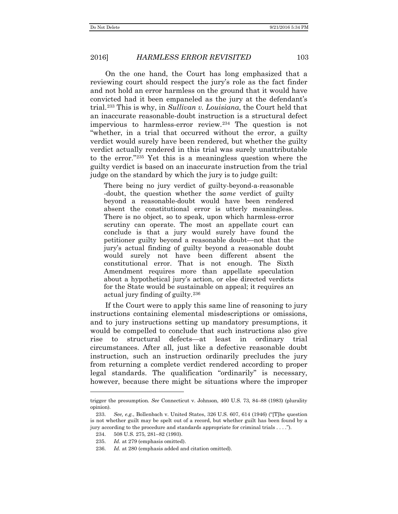<span id="page-45-4"></span>On the one hand, the Court has long emphasized that a reviewing court should respect the jury's role as the fact finder and not hold an error harmless on the ground that it would have convicted had it been empaneled as the jury at the defendant's trial.[233](#page-45-0) This is why, in *Sullivan v. Louisiana*, the Court held that an inaccurate reasonable-doubt instruction is a structural defect impervious to harmless-error review.[234](#page-45-1) The question is not "whether, in a trial that occurred without the error, a guilty verdict would surely have been rendered, but whether the guilty verdict actually rendered in this trial was surely unattributable to the error."[235](#page-45-2) Yet this is a meaningless question where the guilty verdict is based on an inaccurate instruction from the trial judge on the standard by which the jury is to judge guilt:

There being no jury verdict of guilty-beyond-a-reasonable -doubt, the question whether the *same* verdict of guilty beyond a reasonable-doubt would have been rendered absent the constitutional error is utterly meaningless. There is no object, so to speak, upon which harmless-error scrutiny can operate. The most an appellate court can conclude is that a jury would surely have found the petitioner guilty beyond a reasonable doubt—not that the jury's actual finding of guilty beyond a reasonable doubt would surely not have been different absent the constitutional error. That is not enough. The Sixth Amendment requires more than appellate speculation about a hypothetical jury's action, or else directed verdicts for the State would be sustainable on appeal; it requires an actual jury finding of guilty.[236](#page-45-3)

<span id="page-45-5"></span>If the Court were to apply this same line of reasoning to jury instructions containing elemental misdescriptions or omissions, and to jury instructions setting up mandatory presumptions, it would be compelled to conclude that such instructions also give rise to structural defects—at least in ordinary trial circumstances. After all, just like a defective reasonable doubt instruction, such an instruction ordinarily precludes the jury from returning a complete verdict rendered according to proper legal standards. The qualification "ordinarily" is necessary, however, because there might be situations where the improper

trigger the presumption. *See* Connecticut v. Johnson, 460 U.S. 73, 84–88 (1983) (plurality opinion).

<span id="page-45-2"></span><span id="page-45-1"></span><span id="page-45-0"></span><sup>233.</sup> *See, e.g.*, Bollenbach v. United States, 326 U.S. 607, 614 (1946) ("[T]he question is not whether guilt may be spelt out of a record, but whether guilt has been found by a jury according to the procedure and standards appropriate for criminal trials . . . .").

<sup>234.</sup> 508 U.S. 275, 281–82 (1993).

<sup>235.</sup> *Id.* at 279 (emphasis omitted).

<span id="page-45-3"></span><sup>236.</sup> *Id.* at 280 (emphasis added and citation omitted).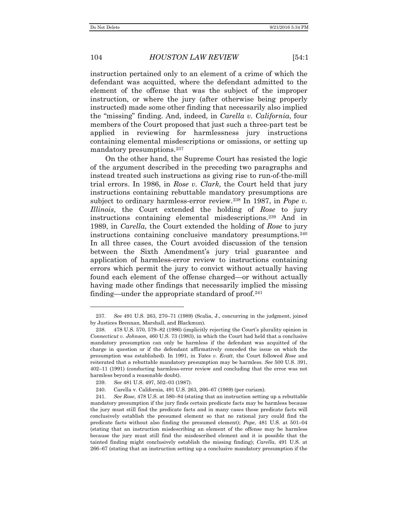#### 104 *HOUSTON LAW REVIEW* [54:1]

instruction pertained only to an element of a crime of which the defendant was acquitted, where the defendant admitted to the element of the offense that was the subject of the improper instruction, or where the jury (after otherwise being properly instructed) made some other finding that necessarily also implied the "missing" finding. And, indeed, in *Carella v. California*, four members of the Court proposed that just such a three-part test be applied in reviewing for harmlessness jury instructions containing elemental misdescriptions or omissions, or setting up mandatory presumptions.[237](#page-46-0)

On the other hand, the Supreme Court has resisted the logic of the argument described in the preceding two paragraphs and instead treated such instructions as giving rise to run-of-the-mill trial errors. In 1986, in *Rose v. Clark*, the Court held that jury instructions containing rebuttable mandatory presumptions are subject to ordinary harmless-error review.<sup>[238](#page-46-1)</sup> In 1987, in *Pope v. Illinois*, the Court extended the holding of *Rose* to jury instructions containing elemental misdescriptions.[239](#page-46-2) And in 1989, in *Carella*, the Court extended the holding of *Rose* to jury instructions containing conclusive mandatory presumptions.<sup>[240](#page-46-3)</sup> In all three cases, the Court avoided discussion of the tension between the Sixth Amendment's jury trial guarantee and application of harmless-error review to instructions containing errors which permit the jury to convict without actually having found each element of the offense charged—or without actually having made other findings that necessarily implied the missing finding—under the appropriate standard of proof. $241$ 

<span id="page-46-5"></span><span id="page-46-0"></span><sup>237.</sup> *See* 491 U.S. 263, 270–71 (1989) (Scalia, J., concurring in the judgment, joined by Justices Brennan, Marshall, and Blackmun).

<span id="page-46-1"></span><sup>238.</sup> 478 U.S. 570, 579–82 (1986) (implicitly rejecting the Court's plurality opinion in *Connecticut v. Johnson*, 460 U.S. 73 (1983), in which the Court had held that a conclusive mandatory presumption can only be harmless if the defendant was acquitted of the charge in question or if the defendant affirmatively conceded the issue on which the presumption was established). In 1991, in *Yates v. Evatt*, the Court followed *Rose* and reiterated that a rebuttable mandatory presumption may be harmless. *See* 500 U.S. 391, 402–11 (1991) (conducting harmless-error review and concluding that the error was not harmless beyond a reasonable doubt).

<sup>239.</sup> *See* 481 U.S. 497, 502–03 (1987).

<sup>240.</sup> Carella v. California, 491 U.S. 263, 266–67 (1989) (per curiam).

<span id="page-46-4"></span><span id="page-46-3"></span><span id="page-46-2"></span><sup>241.</sup> *See Rose*, 478 U.S. at 580–84 (stating that an instruction setting up a rebuttable mandatory presumption if the jury finds certain predicate facts may be harmless because the jury must still find the predicate facts and in many cases those predicate facts will conclusively establish the presumed element so that no rational jury could find the predicate facts without also finding the presumed element); *Pope*, 481 U.S. at 501–04 (stating that an instruction misdescribing an element of the offense may be harmless because the jury must still find the misdescribed element and it is possible that the tainted finding might conclusively establish the missing finding); *Carella*, 491 U.S. at 266–67 (stating that an instruction setting up a conclusive mandatory presumption if the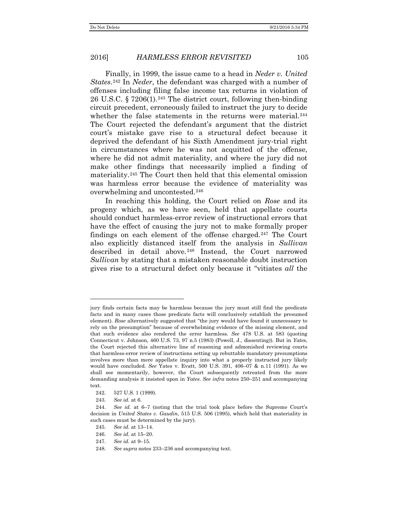<span id="page-47-7"></span>Finally, in 1999, the issue came to a head in *Neder v. United States*.[242](#page-47-0) In *Neder*, the defendant was charged with a number of offenses including filing false income tax returns in violation of 26 U.S.C. § 7206(1).[243](#page-47-1) The district court, following then-binding circuit precedent, erroneously failed to instruct the jury to decide whether the false statements in the returns were material.<sup>[244](#page-47-2)</sup> The Court rejected the defendant's argument that the district court's mistake gave rise to a structural defect because it deprived the defendant of his Sixth Amendment jury-trial right in circumstances where he was not acquitted of the offense, where he did not admit materiality, and where the jury did not make other findings that necessarily implied a finding of materiality.[245](#page-47-3) The Court then held that this elemental omission was harmless error because the evidence of materiality was overwhelming and uncontested.[246](#page-47-4)

In reaching this holding, the Court relied on *Rose* and its progeny which, as we have seen, held that appellate courts should conduct harmless-error review of instructional errors that have the effect of causing the jury not to make formally proper findings on each element of the offense charged.[247](#page-47-5) The Court also explicitly distanced itself from the analysis in *Sullivan* described in detail above.[248](#page-47-6) Instead, the Court narrowed *Sullivan* by stating that a mistaken reasonable doubt instruction gives rise to a structural defect only because it "vitiates *all* the

jury finds certain facts may be harmless because the jury must still find the predicate facts and in many cases those predicate facts will conclusively establish the presumed element). *Rose* alternatively suggested that "the jury would have found it unnecessary to rely on the presumption" because of overwhelming evidence of the missing element, and that such evidence also rendered the error harmless. *See* 478 U.S. at 583 (quoting Connecticut v. Johnson, 460 U.S. 73, 97 n.5 (1983) (Powell, J., dissenting)). But in *Yates*, the Court rejected this alternative line of reasoning and admonished reviewing courts that harmless-error review of instructions setting up rebuttable mandatory presumptions involves more than mere appellate inquiry into what a properly instructed jury likely would have concluded. *See* Yates v. Evatt, 500 U.S. 391, 406–07 & n.11 (1991). As we shall see momentarily, however, the Court subsequently retreated from the more demanding analysis it insisted upon in *Yates*. *See infra* notes [250–](#page-48-0)[251](#page-48-1) and accompanying text.

<sup>242.</sup> 527 U.S. 1 (1999).

<sup>243.</sup> *See id.* at 6.

<span id="page-47-4"></span><span id="page-47-3"></span><span id="page-47-2"></span><span id="page-47-1"></span><span id="page-47-0"></span><sup>244.</sup> *See id.* at 6–7 (noting that the trial took place before the Supreme Court's decision in *United States v. Gaudin*, 515 U.S. 506 (1995), which held that materiality in such cases must be determined by the jury).

<sup>245.</sup> *See id.* at 13–14.

<sup>246.</sup> *See id.* at 15–20.

<sup>247.</sup> *See id.* at 9–15.

<span id="page-47-6"></span><span id="page-47-5"></span><sup>248.</sup> *See supra* notes [233–](#page-45-4)[236](#page-45-5) and accompanying text.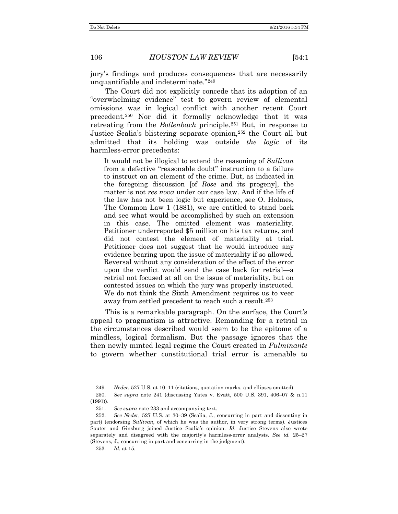<span id="page-48-1"></span>

jury's findings and produces consequences that are necessarily unquantifiable and indeterminate."[249](#page-48-2)

<span id="page-48-0"></span>The Court did not explicitly concede that its adoption of an "overwhelming evidence" test to govern review of elemental omissions was in logical conflict with another recent Court precedent.[250](#page-48-3) Nor did it formally acknowledge that it was retreating from the *Bollenbach* principle*.*[251](#page-48-4) But, in response to Justice Scalia's blistering separate opinion,[252](#page-48-5) the Court all but admitted that its holding was outside *the logic* of its harmless-error precedents:

It would not be illogical to extend the reasoning of *Sullivan* from a defective "reasonable doubt" instruction to a failure to instruct on an element of the crime. But, as indicated in the foregoing discussion [of *Rose* and its progeny], the matter is not *res nova* under our case law. And if the life of the law has not been logic but experience, see O. Holmes, The Common Law 1 (1881), we are entitled to stand back and see what would be accomplished by such an extension in this case. The omitted element was materiality. Petitioner underreported \$5 million on his tax returns, and did not contest the element of materiality at trial. Petitioner does not suggest that he would introduce any evidence bearing upon the issue of materiality if so allowed. Reversal without any consideration of the effect of the error upon the verdict would send the case back for retrial—a retrial not focused at all on the issue of materiality, but on contested issues on which the jury was properly instructed. We do not think the Sixth Amendment requires us to veer away from settled precedent to reach such a result.[253](#page-48-6)

<span id="page-48-7"></span>This is a remarkable paragraph. On the surface, the Court's appeal to pragmatism is attractive. Remanding for a retrial in the circumstances described would seem to be the epitome of a mindless, logical formalism. But the passage ignores that the then newly minted legal regime the Court created in *Fulminante* to govern whether constitutional trial error is amenable to

<span id="page-48-6"></span>253. *Id.* at 15.

<sup>249.</sup> *Neder*, 527 U.S. at 10–11 (citations, quotation marks, and ellipses omitted).

<span id="page-48-3"></span><span id="page-48-2"></span><sup>250.</sup> *See supra* note [241](#page-46-5) (discussing Yates v. Evatt, 500 U.S. 391, 406–07 & n.11 (1991)).

<sup>251.</sup> *See supra* not[e 233](#page-45-4) and accompanying text.

<span id="page-48-5"></span><span id="page-48-4"></span><sup>252.</sup> *See Neder*, 527 U.S. at 30–39 (Scalia, J., concurring in part and dissenting in part) (endorsing *Sullivan*, of which he was the author, in very strong terms). Justices Souter and Ginsburg joined Justice Scalia's opinion. *Id.* Justice Stevens also wrote separately and disagreed with the majority's harmless-error analysis. *See id.* 25–27 (Stevens, J., concurring in part and concurring in the judgment).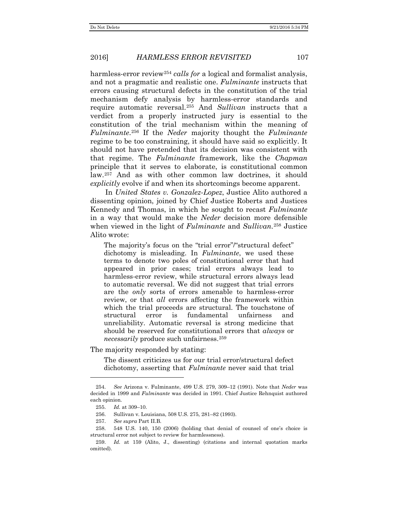harmless-error review<sup>[254](#page-49-0)</sup> *calls for* a logical and formalist analysis, and not a pragmatic and realistic one. *Fulminante* instructs that errors causing structural defects in the constitution of the trial mechanism defy analysis by harmless-error standards and require automatic reversal.[255](#page-49-1) And *Sullivan* instructs that a verdict from a properly instructed jury is essential to the constitution of the trial mechanism within the meaning of *Fulminante*.[256](#page-49-2) If the *Neder* majority thought the *Fulminante* regime to be too constraining, it should have said so explicitly. It should not have pretended that its decision was consistent with that regime. The *Fulminante* framework, like the *Chapman* principle that it serves to elaborate, is constitutional common law.[257](#page-49-3) And as with other common law doctrines, it should *explicitly* evolve if and when its shortcomings become apparent.

In *United States v. Gonzalez-Lopez*, Justice Alito authored a dissenting opinion, joined by Chief Justice Roberts and Justices Kennedy and Thomas, in which he sought to recast *Fulminante* in a way that would make the *Neder* decision more defensible when viewed in the light of *Fulminante* and *Sullivan*.[258](#page-49-4) Justice Alito wrote:

The majority's focus on the "trial error"/"structural defect" dichotomy is misleading. In *Fulminante*, we used these terms to denote two poles of constitutional error that had appeared in prior cases; trial errors always lead to harmless-error review, while structural errors always lead to automatic reversal. We did not suggest that trial errors are the *only* sorts of errors amenable to harmless-error review, or that *all* errors affecting the framework within which the trial proceeds are structural. The touchstone of structural error is fundamental unfairness and unreliability. Automatic reversal is strong medicine that should be reserved for constitutional errors that *always* or *necessarily* produce such unfairness.[259](#page-49-5)

The majority responded by stating:

The dissent criticizes us for our trial error/structural defect dichotomy, asserting that *Fulminante* never said that trial

<span id="page-49-1"></span><span id="page-49-0"></span><sup>254.</sup> *See* Arizona v. Fulminante, 499 U.S. 279, 309–12 (1991). Note that *Neder* was decided in 1999 and *Fulminante* was decided in 1991. Chief Justice Rehnquist authored each opinion.

<sup>255.</sup> *Id.* at 309–10.

<sup>256.</sup> Sullivan v. Louisiana, 508 U.S. 275, 281–82 (1993).

<sup>257.</sup> *See supra* Part II.B.

<span id="page-49-4"></span><span id="page-49-3"></span><span id="page-49-2"></span><sup>258.</sup> 548 U.S. 140, 150 (2006) (holding that denial of counsel of one's choice is structural error not subject to review for harmlessness).

<span id="page-49-5"></span><sup>259.</sup> *Id.* at 159 (Alito, J., dissenting) (citations and internal quotation marks omitted).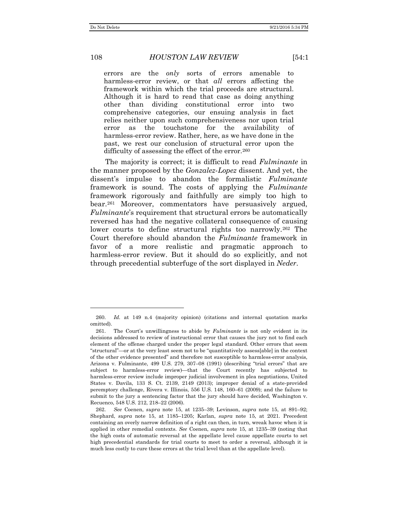108 *HOUSTON LAW REVIEW* [54:1]

errors are the *only* sorts of errors amenable to harmless-error review, or that *all* errors affecting the framework within which the trial proceeds are structural. Although it is hard to read that case as doing anything other than dividing constitutional error into two comprehensive categories, our ensuing analysis in fact relies neither upon such comprehensiveness nor upon trial error as the touchstone for the availability of harmless-error review. Rather, here, as we have done in the past, we rest our conclusion of structural error upon the difficulty of assessing the effect of the error.<sup>[260](#page-50-0)</sup>

The majority is correct; it is difficult to read *Fulminante* in the manner proposed by the *Gonzalez-Lopez* dissent. And yet, the dissent's impulse to abandon the formalistic *Fulminante* framework is sound. The costs of applying the *Fulminante*  framework rigorously and faithfully are simply too high to bear.[261](#page-50-1) Moreover, commentators have persuasively argued, *Fulminante*'s requirement that structural errors be automatically reversed has had the negative collateral consequence of causing lower courts to define structural rights too narrowly.[262](#page-50-2) The Court therefore should abandon the *Fulminante* framework in favor of a more realistic and pragmatic approach to harmless-error review. But it should do so explicitly, and not through precedential subterfuge of the sort displayed in *Neder*.

<span id="page-50-0"></span><sup>260.</sup> *Id.* at 149 n.4 (majority opinion) (citations and internal quotation marks omitted).

<span id="page-50-1"></span><sup>261.</sup> The Court's unwillingness to abide by *Fulminante* is not only evident in its decisions addressed to review of instructional error that causes the jury not to find each element of the offense charged under the proper legal standard. Other errors that seem "structural"—or at the very least seem not to be "quantitatively assess[able] in the context of the other evidence presented" and therefore not susceptible to harmless-error analysis, Arizona v. Fulminante, 499 U.S. 279, 307–08 (1991) (describing "trial errors" that are subject to harmless-error review)—that the Court recently has subjected to harmless-error review include improper judicial involvement in plea negotiations, United States v. Davila, 133 S. Ct. 2139, 2149 (2013); improper denial of a state-provided peremptory challenge, Rivera v. Illinois, 556 U.S. 148, 160–61 (2009); and the failure to submit to the jury a sentencing factor that the jury should have decided, Washington v. Recuenco, 548 U.S. 212, 218–22 (2006).

<span id="page-50-2"></span><sup>262.</sup> *See* Coenen, *supra* note [15,](#page-5-6) at 1235–39; Levinson, *supra* note [15,](#page-5-6) at 891–92; Shephard, *supra* note [15,](#page-5-6) at 1185–1205; Karlan, *supra* note [15,](#page-5-6) at 2021. Precedent containing an overly narrow definition of a right can then, in turn, wreak havoc when it is applied in other remedial contexts. *See* Coenen, *supra* note [15,](#page-5-6) at 1235–39 (noting that the high costs of automatic reversal at the appellate level cause appellate courts to set high precedential standards for trial courts to meet to order a reversal, although it is much less costly to cure these errors at the trial level than at the appellate level).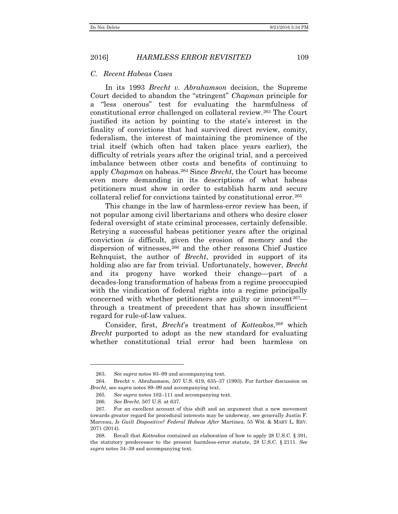#### *C. Recent Habeas Cases*

In its 1993 *Brecht v. Abrahamson* decision, the Supreme Court decided to abandon the "stringent" *Chapman* principle for a "less onerous" test for evaluating the harmfulness of constitutional error challenged on collateral review.[263](#page-51-0) The Court justified its action by pointing to the state's interest in the finality of convictions that had survived direct review, comity, federalism, the interest of maintaining the prominence of the trial itself (which often had taken place years earlier), the difficulty of retrials years after the original trial, and a perceived imbalance between other costs and benefits of continuing to apply *Chapman* on habeas.[264](#page-51-1) Since *Brecht*, the Court has become even more demanding in its descriptions of what habeas petitioners must show in order to establish harm and secure collateral relief for convictions tainted by constitutional error.[265](#page-51-2)

This change in the law of harmless-error review has been, if not popular among civil libertarians and others who desire closer federal oversight of state criminal processes, certainly defensible. Retrying a successful habeas petitioner years after the original conviction *is* difficult, given the erosion of memory and the dispersion of witnesses, [266](#page-51-3) and the other reasons Chief Justice Rehnquist, the author of *Brecht*, provided in support of its holding also are far from trivial. Unfortunately, however, *Brecht*  and its progeny have worked their change—part of a decades-long transformation of habeas from a regime preoccupied with the vindication of federal rights into a regime principally concerned with whether petitioners are guilty or innocent<sup>267</sup> through a treatment of precedent that has shown insufficient regard for rule-of-law values.

Consider, first, *Brecht*'s treatment of *Kotteakos*,<sup>[268](#page-51-5)</sup> which *Brecht* purported to adopt as the new standard for evaluating whether constitutional trial error had been harmless on

<sup>263.</sup> *See supra* notes [93](#page-18-14)[–99](#page-19-12) and accompanying text.

<span id="page-51-2"></span><span id="page-51-1"></span><span id="page-51-0"></span><sup>264.</sup> Brecht v. Abrahamson, 507 U.S. 619, 635–37 (1993). For further discussion on *Brecht*, see *supra* notes [89](#page-18-11)[–99](#page-19-12) and accompanying text.

<sup>265.</sup> *See supra* notes [102–](#page-19-11)[111](#page-20-8) and accompanying text.

<sup>266.</sup> *See Brecht*, 507 U.S. at 637.

<span id="page-51-4"></span><span id="page-51-3"></span><sup>267.</sup> For an excellent account of this shift and an argument that a new movement towards greater regard for procedural interests may be underway, see generally Justin F. Marceau, *Is Guilt Dispositive? Federal Habeas After* Martinez, 55 WM. & MARY L. REV. 2071 (2014).

<span id="page-51-5"></span><sup>268.</sup> Recall that *Kotteakos* contained an elaboration of how to apply 28 U.S.C. § 391, the statutory predecessor to the present harmless-error statute, 28 U.S.C. § 2111. *See supra* note[s 34](#page-10-7)[–39](#page-12-7) and accompanying text.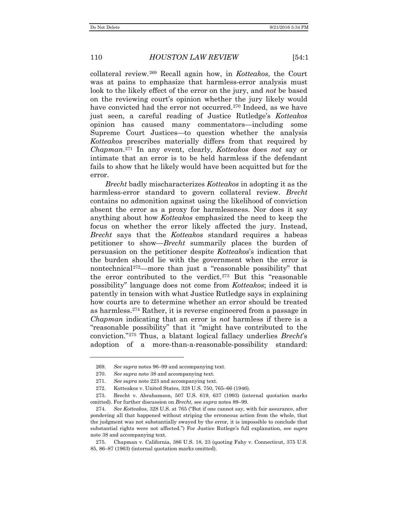collateral review.[269](#page-52-0) Recall again how, in *Kotteakos*, the Court was at pains to emphasize that harmless-error analysis must look to the likely effect of the error on the jury, and *not* be based on the reviewing court's opinion whether the jury likely would have convicted had the error not occurred.<sup>[270](#page-52-1)</sup> Indeed, as we have just seen, a careful reading of Justice Rutledge's *Kotteakos* opinion has caused many commentators—including some Supreme Court Justices—to question whether the analysis *Kotteakos* prescribes materially differs from that required by *Chapman*.[271](#page-52-2) In any event, clearly, *Kotteakos* does *not* say or intimate that an error is to be held harmless if the defendant fails to show that he likely would have been acquitted but for the error.

*Brecht* badly mischaracterizes *Kotteakos* in adopting it as the harmless-error standard to govern collateral review. *Brecht* contains no admonition against using the likelihood of conviction absent the error as a proxy for harmlessness. Nor does it say anything about how *Kotteakos* emphasized the need to keep the focus on whether the error likely affected the jury. Instead, *Brecht* says that the *Kotteakos* standard requires a habeas petitioner to show—*Brecht* summarily places the burden of persuasion on the petitioner despite *Kotteakos*'s indication that the burden should lie with the government when the error is nontechnica[l272](#page-52-3)—more than just a "reasonable possibility" that the error contributed to the verdict.[273](#page-52-4) But this "reasonable possibility" language does not come from *Kotteakos*; indeed it is patently in tension with what Justice Rutledge says in explaining how courts are to determine whether an error should be treated as harmless.[274](#page-52-5) Rather, it is reverse engineered from a passage in *Chapman* indicating that an error is *not* harmless if there is a "reasonable possibility" that it "might have contributed to the conviction."[275](#page-52-6) Thus, a blatant logical fallacy underlies *Brecht*'s adoption of a more-than-a-reasonable-possibility standard:

<sup>269.</sup> *See supra* notes [96](#page-19-0)[–99](#page-19-12) and accompanying text.

<span id="page-52-0"></span><sup>270.</sup> *See supra* not[e 38](#page-12-8) and accompanying text.

<sup>271.</sup> *See supra* note [223](#page-42-2) and accompanying text.

<sup>272.</sup> Kotteakos v. United States, 328 U.S. 750, 765–66 (1946).

<span id="page-52-4"></span><span id="page-52-3"></span><span id="page-52-2"></span><span id="page-52-1"></span><sup>273.</sup> Brecht v. Abrahamson, 507 U.S. 619, 637 (1993) (internal quotation marks omitted). For further discussion on *Brecht*, see *supra* notes [89](#page-18-11)[–99.](#page-19-12)

<span id="page-52-5"></span><sup>274.</sup> *See Kotteakos*, 328 U.S. at 765 ("But if one cannot say, with fair assurance, after pondering all that happened without striping the erroneous action from the whole, that the judgment was not substantially swayed by the error, it is impossible to conclude that substantial rights were not affected.") For Justice Rutlege's full explanation, see *supra* not[e 38](#page-12-8) and accompanying text.

<span id="page-52-6"></span><sup>275.</sup> Chapman v. California, 386 U.S. 18, 23 (quoting Fahy v. Connecticut, 375 U.S. 85, 86–87 (1963) (internal quotation marks omitted).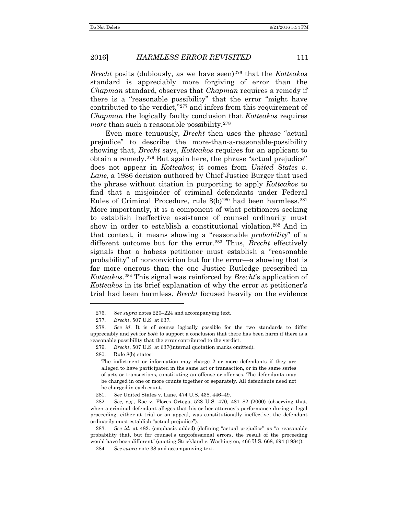*Brecht* posits (dubiously, as we have seen)<sup>[276](#page-53-0)</sup> that the *Kotteakos* standard is appreciably more forgiving of error than the *Chapman* standard, observes that *Chapman* requires a remedy if there is a "reasonable possibility" that the error "might have contributed to the verdict,"[277](#page-53-1) and infers from this requirement of *Chapman* the logically faulty conclusion that *Kotteakos* requires *more* than such a reasonable possibility.[278](#page-53-2)

<span id="page-53-9"></span>Even more tenuously, *Brecht* then uses the phrase "actual prejudice" to describe the more-than-a-reasonable-possibility showing that, *Brecht* says, *Kotteakos* requires for an applicant to obtain a remedy.[279](#page-53-3) But again here, the phrase "actual prejudice" does not appear in *Kotteakos*; it comes from *United States v. Lane*, a 1986 decision authored by Chief Justice Burger that used the phrase without citation in purporting to apply *Kotteakos* to find that a misjoinder of criminal defendants under Federal Rules of Criminal Procedure, rule 8(b)[280](#page-53-4) had been harmless.[281](#page-53-5) More importantly, it is a component of what petitioners seeking to establish ineffective assistance of counsel ordinarily must show in order to establish a constitutional violation.[282](#page-53-6) And in that context, it means showing a "reasonable *probability*" of a different outcome but for the error.[283](#page-53-7) Thus, *Brecht* effectively signals that a habeas petitioner must establish a "reasonable probability" of nonconviction but for the error—a showing that is far more onerous than the one Justice Rutledge prescribed in *Kotteakos*.[284](#page-53-8) This signal was reinforced by *Brecht*'s application of *Kotteakos* in its brief explanation of why the error at petitioner's trial had been harmless. *Brecht* focused heavily on the evidence

<span id="page-53-10"></span><sup>276.</sup> *See supra* notes [220–](#page-41-5)[224](#page-42-3) and accompanying text.

<sup>277.</sup> *Brecht*, 507 U.S. at 637.

<span id="page-53-4"></span><span id="page-53-3"></span><span id="page-53-2"></span><span id="page-53-1"></span><span id="page-53-0"></span><sup>278.</sup> *See id.* It is of course logically possible for the two standards to differ appreciably and yet for *both* to support a conclusion that there has been harm if there is a reasonable possibility that the error contributed to the verdict.

<sup>279.</sup> *Brecht*, 507 U.S. at 637(internal quotation marks omitted).

<sup>280.</sup> Rule 8(b) states:

The indictment or information may charge 2 or more defendants if they are alleged to have participated in the same act or transaction, or in the same series of acts or transactions, constituting an offense or offenses. The defendants may be charged in one or more counts together or separately. All defendants need not be charged in each count.

<sup>281.</sup> *See* United States v. Lane, 474 U.S. 438, 446–49.

<span id="page-53-6"></span><span id="page-53-5"></span><sup>282.</sup> *See, e.g.*, Roe v. Flores Ortega, 528 U.S. 470, 481–82 (2000) (observing that, when a criminal defendant alleges that his or her attorney's performance during a legal proceeding, either at trial or on appeal, was constitutionally ineffective, the defendant ordinarily must establish "actual prejudice").

<span id="page-53-8"></span><span id="page-53-7"></span><sup>283.</sup> *See id.* at 482. (emphasis added) (defining "actual prejudice" as "a reasonable probability that, but for counsel's unprofessional errors, the result of the proceeding would have been different" (quoting Strickland v. Washington, 466 U.S. 668, 694 (1984)).

<sup>284.</sup> *See supra* not[e 38](#page-12-8) and accompanying text.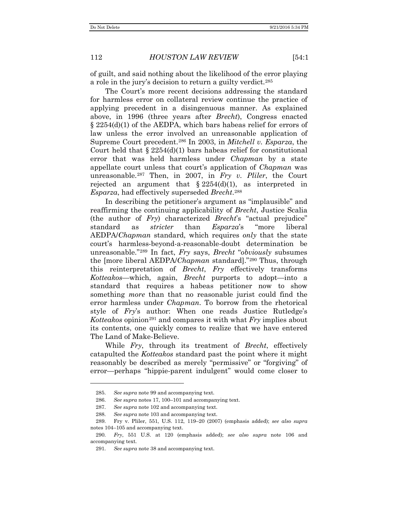of guilt, and said nothing about the likelihood of the error playing a role in the jury's decision to return a guilty verdict.<sup>[285](#page-54-0)</sup>

<span id="page-54-7"></span>The Court's more recent decisions addressing the standard for harmless error on collateral review continue the practice of applying precedent in a disingenuous manner. As explained above, in 1996 (three years after *Brecht*), Congress enacted § 2254(d)(1) of the AEDPA, which bars habeas relief for errors of law unless the error involved an unreasonable application of Supreme Court precedent.[286](#page-54-1) In 2003, in *Mitchell v. Esparza*, the Court held that  $\S 2254(d)(1)$  bars habeas relief for constitutional error that was held harmless under *Chapman* by a state appellate court unless that court's application of *Chapman* was unreasonable.[287](#page-54-2) Then, in 2007, in *Fry v. Pliler*, the Court rejected an argument that  $\S 2254(d)(1)$ , as interpreted in *Esparza*, had effectively superseded *Brecht*.[288](#page-54-3)

<span id="page-54-8"></span>In describing the petitioner's argument as "implausible" and reaffirming the continuing applicability of *Brecht*, Justice Scalia (the author of *Fry*) characterized *Brecht*'s "actual prejudice" standard as *stricter* than *Esparza*'s "more liberal AEDPA/*Chapman* standard, which requires *only* that the state court's harmless-beyond-a-reasonable-doubt determination be unreasonable."[289](#page-54-4) In fact, *Fry* says, *Brecht* "*obviously* subsumes the [more liberal AEDPA/*Chapman* standard]."[290](#page-54-5) Thus, through this reinterpretation of *Brecht*, *Fry* effectively transforms *Kotteakos*—which, again, *Brecht* purports to adopt—into a standard that requires a habeas petitioner now to show something *more* than that no reasonable jurist could find the error harmless under *Chapman*. To borrow from the rhetorical style of *Fry*'s author: When one reads Justice Rutledge's *Kotteakos* opinion<sup>291</sup> and compares it with what *Fry* implies about its contents, one quickly comes to realize that we have entered The Land of Make-Believe.

While *Fry*, through its treatment of *Brecht*, effectively catapulted the *Kotteakos* standard past the point where it might reasonably be described as merely "permissive" or "forgiving" of error—perhaps "hippie-parent indulgent" would come closer to

<sup>285.</sup> *See supra* not[e 99](#page-19-12) and accompanying text.

<sup>286.</sup> *See supra* notes [17,](#page-5-7) [100–](#page-19-13)[101](#page-19-14) and accompanying text.

<sup>287.</sup> *See supra* not[e 102](#page-19-11) and accompanying text.

<sup>288.</sup> *See supra* not[e 103](#page-19-15) and accompanying text.

<span id="page-54-4"></span><span id="page-54-3"></span><span id="page-54-2"></span><span id="page-54-1"></span><span id="page-54-0"></span><sup>289.</sup> Fry v. Pliler, 551, U.S. 112, 119–20 (2007) (emphasis added); *see also supra*  notes [104](#page-19-16)[–105](#page-20-9) and accompanying text.

<span id="page-54-6"></span><span id="page-54-5"></span><sup>290.</sup> *Fry*, 551 U.S. at 120 (emphasis added); *see also supra* note [106](#page-20-0) and accompanying text.

<sup>291.</sup> *See supra* not[e 38](#page-12-8) and accompanying text.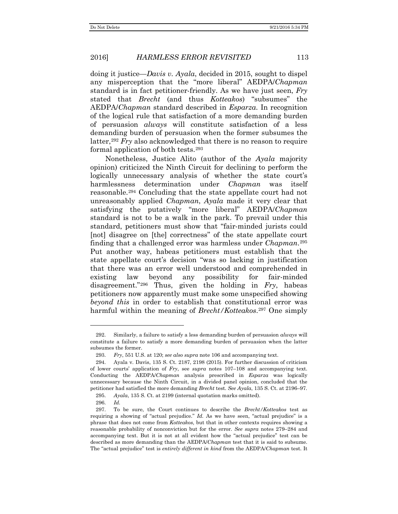doing it justice—*Davis v. Ayala*, decided in 2015, sought to dispel any misperception that the "more liberal" AEDPA/*Chapman* standard is in fact petitioner-friendly. As we have just seen, *Fry*  stated that *Brecht* (and thus *Kotteakos*) "subsumes" the AEDPA/*Chapman* standard described in *Esparza*. In recognition of the logical rule that satisfaction of a more demanding burden of persuasion *always* will constitute satisfaction of a less demanding burden of persuasion when the former subsumes the latter,<sup>[292](#page-55-0)</sup> *Fry* also acknowledged that there is no reason to require formal application of both tests.[293](#page-55-1)

<span id="page-55-7"></span>Nonetheless, Justice Alito (author of the *Ayala* majority opinion) criticized the Ninth Circuit for declining to perform the logically unnecessary analysis of whether the state court's harmlessness determination under *Chapman* was itself reasonable.[294](#page-55-2) Concluding that the state appellate court had not unreasonably applied *Chapman*, *Ayala* made it very clear that satisfying the putatively "more liberal" AEDPA/*Chapman*  standard is not to be a walk in the park. To prevail under this standard, petitioners must show that "fair-minded jurists could [not] disagree on [the] correctness" of the state appellate court finding that a challenged error was harmless under *Chapman*.[295](#page-55-3) Put another way, habeas petitioners must establish that the state appellate court's decision "was so lacking in justification that there was an error well understood and comprehended in existing law beyond any possibility for fair-minded disagreement."[296](#page-55-4) Thus, given the holding in *Fry*, habeas petitioners now apparently must make some unspecified showing *beyond this* in order to establish that constitutional error was harmful within the meaning of *Brecht/Kotteakos*.[297](#page-55-5) One simply

<span id="page-55-8"></span><span id="page-55-0"></span><sup>292.</sup> Similarly, a failure to satisfy a less demanding burden of persuasion *always* will constitute a failure to satisfy a more demanding burden of persuasion when the latter subsumes the former.

<span id="page-55-6"></span><sup>293.</sup> *Fry*, 551 U.S. at 120; *see also supra* not[e 106](#page-20-0) and accompanying text.

<span id="page-55-2"></span><span id="page-55-1"></span><sup>294.</sup> Ayala v. Davis, 135 S. Ct. 2187, 2198 (2015). For further discussion of criticism of lower courts' application of *Fry*, see *supra* notes [107](#page-20-10)[–108](#page-20-11) and accompanying text. Conducting the AEDPA/*Chapman* analysis prescribed in *Esparza* was logically unnecessary because the Ninth Circuit, in a divided panel opinion, concluded that the petitioner had satisfied the more demanding *Brecht* test. *See Ayala*, 135 S. Ct. at 2196–97.

<sup>295.</sup> *Ayala*, 135 S. Ct. at 2199 (internal quotation marks omitted).

<sup>296.</sup> *Id.*

<span id="page-55-5"></span><span id="page-55-4"></span><span id="page-55-3"></span><sup>297.</sup> To be sure, the Court continues to describe the *Brecht/Kotteakos* test as requiring a showing of "actual prejudice." *Id.* As we have seen, "actual prejudice" is a phrase that does not come from *Kotteakos*, but that in other contexts requires showing a reasonable probability of nonconviction but for the error. *See supra* notes [279](#page-53-9)[–284](#page-53-10) and accompanying text. But it is not at all evident how the "actual prejudice" test can be described as more demanding than the AEDPA/*Chapman* test that it is said to subsume. The "actual prejudice" test is *entirely different in kind* from the AEDPA/*Chapman* test. It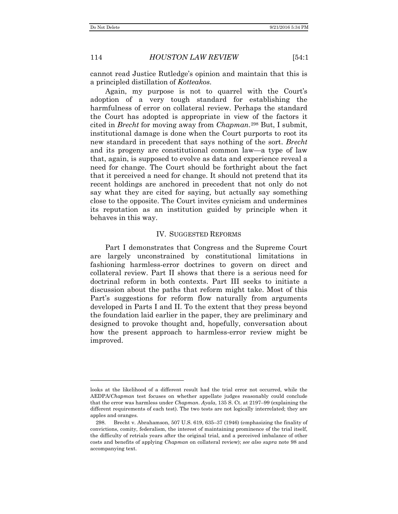114 *HOUSTON LAW REVIEW* [54:1

cannot read Justice Rutledge's opinion and maintain that this is a principled distillation of *Kotteakos*.

Again, my purpose is not to quarrel with the Court's adoption of a very tough standard for establishing the harmfulness of error on collateral review. Perhaps the standard the Court has adopted is appropriate in view of the factors it cited in *Brecht* for moving away from *Chapman*.[298](#page-56-0) But, I submit, institutional damage is done when the Court purports to root its new standard in precedent that says nothing of the sort. *Brecht* and its progeny are constitutional common law—a type of law that, again, is supposed to evolve as data and experience reveal a need for change. The Court should be forthright about the fact that it perceived a need for change. It should not pretend that its recent holdings are anchored in precedent that not only do not say what they are cited for saying, but actually say something close to the opposite. The Court invites cynicism and undermines its reputation as an institution guided by principle when it behaves in this way.

#### IV. SUGGESTED REFORMS

Part I demonstrates that Congress and the Supreme Court are largely unconstrained by constitutional limitations in fashioning harmless-error doctrines to govern on direct and collateral review. Part II shows that there is a serious need for doctrinal reform in both contexts. Part III seeks to initiate a discussion about the paths that reform might take. Most of this Part's suggestions for reform flow naturally from arguments developed in Parts I and II. To the extent that they press beyond the foundation laid earlier in the paper, they are preliminary and designed to provoke thought and, hopefully, conversation about how the present approach to harmless-error review might be improved.

looks at the likelihood of a different result had the trial error not occurred, while the AEDPA/*Chapman* test focuses on whether appellate judges reasonably could conclude that the error was harmless under *Chapman*. *Ayala*, 135 S. Ct. at 2197–99 (explaining the different requirements of each test). The two tests are not logically interrelated; they are apples and oranges.

<span id="page-56-0"></span><sup>298.</sup> Brecht v. Abrahamson, 507 U.S. 619, 635–37 (1946) (emphasizing the finality of convictions, comity, federalism, the interest of maintaining prominence of the trial itself, the difficulty of retrials years after the original trial, and a perceived imbalance of other costs and benefits of applying *Chapman* on collateral review); *see also supra* note [98](#page-19-17) and accompanying text.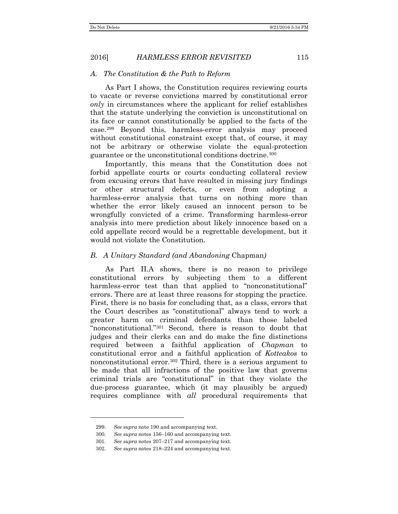#### *A. The Constitution & the Path to Reform*

As Part I shows, the Constitution requires reviewing courts to vacate or reverse convictions marred by constitutional error *only* in circumstances where the applicant for relief establishes that the statute underlying the conviction is unconstitutional on its face or cannot constitutionally be applied to the facts of the case.[299](#page-57-0) Beyond this, harmless-error analysis may proceed without constitutional constraint except that, of course, it may not be arbitrary or otherwise violate the equal-protection guarantee or the unconstitutional conditions doctrine.[300](#page-57-1)

Importantly, this means that the Constitution does not forbid appellate courts or courts conducting collateral review from excusing errors that have resulted in missing jury findings or other structural defects, or even from adopting a harmless-error analysis that turns on nothing more than whether the error likely caused an innocent person to be wrongfully convicted of a crime. Transforming harmless-error analysis into mere prediction about likely innocence based on a cold appellate record would be a regrettable development, but it would not violate the Constitution.

#### *B. A Unitary Standard (and Abandoning* Chapman*)*

As Part II.A shows, there is no reason to privilege constitutional errors by subjecting them to a different harmless-error test than that applied to "nonconstitutional" errors. There are at least three reasons for stopping the practice. First, there is no basis for concluding that, as a class, errors that the Court describes as "constitutional" always tend to work a greater harm on criminal defendants than those labeled "nonconstitutional.["301](#page-57-2) Second, there is reason to doubt that judges and their clerks can and do make the fine distinctions required between a faithful application of *Chapman* to constitutional error and a faithful application of *Kotteakos* to nonconstitutional error.[302](#page-57-3) Third, there is a serious argument to be made that all infractions of the positive law that governs criminal trials are "constitutional" in that they violate the due-process guarantee, which (it may plausibly be argued) requires compliance with *all* procedural requirements that

<span id="page-57-0"></span><sup>299.</sup> *See supra* not[e 190](#page-34-2) and accompanying text.

<span id="page-57-1"></span><sup>300.</sup> *See supra* notes [156–](#page-27-5)[160](#page-28-6) and accompanying text.

<span id="page-57-2"></span><sup>301.</sup> *See supra* notes [207–](#page-38-4)[217](#page-40-4) and accompanying text.

<span id="page-57-3"></span><sup>302.</sup> *See supra* notes [218–](#page-41-6)[224](#page-42-3) and accompanying text.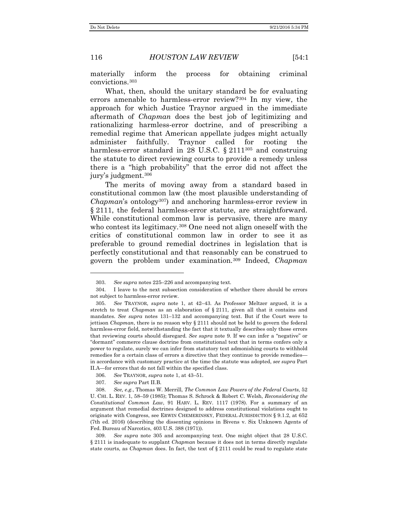116 *HOUSTON LAW REVIEW* [54:1

<span id="page-58-0"></span>

materially inform the process for obtaining criminal convictions.[303](#page-58-1)

What, then, should the unitary standard be for evaluating errors amenable to harmless-error review?[304](#page-58-2) In my view, the approach for which Justice Traynor argued in the immediate aftermath of *Chapman* does the best job of legitimizing and rationalizing harmless-error doctrine, and of prescribing a remedial regime that American appellate judges might actually administer faithfully. Traynor called for rooting the harmless-error standard in 28 U.S.C. § 2111<sup>[305](#page-58-3)</sup> and construing the statute to direct reviewing courts to provide a remedy unless there is a "high probability" that the error did not affect the jury's judgment.[306](#page-58-4)

The merits of moving away from a standard based in constitutional common law (the most plausible understanding of *Chapman*'s ontolog[y307\)](#page-58-5) and anchoring harmless-error review in § 2111, the federal harmless-error statute, are straightforward. While constitutional common law is pervasive, there are many who contest its legitimacy.<sup>[308](#page-58-6)</sup> One need not align oneself with the critics of constitutional common law in order to see it as preferable to ground remedial doctrines in legislation that is perfectly constitutional and that reasonably can be construed to govern the problem under examination.[309](#page-58-7) Indeed, *Chapman*

<sup>303.</sup> *See supra* notes [225–](#page-43-3)[226](#page-43-4) and accompanying text.

<span id="page-58-2"></span><span id="page-58-1"></span><sup>304.</sup> I leave to the next subsection consideration of whether there should be errors not subject to harmless-error review.

<span id="page-58-3"></span><sup>305.</sup> *See* TRAYNOR, *supra* note [1,](#page-3-5) at 42–43. As Professor Meltzer argued, it is a stretch to treat *Chapman* as an elaboration of § 2111, given all that it contains and mandates. *See supra* notes [131–](#page-22-10)[132](#page-23-4) and accompanying text. But if the Court were to jettison *Chapman*, there is no reason why § 2111 should not be held to govern the federal harmless-error field, notwithstanding the fact that it textually describes only those errors that reviewing courts should disregard. *See supra* note [9.](#page-4-7) If we can infer a "negative" or "dormant" commerce clause doctrine from constitutional text that in terms confers only a power to regulate, surely we can infer from statutory text admonishing courts to withhold remedies for a certain class of errors a directive that they continue to provide remedies in accordance with customary practice at the time the statute was adopted, *see supra* Part II.A—for errors that do not fall within the specified class.

<sup>306.</sup> *See* TRAYNOR, *supra* note [1,](#page-3-5) at 43–51.

<sup>307.</sup> *See supra* Part II.B.

<span id="page-58-6"></span><span id="page-58-5"></span><span id="page-58-4"></span><sup>308.</sup> *See, e.g.*, Thomas W. Merrill, *The Common Law Powers of the Federal Courts*, 52 U. CHI. L. REV. 1, 58–59 (1985); Thomas S. Schrock & Robert C. Welsh, *Reconsidering the Constitutional Common Law*, 91 HARV. L. REV. 1117 (1978). For a summary of an argument that remedial doctrines designed to address constitutional violations ought to originate with Congress, see ERWIN CHEMERINSKY, FEDERAL JURISDICTION § 9.1.2, at 652 (7th ed. 2016) (describing the dissenting opinions in Bivens v. Six Unknown Agents of Fed. Bureau of Narcotics, 403 U.S. 388 (1971)).

<span id="page-58-7"></span><sup>309.</sup> *See supra* note [305](#page-58-0) and accompanying text. One might object that 28 U.S.C. § 2111 is inadequate to supplant *Chapman* because it does not in terms directly regulate state courts, as *Chapman* does. In fact, the text of § 2111 could be read to regulate state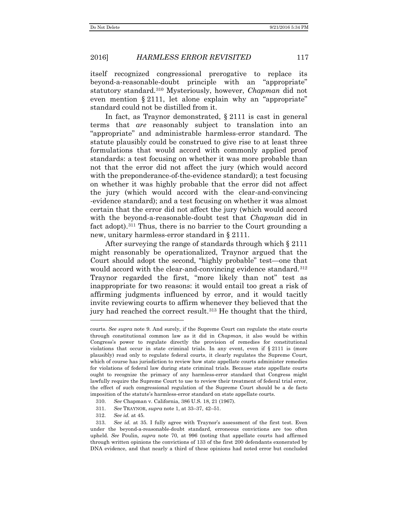itself recognized congressional prerogative to replace its beyond-a-reasonable-doubt principle with an "appropriate" statutory standard.[310](#page-59-0) Mysteriously, however, *Chapman* did not even mention § 2111, let alone explain why an "appropriate" standard could not be distilled from it.

In fact, as Traynor demonstrated, § 2111 is cast in general terms that *are* reasonably subject to translation into an "appropriate" and administrable harmless-error standard. The statute plausibly could be construed to give rise to at least three formulations that would accord with commonly applied proof standards: a test focusing on whether it was more probable than not that the error did not affect the jury (which would accord with the preponderance-of-the-evidence standard); a test focusing on whether it was highly probable that the error did not affect the jury (which would accord with the clear-and-convincing -evidence standard); and a test focusing on whether it was almost certain that the error did not affect the jury (which would accord with the beyond-a-reasonable-doubt test that *Chapman* did in fact adopt).<sup>[311](#page-59-1)</sup> Thus, there is no barrier to the Court grounding a new, unitary harmless-error standard in § 2111.

After surveying the range of standards through which § 2111 might reasonably be operationalized, Traynor argued that the Court should adopt the second, "highly probable" test—one that would accord with the clear-and-convincing evidence standard.<sup>[312](#page-59-2)</sup> Traynor regarded the first, "more likely than not" test as inappropriate for two reasons: it would entail too great a risk of affirming judgments influenced by error, and it would tacitly invite reviewing courts to affirm whenever they believed that the jury had reached the correct result.<sup>[313](#page-59-3)</sup> He thought that the third,

311. *See* TRAYNOR, *supra* note [1,](#page-3-5) at 33–37, 42–51.

courts. *See supra* note [9.](#page-4-7) And surely, if the Supreme Court can regulate the state courts through constitutional common law as it did in *Chapman*, it also would be within Congress's power to regulate directly the provision of remedies for constitutional violations that occur in state criminal trials. In any event, even if § 2111 is (more plausibly) read only to regulate federal courts, it clearly regulates the Supreme Court, which of course has jurisdiction to review how state appellate courts administer remedies for violations of federal law during state criminal trials. Because state appellate courts ought to recognize the primacy of any harmless-error standard that Congress might lawfully require the Supreme Court to use to review their treatment of federal trial error, the effect of such congressional regulation of the Supreme Court should be a de facto imposition of the statute's harmless-error standard on state appellate courts.

<sup>310.</sup> *See* Chapman v. California, 386 U.S. 18, 21 (1967).

<sup>312.</sup> *See id.* at 45.

<span id="page-59-3"></span><span id="page-59-2"></span><span id="page-59-1"></span><span id="page-59-0"></span><sup>313.</sup> *See id.* at 35. I fully agree with Traynor's assessment of the first test. Even under the beyond-a-reasonable-doubt standard, erroneous convictions are too often upheld. *See* Poulin, *supra* note [70,](#page-16-8) at 996 (noting that appellate courts had affirmed through written opinions the convictions of 133 of the first 200 defendants exonerated by DNA evidence, and that nearly a third of these opinions had noted error but concluded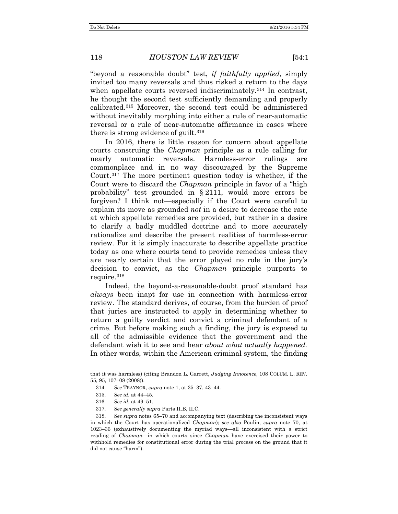"beyond a reasonable doubt" test, *if faithfully applied*, simply invited too many reversals and thus risked a return to the days when appellate courts reversed indiscriminately.<sup>[314](#page-60-0)</sup> In contrast, he thought the second test sufficiently demanding and properly calibrated.[315](#page-60-1) Moreover, the second test could be administered without inevitably morphing into either a rule of near-automatic reversal or a rule of near-automatic affirmance in cases where there is strong evidence of guilt.<sup>[316](#page-60-2)</sup>

In 2016, there is little reason for concern about appellate courts construing the *Chapman* principle as a rule calling for nearly automatic reversals. Harmless-error rulings are commonplace and in no way discouraged by the Supreme Court.[317](#page-60-3) The more pertinent question today is whether, if the Court were to discard the *Chapman* principle in favor of a "high probability" test grounded in § 2111, would more errors be forgiven? I think not—especially if the Court were careful to explain its move as grounded *not* in a desire to decrease the rate at which appellate remedies are provided, but rather in a desire to clarify a badly muddled doctrine and to more accurately rationalize and describe the present realities of harmless-error review. For it is simply inaccurate to describe appellate practice today as one where courts tend to provide remedies unless they are nearly certain that the error played no role in the jury's decision to convict, as the *Chapman* principle purports to require.[318](#page-60-4)

<span id="page-60-5"></span>Indeed, the beyond-a-reasonable-doubt proof standard has *always* been inapt for use in connection with harmless-error review. The standard derives, of course, from the burden of proof that juries are instructed to apply in determining whether to return a guilty verdict and convict a criminal defendant of a crime. But before making such a finding, the jury is exposed to all of the admissible evidence that the government and the defendant wish it to see and hear *about what actually happened.* In other words, within the American criminal system, the finding

<span id="page-60-1"></span><span id="page-60-0"></span>that it was harmless) (citing Brandon L. Garrett, *Judging Innocence*, 108 COLUM. L. REV. 55, 95, 107–08 (2008)).

<sup>314.</sup> *See* TRAYNOR, *supra* note [1,](#page-3-5) at 35–37, 43–44.

<sup>315.</sup> *See id.* at 44–45.

<sup>316.</sup> *See id.* at 49–51.

<sup>317.</sup> *See generally supra* Parts II.B, II.C.

<span id="page-60-4"></span><span id="page-60-3"></span><span id="page-60-2"></span><sup>318.</sup> *See supra* notes [65](#page-15-13)[–70](#page-16-8) and accompanying text (describing the inconsistent ways in which the Court has operationalized *Chapman*); *see also* Poulin, *supra* note [70,](#page-16-8) at 1023–36 (exhaustively documenting the myriad ways—all inconsistent with a strict reading of *Chapman*—in which courts since *Chapman* have exercised their power to withhold remedies for constitutional error during the trial process on the ground that it did not cause "harm").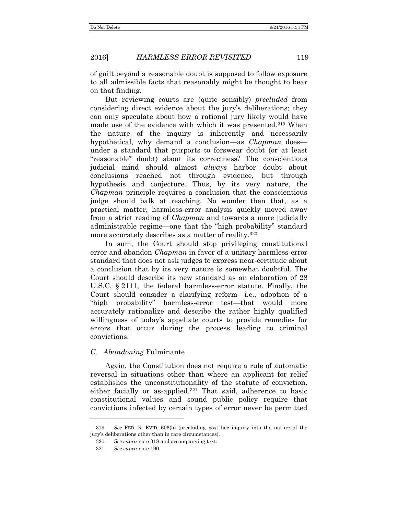of guilt beyond a reasonable doubt is supposed to follow exposure to all admissible facts that reasonably might be thought to bear on that finding.

But reviewing courts are (quite sensibly) *precluded* from considering direct evidence about the jury's deliberations; they can only speculate about how a rational jury likely would have made use of the evidence with which it was presented.<sup>[319](#page-61-0)</sup> When the nature of the inquiry is inherently and necessarily hypothetical, why demand a conclusion—as *Chapman* does under a standard that purports to forswear doubt (or at least "reasonable" doubt) about its correctness? The conscientious judicial mind should almost *always* harbor doubt about conclusions reached not through evidence, but through hypothesis and conjecture. Thus, by its very nature, the *Chapman* principle requires a conclusion that the conscientious judge should balk at reaching. No wonder then that, as a practical matter, harmless-error analysis quickly moved away from a strict reading of *Chapman* and towards a more judicially administrable regime—one that the "high probability" standard more accurately describes as a matter of reality.<sup>[320](#page-61-1)</sup>

In sum, the Court should stop privileging constitutional error and abandon *Chapman* in favor of a unitary harmless-error standard that does not ask judges to express near-certitude about a conclusion that by its very nature is somewhat doubtful. The Court should describe its new standard as an elaboration of 28 U.S.C. § 2111, the federal harmless-error statute. Finally, the Court should consider a clarifying reform—i.e., adoption of a "high probability" harmless-error test—that would more accurately rationalize and describe the rather highly qualified willingness of today's appellate courts to provide remedies for errors that occur during the process leading to criminal convictions.

#### *C. Abandoning* Fulminante

Again, the Constitution does not require a rule of automatic reversal in situations other than where an applicant for relief establishes the unconstitutionality of the statute of conviction, either facially or as-applied.<sup>[321](#page-61-2)</sup> That said, adherence to basic constitutional values and sound public policy require that convictions infected by certain types of error never be permitted

<span id="page-61-2"></span><span id="page-61-1"></span><span id="page-61-0"></span><sup>319.</sup> *See* FED. R. EVID. 606(b) (precluding post hoc inquiry into the nature of the jury's deliberations other than in rare circumstances).

<sup>320.</sup> *See supra* not[e 318](#page-60-5) and accompanying text.

<sup>321.</sup> *See supra* note 190.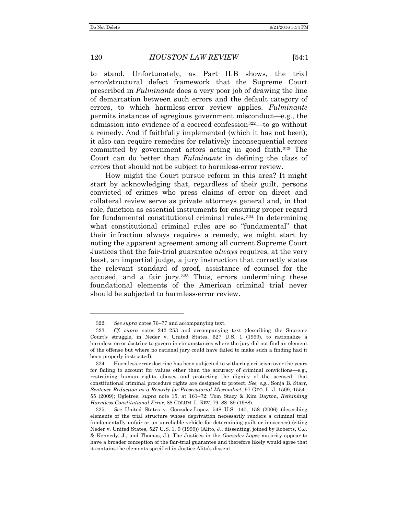#### 120 *HOUSTON LAW REVIEW* [54:1]

to stand. Unfortunately, as Part II.B shows, the trial error/structural defect framework that the Supreme Court prescribed in *Fulminante* does a very poor job of drawing the line of demarcation between such errors and the default category of errors, to which harmless-error review applies. *Fulminante* permits instances of egregious government misconduct—e.g., the admission into evidence of a coerced confession<sup>322</sup>—to go without a remedy. And if faithfully implemented (which it has not been), it also can require remedies for relatively inconsequential errors committed by government actors acting in good faith.[323](#page-62-2) The Court can do better than *Fulminante* in defining the class of errors that should not be subject to harmless-error review.

<span id="page-62-0"></span>How might the Court pursue reform in this area? It might start by acknowledging that, regardless of their guilt, persons convicted of crimes who press claims of error on direct and collateral review serve as private attorneys general and, in that role, function as essential instruments for ensuring proper regard for fundamental constitutional criminal rules.[324](#page-62-3) In determining what constitutional criminal rules are so "fundamental" that their infraction always requires a remedy, we might start by noting the apparent agreement among all current Supreme Court Justices that the fair-trial guarantee *always* requires, at the very least, an impartial judge, a jury instruction that correctly states the relevant standard of proof, assistance of counsel for the accused, and a fair jury.<sup>[325](#page-62-4)</sup> Thus, errors undermining these foundational elements of the American criminal trial never should be subjected to harmless-error review.

<sup>322.</sup> *See supra* notes [76](#page-17-14)[–77](#page-17-15) and accompanying text.

<span id="page-62-2"></span><span id="page-62-1"></span><sup>323.</sup> *Cf. supra* notes [242](#page-47-7)[–253](#page-48-7) and accompanying text (describing the Supreme Court's struggle, in Neder v. United States, 527 U.S. 1 (1999), to rationalize a harmless-error doctrine to govern in circumstances where the jury did not find an element of the offense but where no rational jury could have failed to make such a finding had it been properly instructed).

<span id="page-62-3"></span><sup>324.</sup> Harmless-error doctrine has been subjected to withering criticism over the years for failing to account for values other than the accuracy of criminal convictions—e.g., restraining human rights abuses and protecting the dignity of the accused—that constitutional criminal procedure rights are designed to protect. *See, e.g.*, Sonja B. Starr, *Sentence Reduction as a Remedy for Prosecutorial Misconduct*, 97 GEO. L. J. 1509, 1554– 55 (2009); Ogletree, *supra* note [15,](#page-5-6) at 161–72: Tom Stacy & Kim Dayton, *Rethinking Harmless Constitutional Error*, 88 COLUM. L. REV. 79, 88–89 (1988).

<span id="page-62-4"></span><sup>325.</sup> *See* United States v. Gonzalez-Lopez, 548 U.S. 140, 158 (2006) (describing elements of the trial structure whose deprivation necessarily renders a criminal trial fundamentally unfair or an unreliable vehicle for determining guilt or innocence) (citing Neder v. United States, 527 U.S. 1, 9 (1999)) (Alito, J., dissenting, joined by Roberts, C.J. & Kennedy, J., and Thomas, J.). The Justices in the *Gonzalez-Lopez* majority appear to have a broader conception of the fair-trial guarantee and therefore likely would agree that it contains the elements specified in Justice Alito's dissent.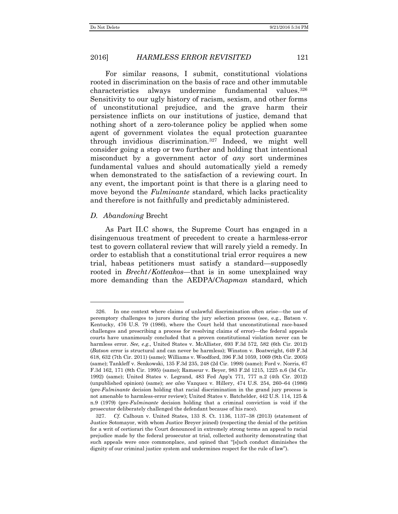For similar reasons, I submit, constitutional violations rooted in discrimination on the basis of race and other immutable characteristics always undermine fundamental values.[326](#page-63-0) Sensitivity to our ugly history of racism, sexism, and other forms of unconstitutional prejudice, and the grave harm their persistence inflicts on our institutions of justice, demand that nothing short of a zero-tolerance policy be applied when some agent of government violates the equal protection guarantee through invidious discrimination.[327](#page-63-1) Indeed, we might well consider going a step or two further and holding that intentional misconduct by a government actor of *any* sort undermines fundamental values and should automatically yield a remedy when demonstrated to the satisfaction of a reviewing court. In any event, the important point is that there is a glaring need to move beyond the *Fulminante* standard, which lacks practicality and therefore is not faithfully and predictably administered.

#### *D. Abandoning* Brecht

1

As Part II.C shows, the Supreme Court has engaged in a disingenuous treatment of precedent to create a harmless-error test to govern collateral review that will rarely yield a remedy. In order to establish that a constitutional trial error requires a new trial, habeas petitioners must satisfy a standard—supposedly rooted in *Brecht/Kotteakos*—that is in some unexplained way more demanding than the AEDPA/*Chapman* standard, which

<span id="page-63-0"></span><sup>326.</sup> In one context where claims of unlawful discrimination often arise—the use of peremptory challenges to jurors during the jury selection process (see, e.g., Batson v. Kentucky, 476 U.S. 79 (1986), where the Court held that unconstitutional race-based challenges and prescribing a process for resolving claims of error)—the federal appeals courts have unanimously concluded that a proven constitutional violation never can be harmless error. *See, e.g.*, United States v. McAllister, 693 F.3d 572, 582 (6th Cir. 2012) (*Batson* error is structural and can never be harmless); Winston v. Boatwright, 649 F.3d 618, 632 (7th Cir. 2011) (same); Williams v. Woodford, 396 F.3d 1059, 1069 (9th Cir. 2005) (same); Tankleff v. Senkowski, 135 F.3d 235, 248 (2d Cir. 1998) (same); Ford v. Norris, 67 F.3d 162, 171 (8th Cir. 1995) (same); Ramseur v. Beyer, 983 F.2d 1215, 1225 n.6 (3d Cir. 1992) (same); United States v. Legrand, 483 Fed App'x 771, 777 n.2 (4th Cir. 2012) (unpublished opinion) (same); *see also* Vazquez v. Hillery, 474 U.S. 254, 260–64 (1986) (pre-*Fulminante* decision holding that racial discrimination in the grand jury process is not amenable to harmless-error review); United States v. Batchelder, 442 U.S. 114, 125 & n.9 (1979) (pre-*Fulminante* decision holding that a criminal conviction is void if the prosecutor deliberately challenged the defendant because of his race).

<span id="page-63-1"></span><sup>327.</sup> *Cf.* Calhoun v. United States, 133 S. Ct. 1136, 1137–38 (2013) (statement of Justice Sotomayor, with whom Justice Breyer joined) (respecting the denial of the petition for a writ of certiorari the Court denounced in extremely strong terms an appeal to racial prejudice made by the federal prosecutor at trial, collected authority demonstrating that such appeals were once commonplace, and opined that "[s]uch conduct diminishes the dignity of our criminal justice system and undermines respect for the rule of law").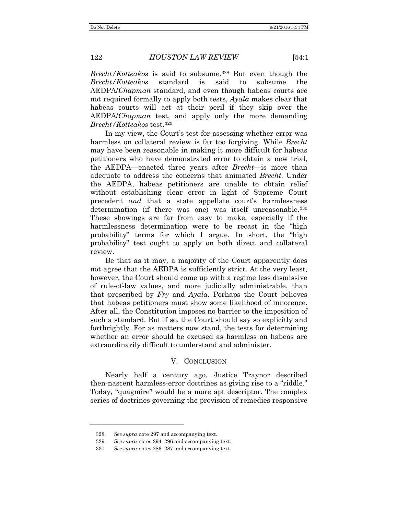*Brecht/Kotteakos* is said to subsume.<sup>[328](#page-64-0)</sup> But even though the *Brecht/Kotteakos* standard is said to subsume the AEDPA/*Chapman* standard, and even though habeas courts are not required formally to apply both tests, *Ayala* makes clear that habeas courts will act at their peril if they skip over the AEDPA/*Chapman* test, and apply only the more demanding *Brecht/Kotteakos* test.[329](#page-64-1)

In my view, the Court's test for assessing whether error was harmless on collateral review is far too forgiving. While *Brecht* may have been reasonable in making it more difficult for habeas petitioners who have demonstrated error to obtain a new trial, the AEDPA—enacted three years after *Brecht*—is more than adequate to address the concerns that animated *Brecht*. Under the AEDPA, habeas petitioners are unable to obtain relief without establishing clear error in light of Supreme Court precedent *and* that a state appellate court's harmlessness determination (if there was one) was itself unreasonable.<sup>[330](#page-64-2)</sup> These showings are far from easy to make, especially if the harmlessness determination were to be recast in the "high probability" terms for which I argue. In short, the "high probability" test ought to apply on both direct and collateral review.

Be that as it may, a majority of the Court apparently does not agree that the AEDPA is sufficiently strict. At the very least, however, the Court should come up with a regime less dismissive of rule-of-law values, and more judicially administrable, than that prescribed by *Fry* and *Ayala*. Perhaps the Court believes that habeas petitioners must show some likelihood of innocence. After all, the Constitution imposes no barrier to the imposition of such a standard. But if so, the Court should say so explicitly and forthrightly. For as matters now stand, the tests for determining whether an error should be excused as harmless on habeas are extraordinarily difficult to understand and administer.

#### V. CONCLUSION

Nearly half a century ago, Justice Traynor described then-nascent harmless-error doctrines as giving rise to a "riddle." Today, "quagmire" would be a more apt descriptor. The complex series of doctrines governing the provision of remedies responsive

<span id="page-64-1"></span><span id="page-64-0"></span><sup>328.</sup> *See supra* not[e 297](#page-55-6) and accompanying text.

<sup>329.</sup> *See supra* notes [294–](#page-55-7)[296](#page-55-8) and accompanying text.

<span id="page-64-2"></span><sup>330.</sup> *See supra* notes [286–](#page-54-7)[287](#page-54-8) and accompanying text.